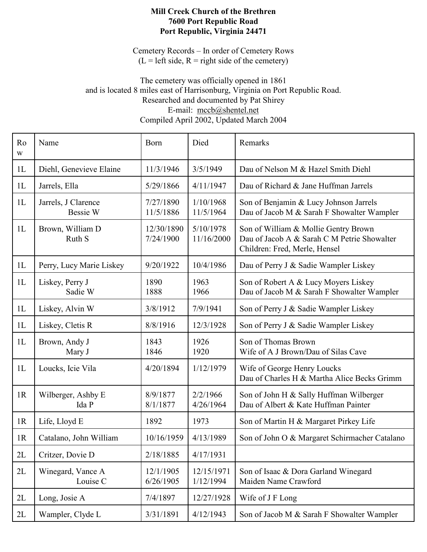## Mill Creek Church of the Brethren 7600 Port Republic Road Port Republic, Virginia 24471

Cemetery Records – In order of Cemetery Rows  $(L = left side, R = right side of the$  cemetery)

## The cemetery was officially opened in 1861 and is located 8 miles east of Harrisonburg, Virginia on Port Republic Road. Researched and documented by Pat Shirey E-mail: mccb@shentel.net Compiled April 2002, Updated March 2004

| Ro<br>$\ensuremath{\text{W}}$ | Name                            | <b>B</b> orn            | Died                    | Remarks                                                                                                              |
|-------------------------------|---------------------------------|-------------------------|-------------------------|----------------------------------------------------------------------------------------------------------------------|
| 1L                            | Diehl, Genevieve Elaine         | 11/3/1946               | 3/5/1949                | Dau of Nelson M & Hazel Smith Diehl                                                                                  |
| 1L                            | Jarrels, Ella                   | 5/29/1866               | 4/11/1947               | Dau of Richard & Jane Huffman Jarrels                                                                                |
| 1L                            | Jarrels, J Clarence<br>Bessie W | 7/27/1890<br>11/5/1886  | 1/10/1968<br>11/5/1964  | Son of Benjamin & Lucy Johnson Jarrels<br>Dau of Jacob M & Sarah F Showalter Wampler                                 |
| 1L                            | Brown, William D<br>Ruth S      | 12/30/1890<br>7/24/1900 | 5/10/1978<br>11/16/2000 | Son of William & Mollie Gentry Brown<br>Dau of Jacob A & Sarah C M Petrie Showalter<br>Children: Fred, Merle, Hensel |
| 1L                            | Perry, Lucy Marie Liskey        | 9/20/1922               | 10/4/1986               | Dau of Perry J & Sadie Wampler Liskey                                                                                |
| 1L                            | Liskey, Perry J<br>Sadie W      | 1890<br>1888            | 1963<br>1966            | Son of Robert A & Lucy Moyers Liskey<br>Dau of Jacob M & Sarah F Showalter Wampler                                   |
| 1L                            | Liskey, Alvin W                 | 3/8/1912                | 7/9/1941                | Son of Perry J & Sadie Wampler Liskey                                                                                |
| 1L                            | Liskey, Cletis R                | 8/8/1916                | 12/3/1928               | Son of Perry J & Sadie Wampler Liskey                                                                                |
| 1L                            | Brown, Andy J<br>Mary J         | 1843<br>1846            | 1926<br>1920            | Son of Thomas Brown<br>Wife of A J Brown/Dau of Silas Cave                                                           |
| 1L                            | Loucks, Icie Vila               | 4/20/1894               | 1/12/1979               | Wife of George Henry Loucks<br>Dau of Charles H & Martha Alice Becks Grimm                                           |
| 1R                            | Wilberger, Ashby E<br>Ida P     | 8/9/1877<br>8/1/1877    | 2/2/1966<br>4/26/1964   | Son of John H & Sally Huffman Wilberger<br>Dau of Albert & Kate Huffman Painter                                      |
| 1R                            | Life, Lloyd E                   | 1892                    | 1973                    | Son of Martin H & Margaret Pirkey Life                                                                               |
| 1R                            | Catalano, John William          | 10/16/1959              | 4/13/1989               | Son of John O & Margaret Schirmacher Catalano                                                                        |
| 2L                            | Critzer, Dovie D                | 2/18/1885               | 4/17/1931               |                                                                                                                      |
| 2L                            | Winegard, Vance A<br>Louise C   | 12/1/1905<br>6/26/1905  | 12/15/1971<br>1/12/1994 | Son of Isaac & Dora Garland Winegard<br>Maiden Name Crawford                                                         |
| 2L                            | Long, Josie A                   | 7/4/1897                | 12/27/1928              | Wife of J F Long                                                                                                     |
| 2L                            | Wampler, Clyde L                | 3/31/1891               | 4/12/1943               | Son of Jacob M & Sarah F Showalter Wampler                                                                           |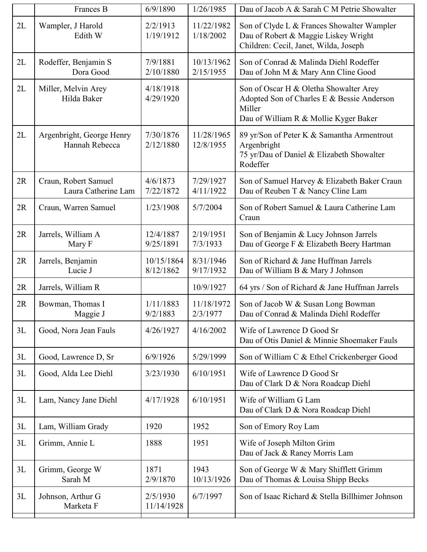|    | Frances B                                   | 6/9/1890                | 1/26/1985               | Dau of Jacob A & Sarah C M Petrie Showalter                                                                                             |
|----|---------------------------------------------|-------------------------|-------------------------|-----------------------------------------------------------------------------------------------------------------------------------------|
| 2L | Wampler, J Harold<br>Edith W                | 2/2/1913<br>1/19/1912   | 11/22/1982<br>1/18/2002 | Son of Clyde L & Frances Showalter Wampler<br>Dau of Robert & Maggie Liskey Wright<br>Children: Cecil, Janet, Wilda, Joseph             |
| 2L | Rodeffer, Benjamin S<br>Dora Good           | 7/9/1881<br>2/10/1880   | 10/13/1962<br>2/15/1955 | Son of Conrad & Malinda Diehl Rodeffer<br>Dau of John M & Mary Ann Cline Good                                                           |
| 2L | Miller, Melvin Arey<br>Hilda Baker          | 4/18/1918<br>4/29/1920  |                         | Son of Oscar H & Oletha Showalter Arey<br>Adopted Son of Charles E & Bessie Anderson<br>Miller<br>Dau of William R & Mollie Kyger Baker |
| 2L | Argenbright, George Henry<br>Hannah Rebecca | 7/30/1876<br>2/12/1880  | 11/28/1965<br>12/8/1955 | 89 yr/Son of Peter K & Samantha Armentrout<br>Argenbright<br>75 yr/Dau of Daniel & Elizabeth Showalter<br>Rodeffer                      |
| 2R | Craun, Robert Samuel<br>Laura Catherine Lam | 4/6/1873<br>7/22/1872   | 7/29/1927<br>4/11/1922  | Son of Samuel Harvey & Elizabeth Baker Craun<br>Dau of Reuben T & Nancy Cline Lam                                                       |
| 2R | Craun, Warren Samuel                        | 1/23/1908               | 5/7/2004                | Son of Robert Samuel & Laura Catherine Lam<br>Craun                                                                                     |
| 2R | Jarrels, William A<br>Mary F                | 12/4/1887<br>9/25/1891  | 2/19/1951<br>7/3/1933   | Son of Benjamin & Lucy Johnson Jarrels<br>Dau of George F & Elizabeth Beery Hartman                                                     |
| 2R | Jarrels, Benjamin<br>Lucie J                | 10/15/1864<br>8/12/1862 | 8/31/1946<br>9/17/1932  | Son of Richard & Jane Huffman Jarrels<br>Dau of William B & Mary J Johnson                                                              |
| 2R | Jarrels, William R                          |                         | 10/9/1927               | 64 yrs / Son of Richard & Jane Huffman Jarrels                                                                                          |
| 2R | Bowman, Thomas I<br>Maggie J                | 1/11/1883<br>9/2/1883   | 11/18/1972<br>2/3/1977  | Son of Jacob W & Susan Long Bowman<br>Dau of Conrad & Malinda Diehl Rodeffer                                                            |
| 3L | Good, Nora Jean Fauls                       | 4/26/1927               | 4/16/2002               | Wife of Lawrence D Good Sr<br>Dau of Otis Daniel & Minnie Shoemaker Fauls                                                               |
| 3L | Good, Lawrence D, Sr                        | 6/9/1926                | 5/29/1999               | Son of William C & Ethel Crickenberger Good                                                                                             |
| 3L | Good, Alda Lee Diehl                        | 3/23/1930               | 6/10/1951               | Wife of Lawrence D Good Sr<br>Dau of Clark D & Nora Roadcap Diehl                                                                       |
| 3L | Lam, Nancy Jane Diehl                       | 4/17/1928               | 6/10/1951               | Wife of William G Lam<br>Dau of Clark D & Nora Roadcap Diehl                                                                            |
| 3L | Lam, William Grady                          | 1920                    | 1952                    | Son of Emory Roy Lam                                                                                                                    |
| 3L | Grimm, Annie L                              | 1888                    | 1951                    | Wife of Joseph Milton Grim<br>Dau of Jack & Raney Morris Lam                                                                            |
| 3L | Grimm, George W<br>Sarah M                  | 1871<br>2/9/1870        | 1943<br>10/13/1926      | Son of George W & Mary Shifflett Grimm<br>Dau of Thomas & Louisa Shipp Becks                                                            |
| 3L | Johnson, Arthur G<br>Marketa F              | 2/5/1930<br>11/14/1928  | 6/7/1997                | Son of Isaac Richard & Stella Billhimer Johnson                                                                                         |
|    |                                             |                         |                         |                                                                                                                                         |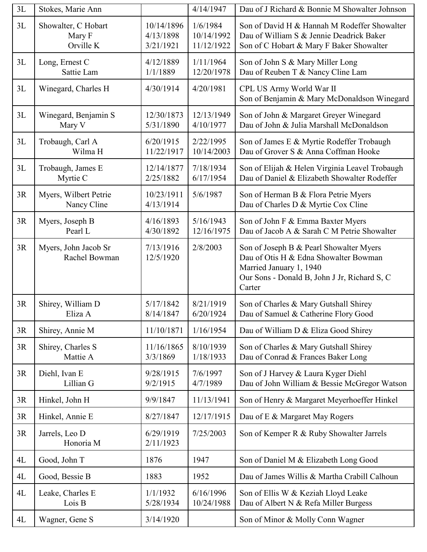| 3L | Stokes, Marie Ann                          |                                      | 4/14/1947                            | Dau of J Richard & Bonnie M Showalter Johnson                                                                                                                         |
|----|--------------------------------------------|--------------------------------------|--------------------------------------|-----------------------------------------------------------------------------------------------------------------------------------------------------------------------|
| 3L | Showalter, C Hobart<br>Mary F<br>Orville K | 10/14/1896<br>4/13/1898<br>3/21/1921 | 1/6/1984<br>10/14/1992<br>11/12/1922 | Son of David H & Hannah M Rodeffer Showalter<br>Dau of William S & Jennie Deadrick Baker<br>Son of C Hobart & Mary F Baker Showalter                                  |
| 3L | Long, Ernest C<br>Sattie Lam               | 4/12/1889<br>1/1/1889                | 1/11/1964<br>12/20/1978              | Son of John S & Mary Miller Long<br>Dau of Reuben T & Nancy Cline Lam                                                                                                 |
| 3L | Winegard, Charles H                        | 4/30/1914                            | 4/20/1981                            | CPL US Army World War II<br>Son of Benjamin & Mary McDonaldson Winegard                                                                                               |
| 3L | Winegard, Benjamin S<br>Mary V             | 12/30/1873<br>5/31/1890              | 12/13/1949<br>4/10/1977              | Son of John & Margaret Greyer Winegard<br>Dau of John & Julia Marshall McDonaldson                                                                                    |
| 3L | Trobaugh, Carl A<br>Wilma H                | 6/20/1915<br>11/22/1917              | 2/22/1995<br>10/14/2003              | Son of James E & Myrtie Rodeffer Trobaugh<br>Dau of Grover S & Anna Coffman Hooke                                                                                     |
| 3L | Trobaugh, James E<br>Myrtie C              | 12/14/1877<br>2/25/1882              | 7/18/1934<br>6/17/1954               | Son of Elijah & Helen Virginia Leavel Trobaugh<br>Dau of Daniel & Elizabeth Showalter Rodeffer                                                                        |
| 3R | Myers, Wilbert Petrie<br>Nancy Cline       | 10/23/1911<br>4/13/1914              | 5/6/1987                             | Son of Herman B & Flora Petrie Myers<br>Dau of Charles D & Myrtie Cox Cline                                                                                           |
| 3R | Myers, Joseph B<br>Pearl L                 | 4/16/1893<br>4/30/1892               | 5/16/1943<br>12/16/1975              | Son of John F & Emma Baxter Myers<br>Dau of Jacob A & Sarah C M Petrie Showalter                                                                                      |
| 3R | Myers, John Jacob Sr<br>Rachel Bowman      | 7/13/1916<br>12/5/1920               | 2/8/2003                             | Son of Joseph B & Pearl Showalter Myers<br>Dau of Otis H & Edna Showalter Bowman<br>Married January 1, 1940<br>Our Sons - Donald B, John J Jr, Richard S, C<br>Carter |
| 3R | Shirey, William D<br>Eliza A               | 5/17/1842<br>8/14/1847               | 8/21/1919<br>6/20/1924               | Son of Charles & Mary Gutshall Shirey<br>Dau of Samuel & Catherine Flory Good                                                                                         |
| 3R | Shirey, Annie M                            | 11/10/1871                           | 1/16/1954                            | Dau of William D & Eliza Good Shirey                                                                                                                                  |
| 3R | Shirey, Charles S<br>Mattie A              | 11/16/1865<br>3/3/1869               | 8/10/1939<br>1/18/1933               | Son of Charles & Mary Gutshall Shirey<br>Dau of Conrad & Frances Baker Long                                                                                           |
| 3R | Diehl, Ivan E<br>Lillian G                 | 9/28/1915<br>9/2/1915                | 7/6/1997<br>4/7/1989                 | Son of J Harvey & Laura Kyger Diehl<br>Dau of John William & Bessie McGregor Watson                                                                                   |
| 3R | Hinkel, John H                             | 9/9/1847                             | 11/13/1941                           | Son of Henry & Margaret Meyerhoeffer Hinkel                                                                                                                           |
| 3R | Hinkel, Annie E                            | 8/27/1847                            | 12/17/1915                           | Dau of E & Margaret May Rogers                                                                                                                                        |
| 3R | Jarrels, Leo D<br>Honoria M                | 6/29/1919<br>2/11/1923               | 7/25/2003                            | Son of Kemper R & Ruby Showalter Jarrels                                                                                                                              |
| 4L | Good, John T                               | 1876                                 | 1947                                 | Son of Daniel M & Elizabeth Long Good                                                                                                                                 |
| 4L | Good, Bessie B                             | 1883                                 | 1952                                 | Dau of James Willis & Martha Crabill Calhoun                                                                                                                          |
| 4L | Leake, Charles E<br>Lois B                 | 1/1/1932<br>5/28/1934                | 6/16/1996<br>10/24/1988              | Son of Ellis W & Keziah Lloyd Leake<br>Dau of Albert N & Refa Miller Burgess                                                                                          |
| 4L | Wagner, Gene S                             | 3/14/1920                            |                                      | Son of Minor & Molly Conn Wagner                                                                                                                                      |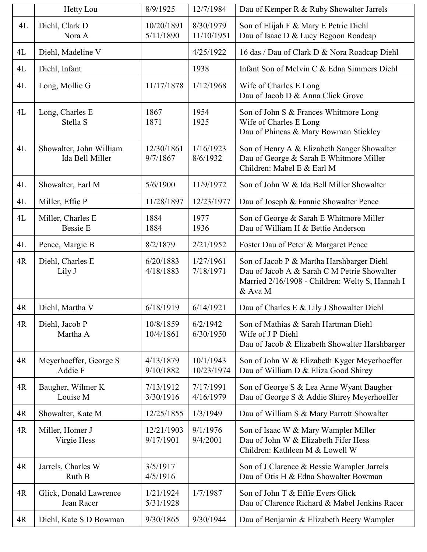|    | Hetty Lou                                  | 8/9/1925                | 12/7/1984               | Dau of Kemper R & Ruby Showalter Jarrels                                                                                                               |
|----|--------------------------------------------|-------------------------|-------------------------|--------------------------------------------------------------------------------------------------------------------------------------------------------|
| 4L | Diehl, Clark D<br>Nora A                   | 10/20/1891<br>5/11/1890 | 8/30/1979<br>11/10/1951 | Son of Elijah F & Mary E Petrie Diehl<br>Dau of Isaac D & Lucy Begoon Roadcap                                                                          |
| 4L | Diehl, Madeline V                          |                         | 4/25/1922               | 16 das / Dau of Clark D & Nora Roadcap Diehl                                                                                                           |
| 4L | Diehl, Infant                              |                         | 1938                    | Infant Son of Melvin C & Edna Simmers Diehl                                                                                                            |
| 4L | Long, Mollie G                             | 11/17/1878              | 1/12/1968               | Wife of Charles E Long<br>Dau of Jacob D & Anna Click Grove                                                                                            |
| 4L | Long, Charles E<br>Stella S                | 1867<br>1871            | 1954<br>1925            | Son of John S & Frances Whitmore Long<br>Wife of Charles E Long<br>Dau of Phineas & Mary Bowman Stickley                                               |
| 4L | Showalter, John William<br>Ida Bell Miller | 12/30/1861<br>9/7/1867  | 1/16/1923<br>8/6/1932   | Son of Henry A & Elizabeth Sanger Showalter<br>Dau of George & Sarah E Whitmore Miller<br>Children: Mabel E & Earl M                                   |
| 4L | Showalter, Earl M                          | 5/6/1900                | 11/9/1972               | Son of John W & Ida Bell Miller Showalter                                                                                                              |
| 4L | Miller, Effie P                            | 11/28/1897              | 12/23/1977              | Dau of Joseph & Fannie Showalter Pence                                                                                                                 |
| 4L | Miller, Charles E<br><b>Bessie E</b>       | 1884<br>1884            | 1977<br>1936            | Son of George & Sarah E Whitmore Miller<br>Dau of William H & Bettie Anderson                                                                          |
| 4L | Pence, Margie B                            | 8/2/1879                | 2/21/1952               | Foster Dau of Peter & Margaret Pence                                                                                                                   |
| 4R | Diehl, Charles E<br>Lily J                 | 6/20/1883<br>4/18/1883  | 1/27/1961<br>7/18/1971  | Son of Jacob P & Martha Harshbarger Diehl<br>Dau of Jacob A & Sarah C M Petrie Showalter<br>Married 2/16/1908 - Children: Welty S, Hannah I<br>& Ava M |
| 4R | Diehl, Martha V                            | 6/18/1919               | 6/14/1921               | Dau of Charles E & Lily J Showalter Diehl                                                                                                              |
| 4R | Diehl, Jacob P<br>Martha A                 | 10/8/1859<br>10/4/1861  | 6/2/1942<br>6/30/1950   | Son of Mathias & Sarah Hartman Diehl<br>Wife of J P Diehl<br>Dau of Jacob & Elizabeth Showalter Harshbarger                                            |
| 4R | Meyerhoeffer, George S<br>Addie F          | 4/13/1879<br>9/10/1882  | 10/1/1943<br>10/23/1974 | Son of John W & Elizabeth Kyger Meyerhoeffer<br>Dau of William D & Eliza Good Shirey                                                                   |
| 4R | Baugher, Wilmer K<br>Louise M              | 7/13/1912<br>3/30/1916  | 7/17/1991<br>4/16/1979  | Son of George S & Lea Anne Wyant Baugher<br>Dau of George S & Addie Shirey Meyerhoeffer                                                                |
| 4R | Showalter, Kate M                          | 12/25/1855              | 1/3/1949                | Dau of William S & Mary Parrott Showalter                                                                                                              |
| 4R | Miller, Homer J<br>Virgie Hess             | 12/21/1903<br>9/17/1901 | 9/1/1976<br>9/4/2001    | Son of Isaac W & Mary Wampler Miller<br>Dau of John W & Elizabeth Fifer Hess<br>Children: Kathleen M & Lowell W                                        |
| 4R | Jarrels, Charles W<br>Ruth B               | 3/5/1917<br>4/5/1916    |                         | Son of J Clarence & Bessie Wampler Jarrels<br>Dau of Otis H & Edna Showalter Bowman                                                                    |
| 4R | Glick, Donald Lawrence<br>Jean Racer       | 1/21/1924<br>5/31/1928  | 1/7/1987                | Son of John T & Effie Evers Glick<br>Dau of Clarence Richard & Mabel Jenkins Racer                                                                     |
| 4R | Diehl, Kate S D Bowman                     | 9/30/1865               | 9/30/1944               | Dau of Benjamin & Elizabeth Beery Wampler                                                                                                              |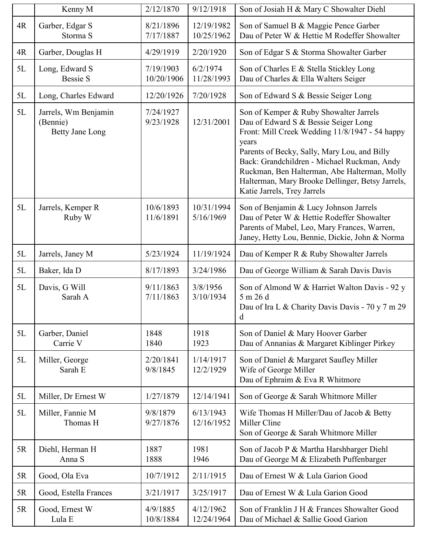|    | Kenny M                                                    | 2/12/1870               | 9/12/1918                | Son of Josiah H & Mary C Showalter Diehl                                                                                                                                                                                                                                                                                                                                    |
|----|------------------------------------------------------------|-------------------------|--------------------------|-----------------------------------------------------------------------------------------------------------------------------------------------------------------------------------------------------------------------------------------------------------------------------------------------------------------------------------------------------------------------------|
| 4R | Garber, Edgar S<br>Storma <sub>S</sub>                     | 8/21/1896<br>7/17/1887  | 12/19/1982<br>10/25/1962 | Son of Samuel B & Maggie Pence Garber<br>Dau of Peter W & Hettie M Rodeffer Showalter                                                                                                                                                                                                                                                                                       |
| 4R | Garber, Douglas H                                          | 4/29/1919               | 2/20/1920                | Son of Edgar S & Storma Showalter Garber                                                                                                                                                                                                                                                                                                                                    |
| 5L | Long, Edward S<br><b>Bessie S</b>                          | 7/19/1903<br>10/20/1906 | 6/2/1974<br>11/28/1993   | Son of Charles E & Stella Stickley Long<br>Dau of Charles & Ella Walters Seiger                                                                                                                                                                                                                                                                                             |
| 5L | Long, Charles Edward                                       | 12/20/1926              | 7/20/1928                | Son of Edward S & Bessie Seiger Long                                                                                                                                                                                                                                                                                                                                        |
| 5L | Jarrels, Wm Benjamin<br>(Bennie)<br><b>Betty Jane Long</b> | 7/24/1927<br>9/23/1928  | 12/31/2001               | Son of Kemper & Ruby Showalter Jarrels<br>Dau of Edward S & Bessie Seiger Long<br>Front: Mill Creek Wedding 11/8/1947 - 54 happy<br>years<br>Parents of Becky, Sally, Mary Lou, and Billy<br>Back: Grandchildren - Michael Ruckman, Andy<br>Ruckman, Ben Halterman, Abe Halterman, Molly<br>Halterman, Mary Brooke Dellinger, Betsy Jarrels,<br>Katie Jarrels, Trey Jarrels |
| 5L | Jarrels, Kemper R<br>Ruby W                                | 10/6/1893<br>11/6/1891  | 10/31/1994<br>5/16/1969  | Son of Benjamin & Lucy Johnson Jarrels<br>Dau of Peter W & Hettie Rodeffer Showalter<br>Parents of Mabel, Leo, Mary Frances, Warren,<br>Janey, Hetty Lou, Bennie, Dickie, John & Norma                                                                                                                                                                                      |
| 5L | Jarrels, Janey M                                           | 5/23/1924               | 11/19/1924               | Dau of Kemper R & Ruby Showalter Jarrels                                                                                                                                                                                                                                                                                                                                    |
| 5L | Baker, Ida D                                               | 8/17/1893               | 3/24/1986                | Dau of George William & Sarah Davis Davis                                                                                                                                                                                                                                                                                                                                   |
| 5L | Davis, G Will<br>Sarah A                                   | 9/11/1863<br>7/11/1863  | 3/8/1956<br>3/10/1934    | Son of Almond W & Harriet Walton Davis - 92 y<br>5 m 26 d<br>Dau of Ira L & Charity Davis Davis - 70 y 7 m 29<br>d                                                                                                                                                                                                                                                          |
| 5L | Garber, Daniel<br>Carrie V                                 | 1848<br>1840            | 1918<br>1923             | Son of Daniel & Mary Hoover Garber<br>Dau of Annanias & Margaret Kiblinger Pirkey                                                                                                                                                                                                                                                                                           |
| 5L | Miller, George<br>Sarah E                                  | 2/20/1841<br>9/8/1845   | 1/14/1917<br>12/2/1929   | Son of Daniel & Margaret Saufley Miller<br>Wife of George Miller<br>Dau of Ephraim & Eva R Whitmore                                                                                                                                                                                                                                                                         |
| 5L | Miller, Dr Ernest W                                        | 1/27/1879               | 12/14/1941               | Son of George & Sarah Whitmore Miller                                                                                                                                                                                                                                                                                                                                       |
| 5L | Miller, Fannie M<br>Thomas H                               | 9/8/1879<br>9/27/1876   | 6/13/1943<br>12/16/1952  | Wife Thomas H Miller/Dau of Jacob & Betty<br>Miller Cline<br>Son of George & Sarah Whitmore Miller                                                                                                                                                                                                                                                                          |
| 5R | Diehl, Herman H<br>Anna S                                  | 1887<br>1888            | 1981<br>1946             | Son of Jacob P & Martha Harshbarger Diehl<br>Dau of George M & Elizabeth Puffenbarger                                                                                                                                                                                                                                                                                       |
| 5R | Good, Ola Eva                                              | 10/7/1912               | 2/11/1915                | Dau of Ernest W & Lula Garion Good                                                                                                                                                                                                                                                                                                                                          |
| 5R | Good, Estella Frances                                      | 3/21/1917               | 3/25/1917                | Dau of Ernest W & Lula Garion Good                                                                                                                                                                                                                                                                                                                                          |
| 5R | Good, Ernest W<br>Lula E                                   | 4/9/1885<br>10/8/1884   | 4/12/1962<br>12/24/1964  | Son of Franklin J H & Frances Showalter Good<br>Dau of Michael & Sallie Good Garion                                                                                                                                                                                                                                                                                         |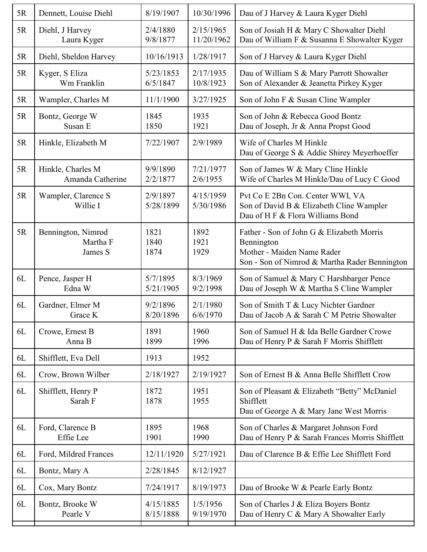| 5R | Dennett, Louise Diehl                     | 8/19/1907              | 10/30/1996              | Dau of J Harvey & Laura Kyger Diehl                                                                                                    |
|----|-------------------------------------------|------------------------|-------------------------|----------------------------------------------------------------------------------------------------------------------------------------|
| 5R | Diehl, J Harvey<br>Laura Kyger            | 2/4/1880<br>9/8/1877   | 2/15/1965<br>11/20/1962 | Son of Josiah H & Mary C Showalter Diehl<br>Dau of William F & Susanna E Showalter Kyger                                               |
| 5R | Diehl, Sheldon Harvey                     | 10/16/1913             | 1/28/1917               | Son of J Harvey & Laura Kyger Diehl                                                                                                    |
| 5R | Kyger, S Eliza<br>Wm Franklin             | 5/23/1853<br>6/5/1847  | 2/17/1935<br>10/8/1923  | Dau of William S & Mary Parrott Showalter<br>Son of Alexander & Jeanetta Pirkey Kyger                                                  |
| 5R | Wampler, Charles M                        | 11/1/1900              | 3/27/1925               | Son of John F & Susan Cline Wampler                                                                                                    |
| 5R | Bontz, George W<br>Susan E                | 1845<br>1850           | 1935<br>1921            | Son of John & Rebecca Good Bontz<br>Dau of Joseph, Jr & Anna Propst Good                                                               |
| 5R | Hinkle, Elizabeth M                       | 7/22/1907              | 2/9/1989                | Wife of Charles M Hinkle<br>Dau of George S & Addie Shirey Meyerhoeffer                                                                |
| 5R | Hinkle, Charles M<br>Amanda Catherine     | 9/9/1890<br>2/2/1877   | 7/21/1977<br>2/6/1955   | Son of James W & Mary Cline Hinkle<br>Wife of Charles M Hinkle/Dau of Lucy C Good                                                      |
| 5R | Wampler, Clarence S<br>Willie I           | 2/9/1897<br>5/28/1899  | 4/15/1959<br>5/30/1986  | Pvt Co E 2Bn Con. Center WWI, VA<br>Son of David B & Elizabeth Cline Wampler<br>Dau of H F & Flora Williams Bond                       |
| 5R | Bennington, Nimrod<br>Martha F<br>James S | 1821<br>1840<br>1874   | 1892<br>1921<br>1929    | Father - Son of John G & Elizabeth Morris<br>Bennington<br>Mother - Maiden Name Rader<br>Son - Son of Nimrod & Martha Rader Bennington |
| 6L | Pence, Jasper H<br>Edna W                 | 5/7/1895<br>5/21/1905  | 8/3/1969<br>9/2/1998    | Son of Samuel & Mary C Harshbarger Pence<br>Dau of Joseph W & Martha S Cline Wampler                                                   |
| 6L | Gardner, Elmer M<br>Grace K               | 9/2/1896<br>8/20/1896  | 2/1/1980<br>6/6/1970    | Son of Smith T & Lucy Nichter Gardner<br>Dau of Jacob A & Sarah C M Petrie Showalter                                                   |
| 6L | Crowe, Ernest B<br>Anna B                 | 1891<br>1899           | 1960<br>1996            | Son of Samuel H & Ida Belle Gardner Crowe<br>Dau of Henry P & Sarah F Morris Shifflett                                                 |
| 6L | Shifflett, Eva Dell                       | 1913                   | 1952                    |                                                                                                                                        |
| 6L | Crow, Brown Wilber                        | 2/18/1927              | 2/19/1927               | Son of Ernest B & Anna Belle Shifflett Crow                                                                                            |
| 6L | Shifflett, Henry P<br>Sarah F             | 1872<br>1878           | 1951<br>1955            | Son of Pleasant & Elizabeth "Betty" McDaniel<br>Shifflett<br>Dau of George A & Mary Jane West Morris                                   |
| 6L | Ford, Clarence B<br>Effie Lee             | 1895<br>1901           | 1968<br>1990            | Son of Charles & Margaret Johnson Ford<br>Dau of Henry P & Sarah Frances Morris Shifflett                                              |
| 6L | Ford, Mildred Frances                     | 12/11/1920             | 5/27/1921               | Dau of Clarence B & Effie Lee Shifflett Ford                                                                                           |
| 6L | Bontz, Mary A                             | 2/28/1845              | 8/12/1927               |                                                                                                                                        |
| 6L | Cox, Mary Bontz                           | 7/24/1917              | 8/19/1973               | Dau of Brooke W & Pearle Early Bontz                                                                                                   |
| 6L | Bontz, Brooke W<br>Pearle V               | 4/15/1885<br>8/15/1888 | 1/5/1956<br>9/19/1970   | Son of Charles J & Eliza Boyers Bontz<br>Dau of Henry C & Mary A Showalter Early                                                       |
|    |                                           |                        |                         |                                                                                                                                        |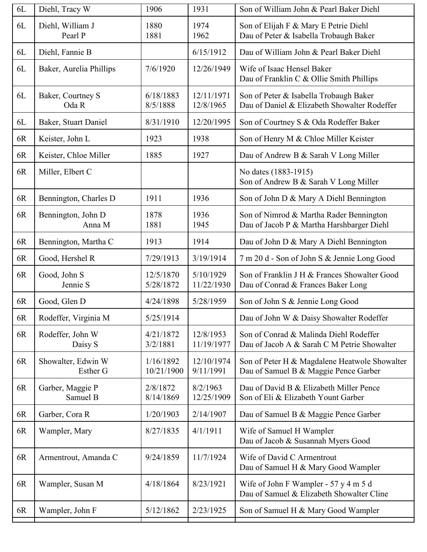| $6L$ | Diehl, Tracy W                 | 1906                    | 1931                    | Son of William John & Pearl Baker Diehl                                                |
|------|--------------------------------|-------------------------|-------------------------|----------------------------------------------------------------------------------------|
| 6L   | Diehl, William J<br>Pearl P    | 1880<br>1881            | 1974<br>1962            | Son of Elijah F & Mary E Petrie Diehl<br>Dau of Peter & Isabella Trobaugh Baker        |
| 6L   | Diehl, Fannie B                |                         | 6/15/1912               | Dau of William John & Pearl Baker Diehl                                                |
| 6L   | Baker, Aurelia Phillips        | 7/6/1920                | 12/26/1949              | Wife of Isaac Hensel Baker<br>Dau of Franklin C & Ollie Smith Phillips                 |
| 6L   | Baker, Courtney S<br>Oda R     | 6/18/1883<br>8/5/1888   | 12/11/1971<br>12/8/1965 | Son of Peter & Isabella Trobaugh Baker<br>Dau of Daniel & Elizabeth Showalter Rodeffer |
| 6L   | Baker, Stuart Daniel           | 8/31/1910               | 12/20/1995              | Son of Courtney S & Oda Rodeffer Baker                                                 |
| 6R   | Keister, John L                | 1923                    | 1938                    | Son of Henry M & Chloe Miller Keister                                                  |
| 6R   | Keister, Chloe Miller          | 1885                    | 1927                    | Dau of Andrew B & Sarah V Long Miller                                                  |
| 6R   | Miller, Elbert C               |                         |                         | No dates (1883-1915)<br>Son of Andrew B & Sarah V Long Miller                          |
| 6R   | Bennington, Charles D          | 1911                    | 1936                    | Son of John D & Mary A Diehl Bennington                                                |
| 6R   | Bennington, John D<br>Anna M   | 1878<br>1881            | 1936<br>1945            | Son of Nimrod & Martha Rader Bennington<br>Dau of Jacob P & Martha Harshbarger Diehl   |
| 6R   | Bennington, Martha C           | 1913                    | 1914                    | Dau of John D & Mary A Diehl Bennington                                                |
| 6R   | Good, Hershel R                | 7/29/1913               | 3/19/1914               | 7 m 20 d - Son of John S & Jennie Long Good                                            |
| 6R   | Good, John S<br>Jennie S       | 12/5/1870<br>5/28/1872  | 5/10/1929<br>11/22/1930 | Son of Franklin J H & Frances Showalter Good<br>Dau of Conrad & Frances Baker Long     |
| 6R   | Good, Glen D                   | 4/24/1898               | 5/28/1959               | Son of John S & Jennie Long Good                                                       |
| 6R   | Rodeffer, Virginia M           | 5/25/1914               |                         | Dau of John W & Daisy Showalter Rodeffer                                               |
| 6R   | Rodeffer, John W<br>Daisy S    | 4/21/1872<br>3/2/1881   | 12/8/1953<br>11/19/1977 | Son of Conrad & Malinda Diehl Rodeffer<br>Dau of Jacob A & Sarah C M Petrie Showalter  |
| 6R   | Showalter, Edwin W<br>Esther G | 1/16/1892<br>10/21/1900 | 12/10/1974<br>9/11/1991 | Son of Peter H & Magdalene Heatwole Showalter<br>Dau of Samuel B & Maggie Pence Garber |
| 6R   | Garber, Maggie P<br>Samuel B   | 2/8/1872<br>8/14/1869   | 8/2/1963<br>12/25/1909  | Dau of David B & Elizabeth Miller Pence<br>Son of Eli & Elizabeth Yount Garber         |
| 6R   | Garber, Cora R                 | 1/20/1903               | 2/14/1907               | Dau of Samuel B & Maggie Pence Garber                                                  |
| 6R   | Wampler, Mary                  | 8/27/1835               | 4/1/1911                | Wife of Samuel H Wampler<br>Dau of Jacob & Susannah Myers Good                         |
| 6R   | Armentrout, Amanda C           | 9/24/1859               | 11/7/1924               | Wife of David C Armentrout<br>Dau of Samuel H & Mary Good Wampler                      |
| 6R   | Wampler, Susan M               | 4/18/1864               | 8/23/1921               | Wife of John F Wampler - 57 y 4 m 5 d<br>Dau of Samuel & Elizabeth Showalter Cline     |
| 6R   | Wampler, John F                | 5/12/1862               | 2/23/1925               | Son of Samuel H & Mary Good Wampler                                                    |
|      |                                |                         |                         |                                                                                        |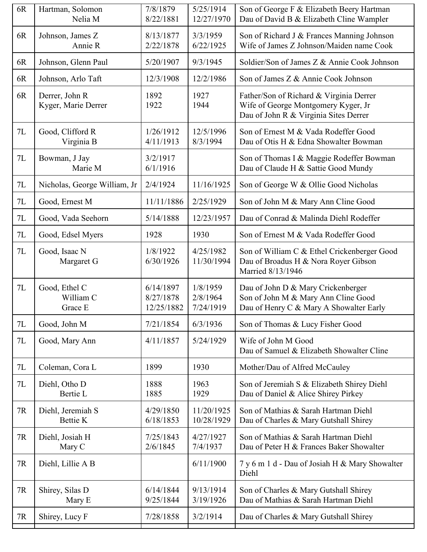| 8/13/1877<br>3/3/1959<br>6R<br>Johnson, James Z<br>Son of Richard J & Frances Manning Johnson<br>Wife of James Z Johnson/Maiden name Cook<br>2/22/1878<br>6/22/1925<br>Annie R<br>5/20/1907<br>Johnson, Glenn Paul<br>9/3/1945<br>Soldier/Son of James Z & Annie Cook Johnson<br>6R<br>6R<br>12/3/1908<br>12/2/1986<br>Son of James Z & Annie Cook Johnson<br>Johnson, Arlo Taft<br>1892<br>6R<br>1927<br>Father/Son of Richard & Virginia Derrer<br>Derrer, John R<br>Kyger, Marie Derrer<br>1922<br>Wife of George Montgomery Kyger, Jr<br>1944<br>Dau of John R & Virginia Sites Derrer<br>7L<br>Good, Clifford R<br>1/26/1912<br>12/5/1996<br>Son of Ernest M & Vada Rodeffer Good<br>4/11/1913<br>8/3/1994<br>Dau of Otis H & Edna Showalter Bowman<br>Virginia B<br>7L<br>3/2/1917<br>Bowman, J Jay<br>Son of Thomas I & Maggie Rodeffer Bowman<br>Marie M<br>6/1/1916<br>Dau of Claude H & Sattie Good Mundy<br>Nicholas, George William, Jr<br>2/4/1924<br>11/16/1925<br>7L<br>Son of George W & Ollie Good Nicholas<br>7L<br>Good, Ernest M<br>11/11/1886<br>2/25/1929<br>Son of John M & Mary Ann Cline Good<br>7L<br>5/14/1888<br>12/23/1957<br>Dau of Conrad & Malinda Diehl Rodeffer<br>Good, Vada Seehorn<br>7L<br>1930<br>Son of Ernest M & Vada Rodeffer Good<br>Good, Edsel Myers<br>1928<br>Good, Isaac N<br>1/8/1922<br>4/25/1982<br>Son of William C & Ethel Crickenberger Good<br>7L<br>6/30/1926<br>Dau of Broadus H & Nora Royer Gibson<br>Margaret G<br>11/30/1994<br>Married 8/13/1946<br>7L<br>1/8/1959<br>Good, Ethel C<br>6/14/1897<br>Dau of John D & Mary Crickenberger<br>Son of John M & Mary Ann Cline Good<br>William C<br>8/27/1878<br>2/8/1964<br>12/25/1882<br>7/24/1919<br>Dau of Henry C & Mary A Showalter Early<br>Grace E<br>7L<br>Good, John M<br>7/21/1854<br>6/3/1936<br>Son of Thomas & Lucy Fisher Good<br>4/11/1857<br>Wife of John M Good<br>7L<br>Good, Mary Ann<br>5/24/1929<br>Dau of Samuel & Elizabeth Showalter Cline<br>1899<br>7L<br>1930<br>Mother/Dau of Alfred McCauley<br>Coleman, Cora L<br>1888<br>7L<br>1963<br>Diehl, Otho D<br>Son of Jeremiah S & Elizabeth Shirey Diehl<br>Bertie L<br>1885<br>1929<br>Dau of Daniel & Alice Shirey Pirkey<br>Diehl, Jeremiah S<br>4/29/1850<br>11/20/1925<br>Son of Mathias & Sarah Hartman Diehl<br>7R<br>6/18/1853<br>10/28/1929<br>Dau of Charles & Mary Gutshall Shirey<br><b>Bettie K</b><br>Son of Mathias & Sarah Hartman Diehl<br>7/25/1843<br>4/27/1927<br>7R<br>Diehl, Josiah H<br>2/6/1845<br>Dau of Peter H & Frances Baker Showalter<br>7/4/1937<br>Mary C<br>7R<br>6/11/1900<br>7 y 6 m 1 d - Dau of Josiah H & Mary Showalter<br>Diehl, Lillie A B<br>Diehl<br>7R<br>9/13/1914<br>Shirey, Silas D<br>6/14/1844<br>Son of Charles & Mary Gutshall Shirey<br>Dau of Mathias & Sarah Hartman Diehl<br>9/25/1844<br>3/19/1926<br>Mary E<br>Shirey, Lucy F<br>7/28/1858<br>3/2/1914<br>Dau of Charles & Mary Gutshall Shirey<br>7R | 6R | Hartman, Solomon<br>Nelia M | 7/8/1879<br>8/22/1881 | 5/25/1914<br>12/27/1970 | Son of George F & Elizabeth Beery Hartman<br>Dau of David B & Elizabeth Cline Wampler |
|---------------------------------------------------------------------------------------------------------------------------------------------------------------------------------------------------------------------------------------------------------------------------------------------------------------------------------------------------------------------------------------------------------------------------------------------------------------------------------------------------------------------------------------------------------------------------------------------------------------------------------------------------------------------------------------------------------------------------------------------------------------------------------------------------------------------------------------------------------------------------------------------------------------------------------------------------------------------------------------------------------------------------------------------------------------------------------------------------------------------------------------------------------------------------------------------------------------------------------------------------------------------------------------------------------------------------------------------------------------------------------------------------------------------------------------------------------------------------------------------------------------------------------------------------------------------------------------------------------------------------------------------------------------------------------------------------------------------------------------------------------------------------------------------------------------------------------------------------------------------------------------------------------------------------------------------------------------------------------------------------------------------------------------------------------------------------------------------------------------------------------------------------------------------------------------------------------------------------------------------------------------------------------------------------------------------------------------------------------------------------------------------------------------------------------------------------------------------------------------------------------------------------------------------------------------------------------------------------------------------------------------------------------------------------------------------------------------------------------------------------------------------------------------------------------------------------------------------------------------------------------------------------------------------------------------------------|----|-----------------------------|-----------------------|-------------------------|---------------------------------------------------------------------------------------|
|                                                                                                                                                                                                                                                                                                                                                                                                                                                                                                                                                                                                                                                                                                                                                                                                                                                                                                                                                                                                                                                                                                                                                                                                                                                                                                                                                                                                                                                                                                                                                                                                                                                                                                                                                                                                                                                                                                                                                                                                                                                                                                                                                                                                                                                                                                                                                                                                                                                                                                                                                                                                                                                                                                                                                                                                                                                                                                                                                   |    |                             |                       |                         |                                                                                       |
|                                                                                                                                                                                                                                                                                                                                                                                                                                                                                                                                                                                                                                                                                                                                                                                                                                                                                                                                                                                                                                                                                                                                                                                                                                                                                                                                                                                                                                                                                                                                                                                                                                                                                                                                                                                                                                                                                                                                                                                                                                                                                                                                                                                                                                                                                                                                                                                                                                                                                                                                                                                                                                                                                                                                                                                                                                                                                                                                                   |    |                             |                       |                         |                                                                                       |
|                                                                                                                                                                                                                                                                                                                                                                                                                                                                                                                                                                                                                                                                                                                                                                                                                                                                                                                                                                                                                                                                                                                                                                                                                                                                                                                                                                                                                                                                                                                                                                                                                                                                                                                                                                                                                                                                                                                                                                                                                                                                                                                                                                                                                                                                                                                                                                                                                                                                                                                                                                                                                                                                                                                                                                                                                                                                                                                                                   |    |                             |                       |                         |                                                                                       |
|                                                                                                                                                                                                                                                                                                                                                                                                                                                                                                                                                                                                                                                                                                                                                                                                                                                                                                                                                                                                                                                                                                                                                                                                                                                                                                                                                                                                                                                                                                                                                                                                                                                                                                                                                                                                                                                                                                                                                                                                                                                                                                                                                                                                                                                                                                                                                                                                                                                                                                                                                                                                                                                                                                                                                                                                                                                                                                                                                   |    |                             |                       |                         |                                                                                       |
|                                                                                                                                                                                                                                                                                                                                                                                                                                                                                                                                                                                                                                                                                                                                                                                                                                                                                                                                                                                                                                                                                                                                                                                                                                                                                                                                                                                                                                                                                                                                                                                                                                                                                                                                                                                                                                                                                                                                                                                                                                                                                                                                                                                                                                                                                                                                                                                                                                                                                                                                                                                                                                                                                                                                                                                                                                                                                                                                                   |    |                             |                       |                         |                                                                                       |
|                                                                                                                                                                                                                                                                                                                                                                                                                                                                                                                                                                                                                                                                                                                                                                                                                                                                                                                                                                                                                                                                                                                                                                                                                                                                                                                                                                                                                                                                                                                                                                                                                                                                                                                                                                                                                                                                                                                                                                                                                                                                                                                                                                                                                                                                                                                                                                                                                                                                                                                                                                                                                                                                                                                                                                                                                                                                                                                                                   |    |                             |                       |                         |                                                                                       |
|                                                                                                                                                                                                                                                                                                                                                                                                                                                                                                                                                                                                                                                                                                                                                                                                                                                                                                                                                                                                                                                                                                                                                                                                                                                                                                                                                                                                                                                                                                                                                                                                                                                                                                                                                                                                                                                                                                                                                                                                                                                                                                                                                                                                                                                                                                                                                                                                                                                                                                                                                                                                                                                                                                                                                                                                                                                                                                                                                   |    |                             |                       |                         |                                                                                       |
|                                                                                                                                                                                                                                                                                                                                                                                                                                                                                                                                                                                                                                                                                                                                                                                                                                                                                                                                                                                                                                                                                                                                                                                                                                                                                                                                                                                                                                                                                                                                                                                                                                                                                                                                                                                                                                                                                                                                                                                                                                                                                                                                                                                                                                                                                                                                                                                                                                                                                                                                                                                                                                                                                                                                                                                                                                                                                                                                                   |    |                             |                       |                         |                                                                                       |
|                                                                                                                                                                                                                                                                                                                                                                                                                                                                                                                                                                                                                                                                                                                                                                                                                                                                                                                                                                                                                                                                                                                                                                                                                                                                                                                                                                                                                                                                                                                                                                                                                                                                                                                                                                                                                                                                                                                                                                                                                                                                                                                                                                                                                                                                                                                                                                                                                                                                                                                                                                                                                                                                                                                                                                                                                                                                                                                                                   |    |                             |                       |                         |                                                                                       |
|                                                                                                                                                                                                                                                                                                                                                                                                                                                                                                                                                                                                                                                                                                                                                                                                                                                                                                                                                                                                                                                                                                                                                                                                                                                                                                                                                                                                                                                                                                                                                                                                                                                                                                                                                                                                                                                                                                                                                                                                                                                                                                                                                                                                                                                                                                                                                                                                                                                                                                                                                                                                                                                                                                                                                                                                                                                                                                                                                   |    |                             |                       |                         |                                                                                       |
|                                                                                                                                                                                                                                                                                                                                                                                                                                                                                                                                                                                                                                                                                                                                                                                                                                                                                                                                                                                                                                                                                                                                                                                                                                                                                                                                                                                                                                                                                                                                                                                                                                                                                                                                                                                                                                                                                                                                                                                                                                                                                                                                                                                                                                                                                                                                                                                                                                                                                                                                                                                                                                                                                                                                                                                                                                                                                                                                                   |    |                             |                       |                         |                                                                                       |
|                                                                                                                                                                                                                                                                                                                                                                                                                                                                                                                                                                                                                                                                                                                                                                                                                                                                                                                                                                                                                                                                                                                                                                                                                                                                                                                                                                                                                                                                                                                                                                                                                                                                                                                                                                                                                                                                                                                                                                                                                                                                                                                                                                                                                                                                                                                                                                                                                                                                                                                                                                                                                                                                                                                                                                                                                                                                                                                                                   |    |                             |                       |                         |                                                                                       |
|                                                                                                                                                                                                                                                                                                                                                                                                                                                                                                                                                                                                                                                                                                                                                                                                                                                                                                                                                                                                                                                                                                                                                                                                                                                                                                                                                                                                                                                                                                                                                                                                                                                                                                                                                                                                                                                                                                                                                                                                                                                                                                                                                                                                                                                                                                                                                                                                                                                                                                                                                                                                                                                                                                                                                                                                                                                                                                                                                   |    |                             |                       |                         |                                                                                       |
|                                                                                                                                                                                                                                                                                                                                                                                                                                                                                                                                                                                                                                                                                                                                                                                                                                                                                                                                                                                                                                                                                                                                                                                                                                                                                                                                                                                                                                                                                                                                                                                                                                                                                                                                                                                                                                                                                                                                                                                                                                                                                                                                                                                                                                                                                                                                                                                                                                                                                                                                                                                                                                                                                                                                                                                                                                                                                                                                                   |    |                             |                       |                         |                                                                                       |
|                                                                                                                                                                                                                                                                                                                                                                                                                                                                                                                                                                                                                                                                                                                                                                                                                                                                                                                                                                                                                                                                                                                                                                                                                                                                                                                                                                                                                                                                                                                                                                                                                                                                                                                                                                                                                                                                                                                                                                                                                                                                                                                                                                                                                                                                                                                                                                                                                                                                                                                                                                                                                                                                                                                                                                                                                                                                                                                                                   |    |                             |                       |                         |                                                                                       |
|                                                                                                                                                                                                                                                                                                                                                                                                                                                                                                                                                                                                                                                                                                                                                                                                                                                                                                                                                                                                                                                                                                                                                                                                                                                                                                                                                                                                                                                                                                                                                                                                                                                                                                                                                                                                                                                                                                                                                                                                                                                                                                                                                                                                                                                                                                                                                                                                                                                                                                                                                                                                                                                                                                                                                                                                                                                                                                                                                   |    |                             |                       |                         |                                                                                       |
|                                                                                                                                                                                                                                                                                                                                                                                                                                                                                                                                                                                                                                                                                                                                                                                                                                                                                                                                                                                                                                                                                                                                                                                                                                                                                                                                                                                                                                                                                                                                                                                                                                                                                                                                                                                                                                                                                                                                                                                                                                                                                                                                                                                                                                                                                                                                                                                                                                                                                                                                                                                                                                                                                                                                                                                                                                                                                                                                                   |    |                             |                       |                         |                                                                                       |
|                                                                                                                                                                                                                                                                                                                                                                                                                                                                                                                                                                                                                                                                                                                                                                                                                                                                                                                                                                                                                                                                                                                                                                                                                                                                                                                                                                                                                                                                                                                                                                                                                                                                                                                                                                                                                                                                                                                                                                                                                                                                                                                                                                                                                                                                                                                                                                                                                                                                                                                                                                                                                                                                                                                                                                                                                                                                                                                                                   |    |                             |                       |                         |                                                                                       |
|                                                                                                                                                                                                                                                                                                                                                                                                                                                                                                                                                                                                                                                                                                                                                                                                                                                                                                                                                                                                                                                                                                                                                                                                                                                                                                                                                                                                                                                                                                                                                                                                                                                                                                                                                                                                                                                                                                                                                                                                                                                                                                                                                                                                                                                                                                                                                                                                                                                                                                                                                                                                                                                                                                                                                                                                                                                                                                                                                   |    |                             |                       |                         |                                                                                       |
|                                                                                                                                                                                                                                                                                                                                                                                                                                                                                                                                                                                                                                                                                                                                                                                                                                                                                                                                                                                                                                                                                                                                                                                                                                                                                                                                                                                                                                                                                                                                                                                                                                                                                                                                                                                                                                                                                                                                                                                                                                                                                                                                                                                                                                                                                                                                                                                                                                                                                                                                                                                                                                                                                                                                                                                                                                                                                                                                                   |    |                             |                       |                         |                                                                                       |
|                                                                                                                                                                                                                                                                                                                                                                                                                                                                                                                                                                                                                                                                                                                                                                                                                                                                                                                                                                                                                                                                                                                                                                                                                                                                                                                                                                                                                                                                                                                                                                                                                                                                                                                                                                                                                                                                                                                                                                                                                                                                                                                                                                                                                                                                                                                                                                                                                                                                                                                                                                                                                                                                                                                                                                                                                                                                                                                                                   |    |                             |                       |                         |                                                                                       |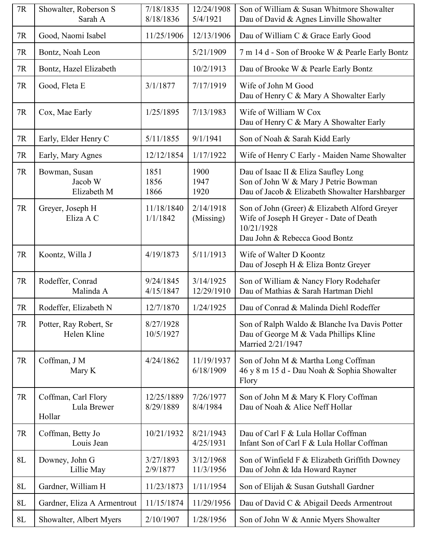| $7\mathrm{R}$ | Showalter, Roberson S<br>Sarah A             | 7/18/1835<br>8/18/1836  | 12/24/1908<br>5/4/1921  | Son of William & Susan Whitmore Showalter<br>Dau of David & Agnes Linville Showalter                                                    |
|---------------|----------------------------------------------|-------------------------|-------------------------|-----------------------------------------------------------------------------------------------------------------------------------------|
| 7R            | Good, Naomi Isabel                           | 11/25/1906              | 12/13/1906              | Dau of William C & Grace Early Good                                                                                                     |
| 7R            | Bontz, Noah Leon                             |                         | 5/21/1909               | 7 m 14 d - Son of Brooke W & Pearle Early Bontz                                                                                         |
| $7\mathrm{R}$ | Bontz, Hazel Elizabeth                       |                         | 10/2/1913               | Dau of Brooke W & Pearle Early Bontz                                                                                                    |
| 7R            | Good, Fleta E                                | 3/1/1877                | 7/17/1919               | Wife of John M Good<br>Dau of Henry C & Mary A Showalter Early                                                                          |
| 7R            | Cox, Mae Early                               | 1/25/1895               | 7/13/1983               | Wife of William W Cox<br>Dau of Henry C & Mary A Showalter Early                                                                        |
| 7R            | Early, Elder Henry C                         | 5/11/1855               | 9/1/1941                | Son of Noah & Sarah Kidd Early                                                                                                          |
| $7\mathrm{R}$ | Early, Mary Agnes                            | 12/12/1854              | 1/17/1922               | Wife of Henry C Early - Maiden Name Showalter                                                                                           |
| $7\mathrm{R}$ | Bowman, Susan<br>Jacob W<br>Elizabeth M      | 1851<br>1856<br>1866    | 1900<br>1947<br>1920    | Dau of Isaac II & Eliza Saufley Long<br>Son of John W & Mary J Petrie Bowman<br>Dau of Jacob & Elizabeth Showalter Harshbarger          |
| 7R            | Greyer, Joseph H<br>Eliza A C                | 11/18/1840<br>1/1/1842  | 2/14/1918<br>(Missing)  | Son of John (Greer) & Elizabeth Alford Greyer<br>Wife of Joseph H Greyer - Date of Death<br>10/21/1928<br>Dau John & Rebecca Good Bontz |
| 7R            | Koontz, Willa J                              | 4/19/1873               | 5/11/1913               | Wife of Walter D Koontz<br>Dau of Joseph H & Eliza Bontz Greyer                                                                         |
| 7R            | Rodeffer, Conrad<br>Malinda A                | 9/24/1845<br>4/15/1847  | 3/14/1925<br>12/29/1910 | Son of William & Nancy Flory Rodehafer<br>Dau of Mathias & Sarah Hartman Diehl                                                          |
| 7R            | Rodeffer, Elizabeth N                        | 12/7/1870               | 1/24/1925               | Dau of Conrad & Malinda Diehl Rodeffer                                                                                                  |
| 7R            | Potter, Ray Robert, Sr<br>Helen Kline        | 8/27/1928<br>10/5/1927  |                         | Son of Ralph Waldo & Blanche Iva Davis Potter<br>Dau of George M & Vada Phillips Kline<br>Married 2/21/1947                             |
| $7\mathrm{R}$ | Coffman, J M<br>Mary K                       | 4/24/1862               | 11/19/1937<br>6/18/1909 | Son of John M & Martha Long Coffman<br>46 y 8 m 15 d - Dau Noah & Sophia Showalter<br>Flory                                             |
| 7R            | Coffman, Carl Flory<br>Lula Brewer<br>Hollar | 12/25/1889<br>8/29/1889 | 7/26/1977<br>8/4/1984   | Son of John M & Mary K Flory Coffman<br>Dau of Noah & Alice Neff Hollar                                                                 |
| 7R            | Coffman, Betty Jo<br>Louis Jean              | 10/21/1932              | 8/21/1943<br>4/25/1931  | Dau of Carl F & Lula Hollar Coffman<br>Infant Son of Carl F & Lula Hollar Coffman                                                       |
| $8L$          | Downey, John G<br>Lillie May                 | 3/27/1893<br>2/9/1877   | 3/12/1968<br>11/3/1956  | Son of Winfield F & Elizabeth Griffith Downey<br>Dau of John & Ida Howard Rayner                                                        |
| $8L$          | Gardner, William H                           | 11/23/1873              | 1/11/1954               | Son of Elijah & Susan Gutshall Gardner                                                                                                  |
| $8L$          | Gardner, Eliza A Armentrout                  | 11/15/1874              | 11/29/1956              | Dau of David C & Abigail Deeds Armentrout                                                                                               |
| $8L$          | Showalter, Albert Myers                      | 2/10/1907               | 1/28/1956               | Son of John W & Annie Myers Showalter                                                                                                   |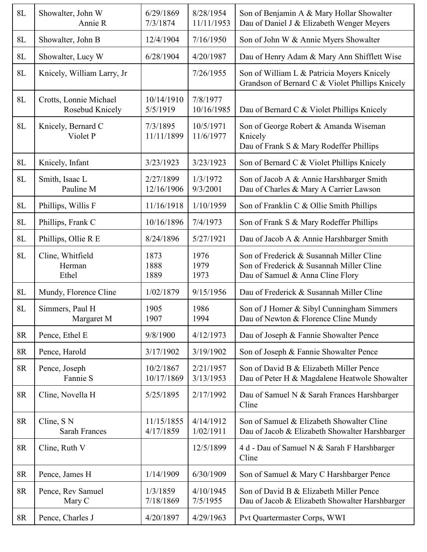| 8L            | Showalter, John W<br>Annie R              | 6/29/1869<br>7/3/1874   | 8/28/1954<br>11/11/1953 | Son of Benjamin A & Mary Hollar Showalter<br>Dau of Daniel J & Elizabeth Wenger Meyers                                   |
|---------------|-------------------------------------------|-------------------------|-------------------------|--------------------------------------------------------------------------------------------------------------------------|
| $8L$          | Showalter, John B                         | 12/4/1904               | 7/16/1950               | Son of John W & Annie Myers Showalter                                                                                    |
| 8L            | Showalter, Lucy W                         | 6/28/1904               | 4/20/1987               | Dau of Henry Adam & Mary Ann Shifflett Wise                                                                              |
| $8L$          | Knicely, William Larry, Jr                |                         | 7/26/1955               | Son of William L & Patricia Moyers Knicely<br>Grandson of Bernard C & Violet Phillips Knicely                            |
| 8L            | Crotts, Lonnie Michael<br>Rosebud Knicely | 10/14/1910<br>5/5/1919  | 7/8/1977<br>10/16/1985  | Dau of Bernard C & Violet Phillips Knicely                                                                               |
| 8L            | Knicely, Bernard C<br>Violet P            | 7/3/1895<br>11/11/1899  | 10/5/1971<br>11/6/1977  | Son of George Robert & Amanda Wiseman<br>Knicely<br>Dau of Frank S & Mary Rodeffer Phillips                              |
| $8L$          | Knicely, Infant                           | 3/23/1923               | 3/23/1923               | Son of Bernard C & Violet Phillips Knicely                                                                               |
| 8L            | Smith, Isaac L<br>Pauline M               | 2/27/1899<br>12/16/1906 | 1/3/1972<br>9/3/2001    | Son of Jacob A & Annie Harshbarger Smith<br>Dau of Charles & Mary A Carrier Lawson                                       |
| $8L$          | Phillips, Willis F                        | 11/16/1918              | 1/10/1959               | Son of Franklin C & Ollie Smith Phillips                                                                                 |
| $8L$          | Phillips, Frank C                         | 10/16/1896              | 7/4/1973                | Son of Frank S & Mary Rodeffer Phillips                                                                                  |
| $8L$          | Phillips, Ollie R E                       | 8/24/1896               | 5/27/1921               | Dau of Jacob A & Annie Harshbarger Smith                                                                                 |
| $8\mathbf{L}$ | Cline, Whitfield<br>Herman<br>Ethel       | 1873<br>1888<br>1889    | 1976<br>1979<br>1973    | Son of Frederick & Susannah Miller Cline<br>Son of Frederick & Susannah Miller Cline<br>Dau of Samuel & Anna Cline Flory |
| 8L            | Mundy, Florence Cline                     | 1/02/1879               | 9/15/1956               | Dau of Frederick & Susannah Miller Cline                                                                                 |
| $8L$          | Simmers, Paul H<br>Margaret M             | 1905<br>1907            | 1986<br>1994            | Son of J Homer & Sibyl Cunningham Simmers<br>Dau of Newton & Florence Cline Mundy                                        |
| 8R            | Pence, Ethel E                            | 9/8/1900                | 4/12/1973               | Dau of Joseph & Fannie Showalter Pence                                                                                   |
| 8R            | Pence, Harold                             | 3/17/1902               | 3/19/1902               | Son of Joseph & Fannie Showalter Pence                                                                                   |
| 8R            | Pence, Joseph<br>Fannie S                 | 10/2/1867<br>10/17/1869 | 2/21/1957<br>3/13/1953  | Son of David B & Elizabeth Miller Pence<br>Dau of Peter H & Magdalene Heatwole Showalter                                 |
| 8R            | Cline, Novella H                          | 5/25/1895               | 2/17/1992               | Dau of Samuel N & Sarah Frances Harshbarger<br>Cline                                                                     |
| 8R            | Cline, S N<br>Sarah Frances               | 11/15/1855<br>4/17/1859 | 4/14/1912<br>1/02/1911  | Son of Samuel & Elizabeth Showalter Cline<br>Dau of Jacob & Elizabeth Showalter Harshbarger                              |
| 8R            | Cline, Ruth V                             |                         | 12/5/1899               | 4 d - Dau of Samuel N & Sarah F Harshbarger<br>Cline                                                                     |
| 8R            | Pence, James H                            | 1/14/1909               | 6/30/1909               | Son of Samuel & Mary C Harshbarger Pence                                                                                 |
| 8R            | Pence, Rev Samuel<br>Mary C               | 1/3/1859<br>7/18/1869   | 4/10/1945<br>7/5/1955   | Son of David B & Elizabeth Miller Pence<br>Dau of Jacob & Elizabeth Showalter Harshbarger                                |
| 8R            | Pence, Charles J                          | 4/20/1897               | 4/29/1963               | Pvt Quartermaster Corps, WWI                                                                                             |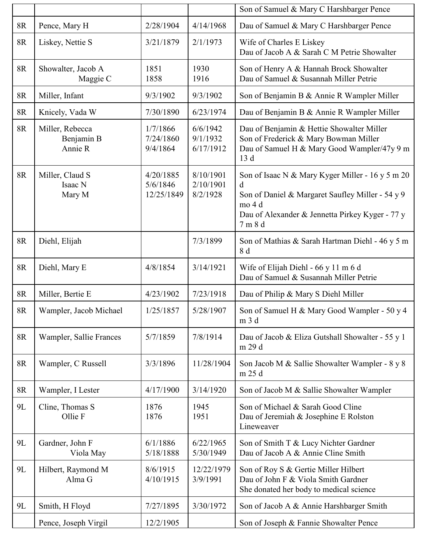|           |                                          |                                     |                                    | Son of Samuel & Mary C Harshbarger Pence                                                                                                                                          |
|-----------|------------------------------------------|-------------------------------------|------------------------------------|-----------------------------------------------------------------------------------------------------------------------------------------------------------------------------------|
| 8R        | Pence, Mary H                            | 2/28/1904                           | 4/14/1968                          | Dau of Samuel & Mary C Harshbarger Pence                                                                                                                                          |
| <b>8R</b> | Liskey, Nettie S                         | 3/21/1879                           | 2/1/1973                           | Wife of Charles E Liskey<br>Dau of Jacob A & Sarah C M Petrie Showalter                                                                                                           |
| 8R        | Showalter, Jacob A<br>Maggie C           | 1851<br>1858                        | 1930<br>1916                       | Son of Henry A & Hannah Brock Showalter<br>Dau of Samuel & Susannah Miller Petrie                                                                                                 |
| 8R        | Miller, Infant                           | 9/3/1902                            | 9/3/1902                           | Son of Benjamin B & Annie R Wampler Miller                                                                                                                                        |
| $8R$      | Knicely, Vada W                          | 7/30/1890                           | 6/23/1974                          | Dau of Benjamin B & Annie R Wampler Miller                                                                                                                                        |
| <b>8R</b> | Miller, Rebecca<br>Benjamin B<br>Annie R | 1/7/1866<br>7/24/1860<br>9/4/1864   | 6/6/1942<br>9/1/1932<br>6/17/1912  | Dau of Benjamin & Hettie Showalter Miller<br>Son of Frederick & Mary Bowman Miller<br>Dau of Samuel H & Mary Good Wampler/47y 9 m<br>13d                                          |
| <b>8R</b> | Miller, Claud S<br>Isaac N<br>Mary M     | 4/20/1885<br>5/6/1846<br>12/25/1849 | 8/10/1901<br>2/10/1901<br>8/2/1928 | Son of Isaac N & Mary Kyger Miller - 16 y 5 m 20<br>d<br>Son of Daniel & Margaret Saufley Miller - 54 y 9<br>mo 4 d<br>Dau of Alexander & Jennetta Pirkey Kyger - 77 y<br>7 m 8 d |
| <b>8R</b> | Diehl, Elijah                            |                                     | 7/3/1899                           | Son of Mathias & Sarah Hartman Diehl - 46 y 5 m<br>8 d                                                                                                                            |
| 8R        | Diehl, Mary E                            | 4/8/1854                            | 3/14/1921                          | Wife of Elijah Diehl - 66 y 11 m 6 d<br>Dau of Samuel & Susannah Miller Petrie                                                                                                    |
| 8R        | Miller, Bertie E                         | 4/23/1902                           | 7/23/1918                          | Dau of Philip & Mary S Diehl Miller                                                                                                                                               |
| $8R$      | Wampler, Jacob Michael                   | 1/25/1857                           | 5/28/1907                          | Son of Samuel H & Mary Good Wampler - 50 y 4<br>m 3 d                                                                                                                             |
| 8R        | Wampler, Sallie Frances                  | 5/7/1859                            | 7/8/1914                           | Dau of Jacob & Eliza Gutshall Showalter - 55 y 1<br>m 29 d                                                                                                                        |
| 8R        | Wampler, C Russell                       | 3/3/1896                            | 11/28/1904                         | Son Jacob M & Sallie Showalter Wampler - 8 y 8<br>m 25 d                                                                                                                          |
| $8R$      | Wampler, I Lester                        | 4/17/1900                           | 3/14/1920                          | Son of Jacob M & Sallie Showalter Wampler                                                                                                                                         |
| 9L        | Cline, Thomas S<br>Ollie F               | 1876<br>1876                        | 1945<br>1951                       | Son of Michael & Sarah Good Cline<br>Dau of Jeremiah & Josephine E Rolston<br>Lineweaver                                                                                          |
| 9L        | Gardner, John F<br>Viola May             | 6/1/1886<br>5/18/1888               | 6/22/1965<br>5/30/1949             | Son of Smith T & Lucy Nichter Gardner<br>Dau of Jacob A & Annie Cline Smith                                                                                                       |
| 9L        | Hilbert, Raymond M<br>Alma G             | 8/6/1915<br>4/10/1915               | 12/22/1979<br>3/9/1991             | Son of Roy S & Gertie Miller Hilbert<br>Dau of John F & Viola Smith Gardner<br>She donated her body to medical science                                                            |
| 9L        | Smith, H Floyd                           | 7/27/1895                           | 3/30/1972                          | Son of Jacob A & Annie Harshbarger Smith                                                                                                                                          |
|           | Pence, Joseph Virgil                     | 12/2/1905                           |                                    | Son of Joseph & Fannie Showalter Pence                                                                                                                                            |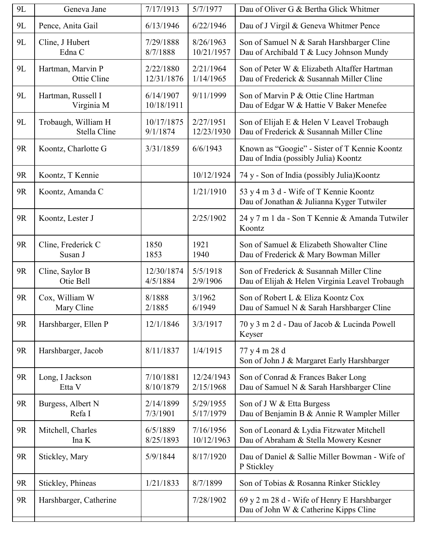| <b>9L</b> | Geneva Jane                         | 7/17/1913               | 5/7/1977                | Dau of Oliver G & Bertha Glick Whitmer                                                     |
|-----------|-------------------------------------|-------------------------|-------------------------|--------------------------------------------------------------------------------------------|
| 9L        | Pence, Anita Gail                   | 6/13/1946               | 6/22/1946               | Dau of J Virgil & Geneva Whitmer Pence                                                     |
| <b>9L</b> | Cline, J Hubert<br>Edna C           | 7/29/1888<br>8/7/1888   | 8/26/1963<br>10/21/1957 | Son of Samuel N & Sarah Harshbarger Cline<br>Dau of Archibald T & Lucy Johnson Mundy       |
| 9L        | Hartman, Marvin P<br>Ottie Cline    | 2/22/1880<br>12/31/1876 | 2/21/1964<br>1/14/1965  | Son of Peter W & Elizabeth Altaffer Hartman<br>Dau of Frederick & Susannah Miller Cline    |
| 9L        | Hartman, Russell I<br>Virginia M    | 6/14/1907<br>10/18/1911 | 9/11/1999               | Son of Marvin P & Ottie Cline Hartman<br>Dau of Edgar W & Hattie V Baker Menefee           |
| 9L        | Trobaugh, William H<br>Stella Cline | 10/17/1875<br>9/1/1874  | 2/27/1951<br>12/23/1930 | Son of Elijah E & Helen V Leavel Trobaugh<br>Dau of Frederick & Susannah Miller Cline      |
| <b>9R</b> | Koontz, Charlotte G                 | 3/31/1859               | 6/6/1943                | Known as "Googie" - Sister of T Kennie Koontz<br>Dau of India (possibly Julia) Koontz      |
| 9R        | Koontz, T Kennie                    |                         | 10/12/1924              | 74 y - Son of India (possibly Julia) Koontz                                                |
| <b>9R</b> | Koontz, Amanda C                    |                         | 1/21/1910               | 53 y 4 m 3 d - Wife of T Kennie Koontz<br>Dau of Jonathan & Julianna Kyger Tutwiler        |
| <b>9R</b> | Koontz, Lester J                    |                         | 2/25/1902               | 24 y 7 m 1 da - Son T Kennie & Amanda Tutwiler<br>Koontz                                   |
| <b>9R</b> | Cline, Frederick C<br>Susan J       | 1850<br>1853            | 1921<br>1940            | Son of Samuel & Elizabeth Showalter Cline<br>Dau of Frederick & Mary Bowman Miller         |
| 9R        | Cline, Saylor B<br>Otie Bell        | 12/30/1874<br>4/5/1884  | 5/5/1918<br>2/9/1906    | Son of Frederick & Susannah Miller Cline<br>Dau of Elijah & Helen Virginia Leavel Trobaugh |
| <b>9R</b> | Cox, William W<br>Mary Cline        | 8/1888<br>2/1885        | 3/1962<br>6/1949        | Son of Robert L & Eliza Koontz Cox<br>Dau of Samuel N & Sarah Harshbarger Cline            |
| <b>9R</b> | Harshbarger, Ellen P                | 12/1/1846               | 3/3/1917                | 70 y 3 m 2 d - Dau of Jacob & Lucinda Powell<br>Keyser                                     |
| 9R        | Harshbarger, Jacob                  | 8/11/1837               | 1/4/1915                | 77 y 4 m 28 d<br>Son of John J & Margaret Early Harshbarger                                |
| <b>9R</b> | Long, I Jackson<br>Etta V           | 7/10/1881<br>8/10/1879  | 12/24/1943<br>2/15/1968 | Son of Conrad & Frances Baker Long<br>Dau of Samuel N & Sarah Harshbarger Cline            |
| 9R        | Burgess, Albert N<br>Refa I         | 2/14/1899<br>7/3/1901   | 5/29/1955<br>5/17/1979  | Son of J W & Etta Burgess<br>Dau of Benjamin B & Annie R Wampler Miller                    |
| 9R        | Mitchell, Charles<br>Ina K          | 6/5/1889<br>8/25/1893   | 7/16/1956<br>10/12/1963 | Son of Leonard & Lydia Fitzwater Mitchell<br>Dau of Abraham & Stella Mowery Kesner         |
| 9R        | Stickley, Mary                      | 5/9/1844                | 8/17/1920               | Dau of Daniel & Sallie Miller Bowman - Wife of<br>P Stickley                               |
| 9R        | Stickley, Phineas                   | 1/21/1833               | 8/7/1899                | Son of Tobias & Rosanna Rinker Stickley                                                    |
| 9R        | Harshbarger, Catherine              |                         | 7/28/1902               | 69 y 2 m 28 d - Wife of Henry E Harshbarger                                                |
|           |                                     |                         |                         | Dau of John W & Catherine Kipps Cline                                                      |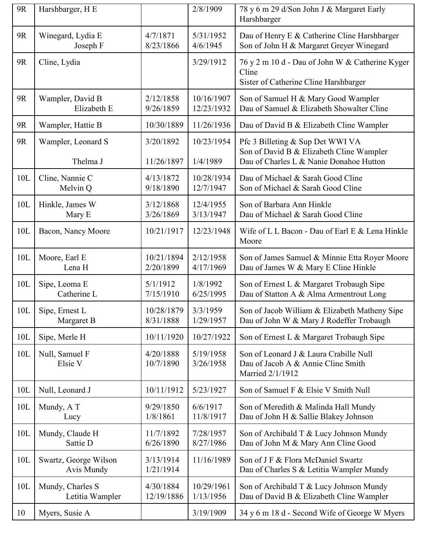| <b>9R</b> | Harshbarger, H E                    |                         | 2/8/1909               | 78 y 6 m 29 d/Son John J & Margaret Early<br>Harshbarger                                                                |
|-----------|-------------------------------------|-------------------------|------------------------|-------------------------------------------------------------------------------------------------------------------------|
| 9R        | Winegard, Lydia E                   | 4/7/1871                | 5/31/1952              | Dau of Henry E & Catherine Cline Harshbarger                                                                            |
|           | Joseph F                            | 8/23/1866               | 4/6/1945               | Son of John H & Margaret Grever Winegard                                                                                |
| <b>9R</b> | Cline, Lydia                        |                         | 3/29/1912              | 76 y 2 m 10 d - Dau of John W & Catherine Kyger<br>Cline<br>Sister of Catherine Cline Harshbarger                       |
| 9R        | Wampler, David B                    | 2/12/1858               | 10/16/1907             | Son of Samuel H & Mary Good Wampler                                                                                     |
|           | Elizabeth E                         | 9/26/1859               | 12/23/1932             | Dau of Samuel & Elizabeth Showalter Cline                                                                               |
| <b>9R</b> | Wampler, Hattie B                   | 10/30/1889              | 11/26/1936             | Dau of David B & Elizabeth Cline Wampler                                                                                |
| <b>9R</b> | Wampler, Leonard S<br>Thelma J      | 3/20/1892<br>11/26/1897 | 10/23/1954<br>1/4/1989 | Pfc 3 Billeting & Sup Det WWI VA<br>Son of David B & Elizabeth Cline Wampler<br>Dau of Charles L & Nanie Donahoe Hutton |
| 10L       | Cline, Nannie C                     | 4/13/1872               | 10/28/1934             | Dau of Michael & Sarah Good Cline                                                                                       |
|           | Melvin Q                            | 9/18/1890               | 12/7/1947              | Son of Michael & Sarah Good Cline                                                                                       |
| 10L       | Hinkle, James W                     | 3/12/1868               | 12/4/1955              | Son of Barbara Ann Hinkle                                                                                               |
|           | Mary E                              | 3/26/1869               | 3/13/1947              | Dau of Michael & Sarah Good Cline                                                                                       |
| 10L       | Bacon, Nancy Moore                  | 10/21/1917              | 12/23/1948             | Wife of L L Bacon - Dau of Earl E & Lena Hinkle<br>Moore                                                                |
| 10L       | Moore, Earl E                       | 10/21/1894              | 2/12/1958              | Son of James Samuel & Minnie Etta Royer Moore                                                                           |
|           | Lena H                              | 2/20/1899               | 4/17/1969              | Dau of James W & Mary E Cline Hinkle                                                                                    |
| 10L       | Sipe, Leoma E                       | 5/1/1912                | 1/8/1992               | Son of Ernest L & Margaret Trobaugh Sipe                                                                                |
|           | Catherine L                         | 7/15/1910               | 6/25/1995              | Dau of Statton A & Alma Armentrout Long                                                                                 |
| 10L       | Sipe, Ernest L                      | 10/28/1879              | 3/3/1959               | Son of Jacob William & Elizabeth Matheny Sipe                                                                           |
|           | Margaret B                          | 8/31/1888               | 1/29/1957              | Dau of John W & Mary J Rodeffer Trobaugh                                                                                |
| 10L       | Sipe, Merle H                       | 10/11/1920              | 10/27/1922             | Son of Ernest L & Margaret Trobaugh Sipe                                                                                |
| 10L       | Null, Samuel F<br>Elsie V           | 4/20/1888<br>10/7/1890  | 5/19/1958<br>3/26/1958 | Son of Leonard J & Laura Crabille Null<br>Dau of Jacob A & Annie Cline Smith<br>Married 2/1/1912                        |
| 10L       | Null, Leonard J                     | 10/11/1912              | 5/23/1927              | Son of Samuel F & Elsie V Smith Null                                                                                    |
| 10L       | Mundy, A T                          | 9/29/1850               | 6/6/1917               | Son of Meredith & Malinda Hall Mundy                                                                                    |
|           | Lucy                                | 1/8/1861                | 11/8/1917              | Dau of John H & Sallie Blakey Johnson                                                                                   |
| 10L       | Mundy, Claude H                     | 11/7/1892               | 7/28/1957              | Son of Archibald T & Lucy Johnson Mundy                                                                                 |
|           | Sattie D                            | 6/26/1890               | 8/27/1986              | Dau of John M & Mary Ann Cline Good                                                                                     |
| 10L       | Swartz, George Wilson<br>Avis Mundy | 3/13/1914<br>1/21/1914  | 11/16/1989             | Son of J F & Flora McDaniel Swartz<br>Dau of Charles S & Letitia Wampler Mundy                                          |
| 10L       | Mundy, Charles S                    | 4/30/1884               | 10/29/1961             | Son of Archibald T & Lucy Johnson Mundy                                                                                 |
|           | Letitia Wampler                     | 12/19/1886              | 1/13/1956              | Dau of David B & Elizabeth Cline Wampler                                                                                |
| 10        | Myers, Susie A                      |                         | 3/19/1909              | 34 y 6 m 18 d - Second Wife of George W Myers                                                                           |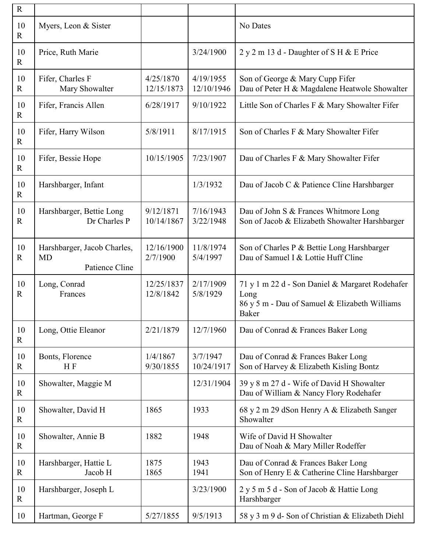| $\mathbf R$        |                                                            |                         |                         |                                                                                                                          |
|--------------------|------------------------------------------------------------|-------------------------|-------------------------|--------------------------------------------------------------------------------------------------------------------------|
| 10<br>$\mathbf R$  | Myers, Leon & Sister                                       |                         |                         | No Dates                                                                                                                 |
| 10<br>$\mathbf R$  | Price, Ruth Marie                                          |                         | 3/24/1900               | $2 y 2 m 13 d$ - Daughter of S H & E Price                                                                               |
| 10<br>$\mathbb{R}$ | Fifer, Charles F<br>Mary Showalter                         | 4/25/1870<br>12/15/1873 | 4/19/1955<br>12/10/1946 | Son of George & Mary Cupp Fifer<br>Dau of Peter H & Magdalene Heatwole Showalter                                         |
| 10<br>$\mathbf R$  | Fifer, Francis Allen                                       | 6/28/1917               | 9/10/1922               | Little Son of Charles F & Mary Showalter Fifer                                                                           |
| 10<br>$\mathbf R$  | Fifer, Harry Wilson                                        | 5/8/1911                | 8/17/1915               | Son of Charles F & Mary Showalter Fifer                                                                                  |
| 10<br>$\mathbf R$  | Fifer, Bessie Hope                                         | 10/15/1905              | 7/23/1907               | Dau of Charles F & Mary Showalter Fifer                                                                                  |
| 10<br>$\mathbb{R}$ | Harshbarger, Infant                                        |                         | 1/3/1932                | Dau of Jacob C & Patience Cline Harshbarger                                                                              |
| 10<br>$\mathbf R$  | Harshbarger, Bettie Long<br>Dr Charles P                   | 9/12/1871<br>10/14/1867 | 7/16/1943<br>3/22/1948  | Dau of John S & Frances Whitmore Long<br>Son of Jacob & Elizabeth Showalter Harshbarger                                  |
| 10<br>$\mathbf R$  | Harshbarger, Jacob Charles,<br><b>MD</b><br>Patience Cline | 12/16/1900<br>2/7/1900  | 11/8/1974<br>5/4/1997   | Son of Charles P & Bettie Long Harshbarger<br>Dau of Samuel I & Lottie Huff Cline                                        |
| 10<br>$\mathbf R$  | Long, Conrad<br>Frances                                    | 12/25/1837<br>12/8/1842 | 2/17/1909<br>5/8/1929   | 71 y 1 m 22 d - Son Daniel & Margaret Rodehafer<br>Long<br>86 y 5 m - Dau of Samuel & Elizabeth Williams<br><b>Baker</b> |
| 10<br>$\mathbf R$  | Long, Ottie Eleanor                                        | 2/21/1879               | 12/7/1960               | Dau of Conrad & Frances Baker Long                                                                                       |
| 10<br>$\mathbf R$  | Bonts, Florence<br>HF                                      | 1/4/1867<br>9/30/1855   | 3/7/1947<br>10/24/1917  | Dau of Conrad & Frances Baker Long<br>Son of Harvey & Elizabeth Kisling Bontz                                            |
| 10<br>$\mathbb{R}$ | Showalter, Maggie M                                        |                         | 12/31/1904              | 39 y 8 m 27 d - Wife of David H Showalter<br>Dau of William & Nancy Flory Rodehafer                                      |
| 10<br>$\mathbf R$  | Showalter, David H                                         | 1865                    | 1933                    | 68 y 2 m 29 dSon Henry A & Elizabeth Sanger<br>Showalter                                                                 |
| 10<br>$\mathbf R$  | Showalter, Annie B                                         | 1882                    | 1948                    | Wife of David H Showalter<br>Dau of Noah & Mary Miller Rodeffer                                                          |
| 10<br>$\mathbf R$  | Harshbarger, Hattie L<br>Jacob H                           | 1875<br>1865            | 1943<br>1941            | Dau of Conrad & Frances Baker Long<br>Son of Henry E & Catherine Cline Harshbarger                                       |
| 10<br>$\mathbf R$  | Harshbarger, Joseph L                                      |                         | 3/23/1900               | 2 y 5 m 5 d - Son of Jacob & Hattie Long<br>Harshbarger                                                                  |
| 10                 | Hartman, George F                                          | 5/27/1855               | 9/5/1913                | 58 y 3 m 9 d- Son of Christian & Elizabeth Diehl                                                                         |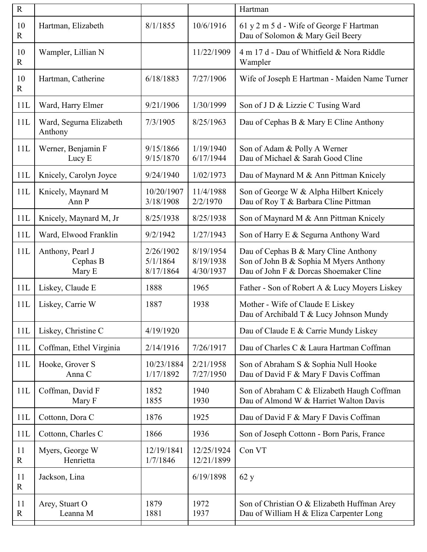| $\mathbf R$       |                                        |                                    |                                     | Hartman                                                                                                                  |
|-------------------|----------------------------------------|------------------------------------|-------------------------------------|--------------------------------------------------------------------------------------------------------------------------|
| 10<br>$\mathbf R$ | Hartman, Elizabeth                     | 8/1/1855                           | 10/6/1916                           | 61 y 2 m 5 d - Wife of George F Hartman<br>Dau of Solomon & Mary Geil Beery                                              |
| 10<br>$\mathbf R$ | Wampler, Lillian N                     |                                    | 11/22/1909                          | 4 m 17 d - Dau of Whitfield & Nora Riddle<br>Wampler                                                                     |
| 10<br>$\mathbf R$ | Hartman, Catherine                     | 6/18/1883                          | 7/27/1906                           | Wife of Joseph E Hartman - Maiden Name Turner                                                                            |
| 11L               | Ward, Harry Elmer                      | 9/21/1906                          | 1/30/1999                           | Son of J D & Lizzie C Tusing Ward                                                                                        |
| 11L               | Ward, Segurna Elizabeth<br>Anthony     | 7/3/1905                           | 8/25/1963                           | Dau of Cephas B & Mary E Cline Anthony                                                                                   |
| 11L               | Werner, Benjamin F<br>Lucy E           | 9/15/1866<br>9/15/1870             | 1/19/1940<br>6/17/1944              | Son of Adam & Polly A Werner<br>Dau of Michael & Sarah Good Cline                                                        |
| 11L               | Knicely, Carolyn Joyce                 | 9/24/1940                          | 1/02/1973                           | Dau of Maynard M & Ann Pittman Knicely                                                                                   |
| 11L               | Knicely, Maynard M<br>Ann P            | 10/20/1907<br>3/18/1908            | 11/4/1988<br>2/2/1970               | Son of George W & Alpha Hilbert Knicely<br>Dau of Roy T & Barbara Cline Pittman                                          |
| 11L               | Knicely, Maynard M, Jr                 | 8/25/1938                          | 8/25/1938                           | Son of Maynard M & Ann Pittman Knicely                                                                                   |
| 11L               | Ward, Elwood Franklin                  | 9/2/1942                           | 1/27/1943                           | Son of Harry E & Segurna Anthony Ward                                                                                    |
| 11L               | Anthony, Pearl J<br>Cephas B<br>Mary E | 2/26/1902<br>5/1/1864<br>8/17/1864 | 8/19/1954<br>8/19/1938<br>4/30/1937 | Dau of Cephas B & Mary Cline Anthony<br>Son of John B & Sophia M Myers Anthony<br>Dau of John F & Dorcas Shoemaker Cline |
| 11L               | Liskey, Claude E                       | 1888                               | 1965                                | Father - Son of Robert A & Lucy Moyers Liskey                                                                            |
| 11L               | Liskey, Carrie W                       | 1887                               | 1938                                | Mother - Wife of Claude E Liskey<br>Dau of Archibald T & Lucy Johnson Mundy                                              |
| 11L               | Liskey, Christine C                    | 4/19/1920                          |                                     | Dau of Claude E & Carrie Mundy Liskey                                                                                    |
| 11L               | Coffman, Ethel Virginia                | 2/14/1916                          | 7/26/1917                           | Dau of Charles C & Laura Hartman Coffman                                                                                 |
| 11L               | Hooke, Grover S<br>Anna C              | 10/23/1884<br>1/17/1892            | 2/21/1958<br>7/27/1950              | Son of Abraham S & Sophia Null Hooke<br>Dau of David F & Mary F Davis Coffman                                            |
| 11L               | Coffman, David F<br>Mary F             | 1852<br>1855                       | 1940<br>1930                        | Son of Abraham C & Elizabeth Haugh Coffman<br>Dau of Almond W & Harriet Walton Davis                                     |
| 11L               | Cottonn, Dora C                        | 1876                               | 1925                                | Dau of David F & Mary F Davis Coffman                                                                                    |
| 11L               | Cottonn, Charles C                     | 1866                               | 1936                                | Son of Joseph Cottonn - Born Paris, France                                                                               |
| 11<br>$\mathbf R$ | Myers, George W<br>Henrietta           | 12/19/1841<br>1/7/1846             | 12/25/1924<br>12/21/1899            | Con VT                                                                                                                   |
| 11<br>$\mathbf R$ | Jackson, Lina                          |                                    | 6/19/1898                           | 62y                                                                                                                      |
| 11<br>$\mathbf R$ | Arey, Stuart O<br>Leanna M             | 1879<br>1881                       | 1972<br>1937                        | Son of Christian O & Elizabeth Huffman Arey<br>Dau of William H & Eliza Carpenter Long                                   |
|                   |                                        |                                    |                                     |                                                                                                                          |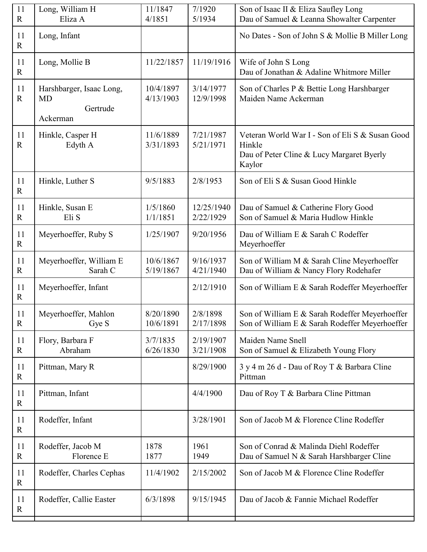| 11<br>$\mathbf R$ | Long, William H<br>Eliza A                                    | 11/1847<br>4/1851      | 7/1920<br>5/1934        | Son of Isaac II & Eliza Saufley Long<br>Dau of Samuel & Leanna Showalter Carpenter                               |
|-------------------|---------------------------------------------------------------|------------------------|-------------------------|------------------------------------------------------------------------------------------------------------------|
| 11<br>$\mathbf R$ | Long, Infant                                                  |                        |                         | No Dates - Son of John S & Mollie B Miller Long                                                                  |
| 11<br>$\mathbf R$ | Long, Mollie B                                                | 11/22/1857             | 11/19/1916              | Wife of John S Long<br>Dau of Jonathan & Adaline Whitmore Miller                                                 |
| 11<br>$\mathbf R$ | Harshbarger, Isaac Long,<br><b>MD</b><br>Gertrude<br>Ackerman | 10/4/1897<br>4/13/1903 | 3/14/1977<br>12/9/1998  | Son of Charles P & Bettie Long Harshbarger<br>Maiden Name Ackerman                                               |
| 11<br>$\mathbf R$ | Hinkle, Casper H<br>Edyth A                                   | 11/6/1889<br>3/31/1893 | 7/21/1987<br>5/21/1971  | Veteran World War I - Son of Eli S & Susan Good<br>Hinkle<br>Dau of Peter Cline & Lucy Margaret Byerly<br>Kaylor |
| 11<br>$\mathbf R$ | Hinkle, Luther S                                              | 9/5/1883               | 2/8/1953                | Son of Eli S & Susan Good Hinkle                                                                                 |
| 11<br>$\mathbf R$ | Hinkle, Susan E<br>Eli S                                      | 1/5/1860<br>1/1/1851   | 12/25/1940<br>2/22/1929 | Dau of Samuel & Catherine Flory Good<br>Son of Samuel & Maria Hudlow Hinkle                                      |
| 11<br>$\mathbf R$ | Meyerhoeffer, Ruby S                                          | 1/25/1907              | 9/20/1956               | Dau of William E & Sarah C Rodeffer<br>Meyerhoeffer                                                              |
| 11<br>$\mathbf R$ | Meyerhoeffer, William E<br>Sarah C                            | 10/6/1867<br>5/19/1867 | 9/16/1937<br>4/21/1940  | Son of William M & Sarah Cline Meyerhoeffer<br>Dau of William & Nancy Flory Rodehafer                            |
| 11<br>$\mathbf R$ | Meyerhoeffer, Infant                                          |                        | 2/12/1910               | Son of William E & Sarah Rodeffer Meyerhoeffer                                                                   |
| 11<br>$\mathbf R$ | Meyerhoeffer, Mahlon<br>Gye S                                 | 8/20/1890<br>10/6/1891 | 2/8/1898<br>2/17/1898   | Son of William E & Sarah Rodeffer Meyerhoeffer<br>Son of William E & Sarah Rodeffer Meyerhoeffer                 |
| 11<br>$\mathbf R$ | Flory, Barbara F<br>Abraham                                   | 3/7/1835<br>6/26/1830  | 2/19/1907<br>3/21/1908  | Maiden Name Snell<br>Son of Samuel & Elizabeth Young Flory                                                       |
| 11<br>$\mathbf R$ | Pittman, Mary R                                               |                        | 8/29/1900               | 3 y 4 m 26 d - Dau of Roy T & Barbara Cline<br>Pittman                                                           |
| 11<br>$\mathbf R$ | Pittman, Infant                                               |                        | 4/4/1900                | Dau of Roy T & Barbara Cline Pittman                                                                             |
| 11<br>$\mathbf R$ | Rodeffer, Infant                                              |                        | 3/28/1901               | Son of Jacob M & Florence Cline Rodeffer                                                                         |
| 11<br>$\mathbf R$ | Rodeffer, Jacob M<br>Florence E                               | 1878<br>1877           | 1961<br>1949            | Son of Conrad & Malinda Diehl Rodeffer<br>Dau of Samuel N & Sarah Harshbarger Cline                              |
| 11<br>$\mathbf R$ | Rodeffer, Charles Cephas                                      | 11/4/1902              | 2/15/2002               | Son of Jacob M & Florence Cline Rodeffer                                                                         |
| 11<br>$\mathbf R$ | Rodeffer, Callie Easter                                       | 6/3/1898               | 9/15/1945               | Dau of Jacob & Fannie Michael Rodeffer                                                                           |
|                   |                                                               |                        |                         |                                                                                                                  |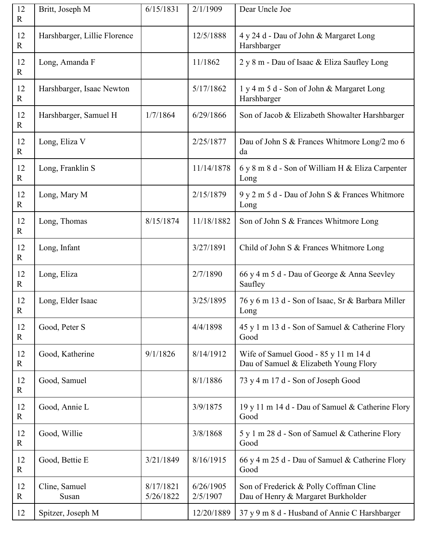| 12<br>$\mathbf R$  | Britt, Joseph M              | 6/15/1831              | 2/1/1909              | Dear Uncle Joe                                                                |
|--------------------|------------------------------|------------------------|-----------------------|-------------------------------------------------------------------------------|
| 12<br>$\mathbf{R}$ | Harshbarger, Lillie Florence |                        | 12/5/1888             | 4 y 24 d - Dau of John & Margaret Long<br>Harshbarger                         |
| 12<br>$\mathbf R$  | Long, Amanda F               |                        | 11/1862               | 2 y 8 m - Dau of Isaac & Eliza Saufley Long                                   |
| 12<br>$\mathbf{R}$ | Harshbarger, Isaac Newton    |                        | 5/17/1862             | 1 y 4 m 5 d - Son of John & Margaret Long<br>Harshbarger                      |
| 12<br>$\mathbf{R}$ | Harshbarger, Samuel H        | 1/7/1864               | 6/29/1866             | Son of Jacob & Elizabeth Showalter Harshbarger                                |
| 12<br>$\mathbf{R}$ | Long, Eliza V                |                        | 2/25/1877             | Dau of John S & Frances Whitmore Long/2 mo 6<br>da                            |
| 12<br>$\mathbf{R}$ | Long, Franklin S             |                        | 11/14/1878            | 6 y 8 m 8 d - Son of William H & Eliza Carpenter<br>Long                      |
| 12<br>$\mathbf{R}$ | Long, Mary M                 |                        | 2/15/1879             | 9 y 2 m 5 d - Dau of John S & Frances Whitmore<br>Long                        |
| 12<br>$\mathbf{R}$ | Long, Thomas                 | 8/15/1874              | 11/18/1882            | Son of John S & Frances Whitmore Long                                         |
| 12<br>$\mathbf{R}$ | Long, Infant                 |                        | 3/27/1891             | Child of John S & Frances Whitmore Long                                       |
| 12<br>$\mathbf{R}$ | Long, Eliza                  |                        | 2/7/1890              | 66 y 4 m 5 d - Dau of George & Anna Seevley<br>Saufley                        |
| 12<br>$\mathbf R$  | Long, Elder Isaac            |                        | 3/25/1895             | 76 y 6 m 13 d - Son of Isaac, Sr & Barbara Miller<br>Long                     |
| 12<br>$\mathbf{R}$ | Good, Peter S                |                        | 4/4/1898              | 45 y 1 m 13 d - Son of Samuel & Catherine Flory<br>Good                       |
| 12<br>$\mathbf{R}$ | Good, Katherine              | 9/1/1826               | 8/14/1912             | Wife of Samuel Good - 85 y 11 m 14 d<br>Dau of Samuel & Elizabeth Young Flory |
| 12<br>$\mathbf R$  | Good, Samuel                 |                        | 8/1/1886              | 73 y 4 m 17 d - Son of Joseph Good                                            |
| 12<br>$\mathbf{R}$ | Good, Annie L                |                        | 3/9/1875              | 19 y 11 m 14 d - Dau of Samuel & Catherine Flory<br>Good                      |
| 12<br>$\mathbf R$  | Good, Willie                 |                        | 3/8/1868              | 5 y 1 m 28 d - Son of Samuel & Catherine Flory<br>Good                        |
| 12<br>$\mathbf R$  | Good, Bettie E               | 3/21/1849              | 8/16/1915             | 66 y 4 m 25 d - Dau of Samuel & Catherine Flory<br>Good                       |
| 12<br>$\mathbf{R}$ | Cline, Samuel<br>Susan       | 8/17/1821<br>5/26/1822 | 6/26/1905<br>2/5/1907 | Son of Frederick & Polly Coffman Cline<br>Dau of Henry & Margaret Burkholder  |
| 12                 | Spitzer, Joseph M            |                        | 12/20/1889            | 37 y 9 m 8 d - Husband of Annie C Harshbarger                                 |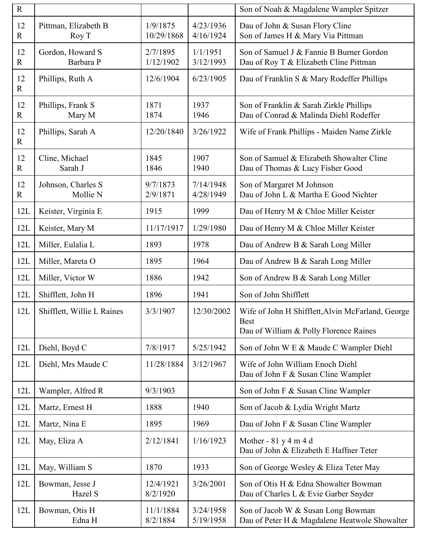| ${\bf R}$            |                                |                        |                        | Son of Noah & Magdalene Wampler Spitzer                                                                    |
|----------------------|--------------------------------|------------------------|------------------------|------------------------------------------------------------------------------------------------------------|
| 12<br>$\overline{R}$ | Pittman, Elizabeth B<br>Roy T  | 1/9/1875<br>10/29/1868 | 4/23/1936<br>4/16/1924 | Dau of John & Susan Flory Cline<br>Son of James H & Mary Via Pittman                                       |
| 12<br>$\mathbf R$    | Gordon, Howard S<br>Barbara P  | 2/7/1895<br>1/12/1902  | 1/1/1951<br>3/12/1993  | Son of Samuel J & Fannie B Burner Gordon<br>Dau of Roy T & Elizabeth Cline Pittman                         |
| 12<br>$\mathbf R$    | Phillips, Ruth A               | 12/6/1904              | 6/23/1905              | Dau of Franklin S & Mary Rodeffer Phillips                                                                 |
| 12<br>$\overline{R}$ | Phillips, Frank S<br>Mary M    | 1871<br>1874           | 1937<br>1946           | Son of Franklin & Sarah Zirkle Phillips<br>Dau of Conrad & Malinda Diehl Rodeffer                          |
| 12<br>$\mathbf R$    | Phillips, Sarah A              | 12/20/1840             | 3/26/1922              | Wife of Frank Phillips - Maiden Name Zirkle                                                                |
| 12<br>$\mathbf R$    | Cline, Michael<br>Sarah J      | 1845<br>1846           | 1907<br>1940           | Son of Samuel & Elizabeth Showalter Cline<br>Dau of Thomas & Lucy Fisher Good                              |
| 12<br>$\overline{R}$ | Johnson, Charles S<br>Mollie N | 9/7/1873<br>2/9/1871   | 7/14/1948<br>4/28/1949 | Son of Margaret M Johnson<br>Dau of John L & Martha E Good Nichter                                         |
| 12L                  | Keister, Virginia E            | 1915                   | 1999                   | Dau of Henry M & Chloe Miller Keister                                                                      |
| 12L                  | Keister, Mary M                | 11/17/1917             | 1/29/1980              | Dau of Henry M & Chloe Miller Keister                                                                      |
| 12L                  | Miller, Eulalia L              | 1893                   | 1978                   | Dau of Andrew B & Sarah Long Miller                                                                        |
| 12L                  | Miller, Mareta O               | 1895                   | 1964                   | Dau of Andrew B & Sarah Long Miller                                                                        |
| 12L                  | Miller, Victor W               | 1886                   | 1942                   | Son of Andrew B & Sarah Long Miller                                                                        |
| 12L                  | Shifflett, John H              | 1896                   | 1941                   | Son of John Shifflett                                                                                      |
| 12L                  | Shifflett, Willie L Raines     | 3/3/1907               | 12/30/2002             | Wife of John H Shifflett, Alvin McFarland, George<br><b>Best</b><br>Dau of William & Polly Florence Raines |
| 12L                  | Diehl, Boyd C                  | 7/8/1917               | 5/25/1942              | Son of John W E & Maude C Wampler Diehl                                                                    |
| 12L                  | Diehl, Mrs Maude C             | 11/28/1884             | 3/12/1967              | Wife of John William Enoch Diehl<br>Dau of John F & Susan Cline Wampler                                    |
| 12L                  | Wampler, Alfred R              | 9/3/1903               |                        | Son of John F & Susan Cline Wampler                                                                        |
| 12L                  | Martz, Ernest H                | 1888                   | 1940                   | Son of Jacob & Lydia Wright Martz                                                                          |
| 12L                  | Martz, Nina E                  | 1895                   | 1969                   | Dau of John F & Susan Cline Wampler                                                                        |
| 12L                  | May, Eliza A                   | 2/12/1841              | 1/16/1923              | Mother - $81y4m4d$<br>Dau of John & Elizabeth E Haffner Teter                                              |
| 12L                  | May, William S                 | 1870                   | 1933                   | Son of George Wesley & Eliza Teter May                                                                     |
| 12L                  | Bowman, Jesse J<br>Hazel S     | 12/4/1921<br>8/2/1920  | 3/26/2001              | Son of Otis H & Edna Showalter Bowman<br>Dau of Charles L & Evie Garber Snyder                             |
| 12L                  | Bowman, Otis H<br>Edna H       | 11/1/1884<br>8/2/1884  | 3/24/1958<br>5/19/1958 | Son of Jacob W & Susan Long Bowman<br>Dau of Peter H & Magdalene Heatwole Showalter                        |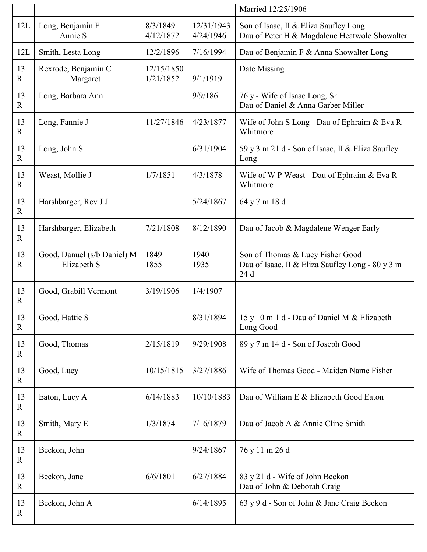|                   |                                            |                         |                         | Married 12/25/1906                                                                           |
|-------------------|--------------------------------------------|-------------------------|-------------------------|----------------------------------------------------------------------------------------------|
| 12L               | Long, Benjamin F<br>Annie S                | 8/3/1849<br>4/12/1872   | 12/31/1943<br>4/24/1946 | Son of Isaac, II & Eliza Saufley Long<br>Dau of Peter H & Magdalene Heatwole Showalter       |
| 12L               | Smith, Lesta Long                          | 12/2/1896               | 7/16/1994               | Dau of Benjamin F & Anna Showalter Long                                                      |
| 13<br>$\mathbf R$ | Rexrode, Benjamin C<br>Margaret            | 12/15/1850<br>1/21/1852 | 9/1/1919                | Date Missing                                                                                 |
| 13<br>$\mathbf R$ | Long, Barbara Ann                          |                         | 9/9/1861                | 76 y - Wife of Isaac Long, Sr<br>Dau of Daniel & Anna Garber Miller                          |
| 13<br>$\mathbf R$ | Long, Fannie J                             | 11/27/1846              | 4/23/1877               | Wife of John S Long - Dau of Ephraim & Eva R<br>Whitmore                                     |
| 13<br>$\mathbf R$ | Long, John S                               |                         | 6/31/1904               | 59 y 3 m 21 d - Son of Isaac, II & Eliza Saufley<br>Long                                     |
| 13<br>$\mathbf R$ | Weast, Mollie J                            | 1/7/1851                | 4/3/1878                | Wife of W P Weast - Dau of Ephraim & Eva R<br>Whitmore                                       |
| 13<br>$\mathbf R$ | Harshbarger, Rev J J                       |                         | 5/24/1867               | 64 y 7 m 18 d                                                                                |
| 13<br>$\mathbf R$ | Harshbarger, Elizabeth                     | 7/21/1808               | 8/12/1890               | Dau of Jacob & Magdalene Wenger Early                                                        |
| 13<br>$\mathbf R$ | Good, Danuel (s/b Daniel) M<br>Elizabeth S | 1849<br>1855            | 1940<br>1935            | Son of Thomas & Lucy Fisher Good<br>Dau of Isaac, II & Eliza Saufley Long - 80 y 3 m<br>24 d |
| 13<br>$\mathbf R$ | Good, Grabill Vermont                      | 3/19/1906               | 1/4/1907                |                                                                                              |
| 13<br>$\mathbf R$ | Good, Hattie S                             |                         | 8/31/1894               | 15 y 10 m 1 d - Dau of Daniel M & Elizabeth<br>Long Good                                     |
| 13<br>$\mathbf R$ | Good, Thomas                               | 2/15/1819               | 9/29/1908               | 89 y 7 m 14 d - Son of Joseph Good                                                           |
| 13<br>$\mathbf R$ | Good, Lucy                                 | 10/15/1815              | 3/27/1886               | Wife of Thomas Good - Maiden Name Fisher                                                     |
| 13<br>$\mathbf R$ | Eaton, Lucy A                              | 6/14/1883               | 10/10/1883              | Dau of William E & Elizabeth Good Eaton                                                      |
| 13<br>$\mathbf R$ | Smith, Mary E                              | 1/3/1874                | 7/16/1879               | Dau of Jacob A & Annie Cline Smith                                                           |
| 13<br>$\mathbf R$ | Beckon, John                               |                         | 9/24/1867               | 76 y 11 m 26 d                                                                               |
| 13<br>$\mathbf R$ | Beckon, Jane                               | 6/6/1801                | 6/27/1884               | 83 y 21 d - Wife of John Beckon<br>Dau of John & Deborah Craig                               |
| 13<br>$\mathbf R$ | Beckon, John A                             |                         | 6/14/1895               | 63 y 9 d - Son of John & Jane Craig Beckon                                                   |
|                   |                                            |                         |                         |                                                                                              |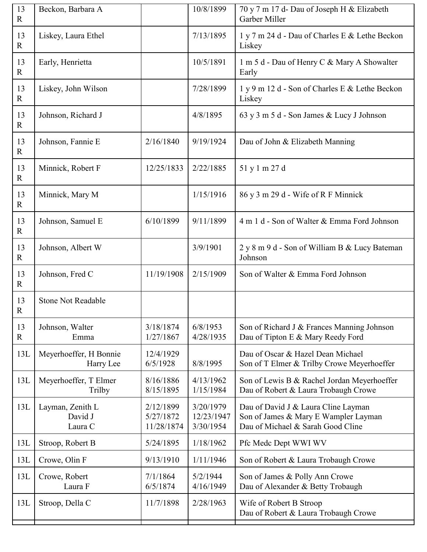| 13<br>$\mathbf R$  | Beckon, Barbara A                      |                                      | 10/8/1899                            | 70 y 7 m 17 d- Dau of Joseph H & Elizabeth<br>Garber Miller                                                      |
|--------------------|----------------------------------------|--------------------------------------|--------------------------------------|------------------------------------------------------------------------------------------------------------------|
| 13<br>$\mathbf R$  | Liskey, Laura Ethel                    |                                      | 7/13/1895                            | 1 y 7 m 24 d - Dau of Charles E & Lethe Beckon<br>Liskey                                                         |
| 13<br>$\mathbf{R}$ | Early, Henrietta                       |                                      | 10/5/1891                            | 1 m 5 d - Dau of Henry C & Mary A Showalter<br>Early                                                             |
| 13<br>$\mathbf R$  | Liskey, John Wilson                    |                                      | 7/28/1899                            | 1 y 9 m 12 d - Son of Charles E & Lethe Beckon<br>Liskey                                                         |
| 13<br>$\mathbf R$  | Johnson, Richard J                     |                                      | 4/8/1895                             | 63 y 3 m 5 d - Son James & Lucy J Johnson                                                                        |
| 13<br>$\mathbf{R}$ | Johnson, Fannie E                      | 2/16/1840                            | 9/19/1924                            | Dau of John & Elizabeth Manning                                                                                  |
| 13<br>$\mathbf R$  | Minnick, Robert F                      | 12/25/1833                           | 2/22/1885                            | 51 y 1 m 27 d                                                                                                    |
| 13<br>$\mathbf R$  | Minnick, Mary M                        |                                      | 1/15/1916                            | 86 y 3 m 29 d - Wife of R F Minnick                                                                              |
| 13<br>$\mathbf R$  | Johnson, Samuel E                      | 6/10/1899                            | 9/11/1899                            | 4 m 1 d - Son of Walter & Emma Ford Johnson                                                                      |
| 13<br>$\mathbf{R}$ | Johnson, Albert W                      |                                      | 3/9/1901                             | 2 y 8 m 9 d - Son of William B & Lucy Bateman<br>Johnson                                                         |
| 13<br>$\mathbf R$  | Johnson, Fred C                        | 11/19/1908                           | 2/15/1909                            | Son of Walter & Emma Ford Johnson                                                                                |
| 13<br>$\mathbf R$  | <b>Stone Not Readable</b>              |                                      |                                      |                                                                                                                  |
| 13<br>$\mathbf R$  | Johnson, Walter<br>Emma                | 3/18/1874<br>1/27/1867               | 6/8/1953<br>4/28/1935                | Son of Richard J & Frances Manning Johnson<br>Dau of Tipton E & Mary Reedy Ford                                  |
| 13L                | Meyerhoeffer, H Bonnie<br>Harry Lee    | 12/4/1929<br>6/5/1928                | 8/8/1995                             | Dau of Oscar & Hazel Dean Michael<br>Son of T Elmer & Trilby Crowe Meyerhoeffer                                  |
| 13L                | Meyerhoeffer, T Elmer<br>Trilby        | 8/16/1886<br>8/15/1895               | 4/13/1962<br>1/15/1984               | Son of Lewis B & Rachel Jordan Meyerhoeffer<br>Dau of Robert & Laura Trobaugh Crowe                              |
| 13L                | Layman, Zenith L<br>David J<br>Laura C | 2/12/1899<br>5/27/1872<br>11/28/1874 | 3/20/1979<br>12/23/1947<br>3/30/1954 | Dau of David J & Laura Cline Layman<br>Son of James & Mary E Wampler Layman<br>Dau of Michael & Sarah Good Cline |
| 13L                | Stroop, Robert B                       | 5/24/1895                            | 1/18/1962                            | Pfc Medc Dept WWI WV                                                                                             |
| 13L                | Crowe, Olin F                          | 9/13/1910                            | 1/11/1946                            | Son of Robert & Laura Trobaugh Crowe                                                                             |
| 13L                | Crowe, Robert<br>Laura F               | 7/1/1864<br>6/5/1874                 | 5/2/1944<br>4/16/1949                | Son of James & Polly Ann Crowe<br>Dau of Alexander & Betty Trobaugh                                              |
| 13L                | Stroop, Della C                        | 11/7/1898                            | 2/28/1963                            | Wife of Robert B Stroop<br>Dau of Robert & Laura Trobaugh Crowe                                                  |
|                    |                                        |                                      |                                      |                                                                                                                  |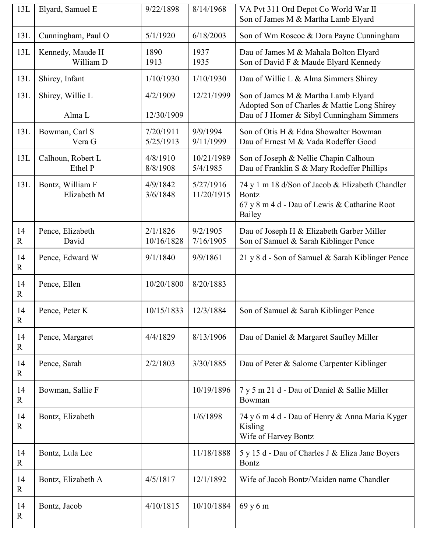| 13L               | Elyard, Samuel E                | 9/22/1898              | 8/14/1968               | VA Pvt 311 Ord Depot Co World War II<br>Son of James M & Martha Lamb Elyard                                                     |
|-------------------|---------------------------------|------------------------|-------------------------|---------------------------------------------------------------------------------------------------------------------------------|
| 13L               | Cunningham, Paul O              | 5/1/1920               | 6/18/2003               | Son of Wm Roscoe & Dora Payne Cunningham                                                                                        |
| 13L               | Kennedy, Maude H<br>William D   | 1890<br>1913           | 1937<br>1935            | Dau of James M & Mahala Bolton Elyard<br>Son of David F & Maude Elyard Kennedy                                                  |
| 13L               | Shirey, Infant                  | 1/10/1930              | 1/10/1930               | Dau of Willie L & Alma Simmers Shirey                                                                                           |
| 13L               | Shirey, Willie L<br>Alma L      | 4/2/1909<br>12/30/1909 | 12/21/1999              | Son of James M & Martha Lamb Elyard<br>Adopted Son of Charles & Mattie Long Shirey<br>Dau of J Homer & Sibyl Cunningham Simmers |
| 13L               | Bowman, Carl S<br>Vera G        | 7/20/1911<br>5/25/1913 | 9/9/1994<br>9/11/1999   | Son of Otis H & Edna Showalter Bowman<br>Dau of Ernest M & Vada Rodeffer Good                                                   |
| 13L               | Calhoun, Robert L<br>Ethel P    | 4/8/1910<br>8/8/1908   | 10/21/1989<br>5/4/1985  | Son of Joseph & Nellie Chapin Calhoun<br>Dau of Franklin S & Mary Rodeffer Phillips                                             |
| 13L               | Bontz, William F<br>Elizabeth M | 4/9/1842<br>3/6/1848   | 5/27/1916<br>11/20/1915 | 74 y 1 m 18 d/Son of Jacob & Elizabeth Chandler<br><b>Bontz</b><br>67 y 8 m 4 d - Dau of Lewis & Catharine Root<br>Bailey       |
| 14<br>$\mathbf R$ | Pence, Elizabeth<br>David       | 2/1/1826<br>10/16/1828 | 9/2/1905<br>7/16/1905   | Dau of Joseph H & Elizabeth Garber Miller<br>Son of Samuel & Sarah Kiblinger Pence                                              |
| 14<br>$\mathbf R$ | Pence, Edward W                 | 9/1/1840               | 9/9/1861                | 21 y 8 d - Son of Samuel & Sarah Kiblinger Pence                                                                                |
| 14<br>$\mathbf R$ | Pence, Ellen                    | 10/20/1800             | 8/20/1883               |                                                                                                                                 |
| 14<br>$\mathbf R$ | Pence, Peter K                  | 10/15/1833             | 12/3/1884               | Son of Samuel & Sarah Kiblinger Pence                                                                                           |
| 14<br>$\mathbf R$ | Pence, Margaret                 | 4/4/1829               | 8/13/1906               | Dau of Daniel & Margaret Saufley Miller                                                                                         |
| 14<br>$\mathbf R$ | Pence, Sarah                    | 2/2/1803               | 3/30/1885               | Dau of Peter & Salome Carpenter Kiblinger                                                                                       |
| 14<br>$\mathbf R$ | Bowman, Sallie F                |                        | 10/19/1896              | 7 y 5 m 21 d - Dau of Daniel & Sallie Miller<br>Bowman                                                                          |
| 14<br>$\mathbf R$ | Bontz, Elizabeth                |                        | 1/6/1898                | 74 y 6 m 4 d - Dau of Henry & Anna Maria Kyger<br>Kisling<br>Wife of Harvey Bontz                                               |
| 14<br>$\mathbf R$ | Bontz, Lula Lee                 |                        | 11/18/1888              | 5 y 15 d - Dau of Charles J & Eliza Jane Boyers<br><b>Bontz</b>                                                                 |
| 14<br>$\mathbf R$ | Bontz, Elizabeth A              | 4/5/1817               | 12/1/1892               | Wife of Jacob Bontz/Maiden name Chandler                                                                                        |
| 14<br>$\mathbf R$ | Bontz, Jacob                    | 4/10/1815              | 10/10/1884              | 69 y 6 m                                                                                                                        |
|                   |                                 |                        |                         |                                                                                                                                 |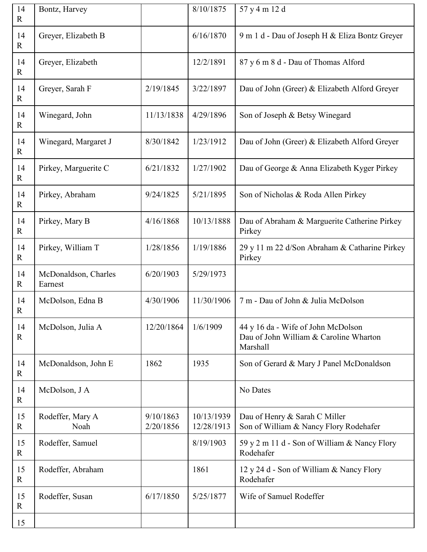| 14<br>R           | Bontz, Harvey                   |                        | 8/10/1875                | 57 y 4 m 12 d                                                                            |
|-------------------|---------------------------------|------------------------|--------------------------|------------------------------------------------------------------------------------------|
| 14<br>$\mathbf R$ | Greyer, Elizabeth B             |                        | 6/16/1870                | 9 m 1 d - Dau of Joseph H & Eliza Bontz Greyer                                           |
| 14<br>$\mathbf R$ | Greyer, Elizabeth               |                        | 12/2/1891                | 87 y 6 m 8 d - Dau of Thomas Alford                                                      |
| 14<br>$\mathbf R$ | Greyer, Sarah F                 | 2/19/1845              | 3/22/1897                | Dau of John (Greer) & Elizabeth Alford Greyer                                            |
| 14<br>$\mathbf R$ | Winegard, John                  | 11/13/1838             | 4/29/1896                | Son of Joseph & Betsy Winegard                                                           |
| 14<br>$\mathbf R$ | Winegard, Margaret J            | 8/30/1842              | 1/23/1912                | Dau of John (Greer) & Elizabeth Alford Greyer                                            |
| 14<br>$\mathbf R$ | Pirkey, Marguerite C            | 6/21/1832              | 1/27/1902                | Dau of George & Anna Elizabeth Kyger Pirkey                                              |
| 14<br>$\mathbf R$ | Pirkey, Abraham                 | 9/24/1825              | 5/21/1895                | Son of Nicholas & Roda Allen Pirkey                                                      |
| 14<br>$\mathbf R$ | Pirkey, Mary B                  | 4/16/1868              | 10/13/1888               | Dau of Abraham & Marguerite Catherine Pirkey<br>Pirkey                                   |
| 14<br>$\mathbf R$ | Pirkey, William T               | 1/28/1856              | 1/19/1886                | 29 y 11 m 22 d/Son Abraham & Catharine Pirkey<br>Pirkey                                  |
| 14<br>$\mathbf R$ | McDonaldson, Charles<br>Earnest | 6/20/1903              | 5/29/1973                |                                                                                          |
| 14<br>$\mathbf R$ | McDolson, Edna B                | 4/30/1906              | 11/30/1906               | 7 m - Dau of John & Julia McDolson                                                       |
| 14<br>R           | McDolson, Julia A               | 12/20/1864             | 1/6/1909                 | 44 y 16 da - Wife of John McDolson<br>Dau of John William & Caroline Wharton<br>Marshall |
| 14<br>$\mathbf R$ | McDonaldson, John E             | 1862                   | 1935                     | Son of Gerard & Mary J Panel McDonaldson                                                 |
| 14<br>$\mathbf R$ | McDolson, J A                   |                        |                          | No Dates                                                                                 |
| 15<br>$\mathbf R$ | Rodeffer, Mary A<br>Noah        | 9/10/1863<br>2/20/1856 | 10/13/1939<br>12/28/1913 | Dau of Henry & Sarah C Miller<br>Son of William & Nancy Flory Rodehafer                  |
| 15<br>$\mathbf R$ | Rodeffer, Samuel                |                        | 8/19/1903                | 59 y 2 m 11 d - Son of William & Nancy Flory<br>Rodehafer                                |
| 15<br>$\mathbf R$ | Rodeffer, Abraham               |                        | 1861                     | 12 y 24 d - Son of William & Nancy Flory<br>Rodehafer                                    |
| 15                |                                 |                        | 5/25/1877                | Wife of Samuel Rodeffer                                                                  |
| $\mathbf R$       | Rodeffer, Susan                 | 6/17/1850              |                          |                                                                                          |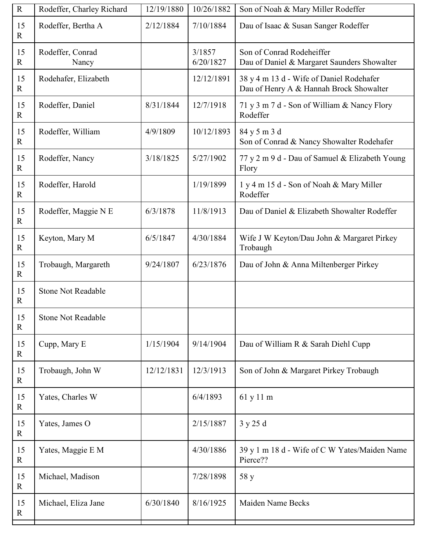| $\mathbf R$        | Rodeffer, Charley Richard | 12/19/1880 | 10/26/1882          | Son of Noah & Mary Miller Rodeffer                                                  |
|--------------------|---------------------------|------------|---------------------|-------------------------------------------------------------------------------------|
| 15<br>$\mathbf R$  | Rodeffer, Bertha A        | 2/12/1884  | 7/10/1884           | Dau of Isaac & Susan Sanger Rodeffer                                                |
| 15<br>$\mathbb{R}$ | Rodeffer, Conrad<br>Nancy |            | 3/1857<br>6/20/1827 | Son of Conrad Rodeheiffer<br>Dau of Daniel & Margaret Saunders Showalter            |
| 15<br>$\mathbf R$  | Rodehafer, Elizabeth      |            | 12/12/1891          | 38 y 4 m 13 d - Wife of Daniel Rodehafer<br>Dau of Henry A & Hannah Brock Showalter |
| 15<br>$\mathbf R$  | Rodeffer, Daniel          | 8/31/1844  | 12/7/1918           | 71 y 3 m 7 d - Son of William & Nancy Flory<br>Rodeffer                             |
| 15<br>$\mathbb{R}$ | Rodeffer, William         | 4/9/1809   | 10/12/1893          | 84 y 5 m 3 d<br>Son of Conrad & Nancy Showalter Rodehafer                           |
| 15<br>$\mathbf R$  | Rodeffer, Nancy           | 3/18/1825  | 5/27/1902           | 77 y 2 m 9 d - Dau of Samuel & Elizabeth Young<br>Flory                             |
| 15<br>$\mathbf R$  | Rodeffer, Harold          |            | 1/19/1899           | 1 y 4 m 15 d - Son of Noah & Mary Miller<br>Rodeffer                                |
| 15<br>$\mathbf R$  | Rodeffer, Maggie N E      | 6/3/1878   | 11/8/1913           | Dau of Daniel & Elizabeth Showalter Rodeffer                                        |
| 15<br>$\mathbf R$  | Keyton, Mary M            | 6/5/1847   | 4/30/1884           | Wife J W Keyton/Dau John & Margaret Pirkey<br>Trobaugh                              |
| 15<br>$\mathbf{R}$ | Trobaugh, Margareth       | 9/24/1807  | 6/23/1876           | Dau of John & Anna Miltenberger Pirkey                                              |
| 15<br>$\mathbf R$  | <b>Stone Not Readable</b> |            |                     |                                                                                     |
| 15<br>$\mathbf R$  | <b>Stone Not Readable</b> |            |                     |                                                                                     |
| 15<br>$\mathbf{R}$ | Cupp, Mary E              | 1/15/1904  | 9/14/1904           | Dau of William R & Sarah Diehl Cupp                                                 |
| 15<br>$\mathbf R$  | Trobaugh, John W          | 12/12/1831 | 12/3/1913           | Son of John & Margaret Pirkey Trobaugh                                              |
| 15<br>$\mathbf R$  | Yates, Charles W          |            | 6/4/1893            | 61 y 11 m                                                                           |
| 15<br>$\mathbf R$  | Yates, James O            |            | 2/15/1887           | 3y25d                                                                               |
| 15<br>$\mathbf R$  | Yates, Maggie E M         |            | 4/30/1886           | 39 y 1 m 18 d - Wife of C W Yates/Maiden Name<br>Pierce??                           |
| 15<br>$\mathbf{R}$ | Michael, Madison          |            | 7/28/1898           | 58 y                                                                                |
| 15<br>$\mathbf R$  | Michael, Eliza Jane       | 6/30/1840  | 8/16/1925           | Maiden Name Becks                                                                   |
|                    |                           |            |                     |                                                                                     |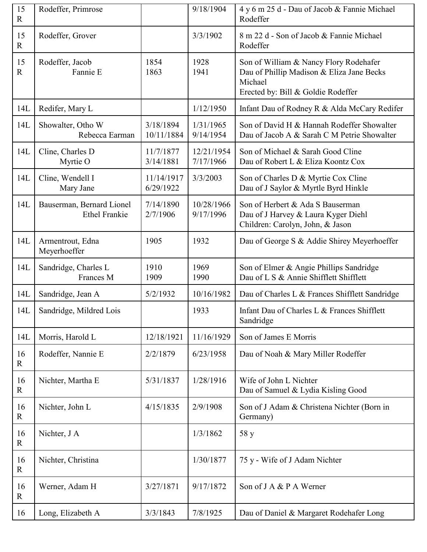| 15<br>$\mathbf R$ | Rodeffer, Primrose                                |                         | 9/18/1904               | 4 y 6 m 25 d - Dau of Jacob & Fannie Michael<br>Rodeffer                                                                             |
|-------------------|---------------------------------------------------|-------------------------|-------------------------|--------------------------------------------------------------------------------------------------------------------------------------|
| 15<br>$\mathbf R$ | Rodeffer, Grover                                  |                         | 3/3/1902                | 8 m 22 d - Son of Jacob & Fannie Michael<br>Rodeffer                                                                                 |
| 15<br>$\mathbf R$ | Rodeffer, Jacob<br>Fannie E                       | 1854<br>1863            | 1928<br>1941            | Son of William & Nancy Flory Rodehafer<br>Dau of Phillip Madison & Eliza Jane Becks<br>Michael<br>Erected by: Bill & Goldie Rodeffer |
| 14L               | Redifer, Mary L                                   |                         | 1/12/1950               | Infant Dau of Rodney R & Alda McCary Redifer                                                                                         |
| 14L               | Showalter, Otho W<br>Rebecca Earman               | 3/18/1894<br>10/11/1884 | 1/31/1965<br>9/14/1954  | Son of David H & Hannah Rodeffer Showalter<br>Dau of Jacob A & Sarah C M Petrie Showalter                                            |
| 14L               | Cline, Charles D<br>Myrtie O                      | 11/7/1877<br>3/14/1881  | 12/21/1954<br>7/17/1966 | Son of Michael & Sarah Good Cline<br>Dau of Robert L & Eliza Koontz Cox                                                              |
| 14L               | Cline, Wendell I<br>Mary Jane                     | 11/14/1917<br>6/29/1922 | 3/3/2003                | Son of Charles D & Myrtie Cox Cline<br>Dau of J Saylor & Myrtle Byrd Hinkle                                                          |
| 14L               | Bauserman, Bernard Lionel<br><b>Ethel Frankie</b> | 7/14/1890<br>2/7/1906   | 10/28/1966<br>9/17/1996 | Son of Herbert & Ada S Bauserman<br>Dau of J Harvey & Laura Kyger Diehl<br>Children: Carolyn, John, & Jason                          |
| 14L               | Armentrout, Edna<br>Meyerhoeffer                  | 1905                    | 1932                    | Dau of George S & Addie Shirey Meyerhoeffer                                                                                          |
| 14L               | Sandridge, Charles L<br>Frances M                 | 1910<br>1909            | 1969<br>1990            | Son of Elmer & Angie Phillips Sandridge<br>Dau of L S & Annie Shifflett Shifflett                                                    |
| 14L               | Sandridge, Jean A                                 | 5/2/1932                | 10/16/1982              | Dau of Charles L & Frances Shifflett Sandridge                                                                                       |
| 14L               | Sandridge, Mildred Lois                           |                         | 1933                    | Infant Dau of Charles L & Frances Shifflett<br>Sandridge                                                                             |
| 14L               | Morris, Harold L                                  | 12/18/1921              | 11/16/1929              | Son of James E Morris                                                                                                                |
| 16<br>$\mathbf R$ | Rodeffer, Nannie E                                | 2/2/1879                | 6/23/1958               | Dau of Noah & Mary Miller Rodeffer                                                                                                   |
| 16<br>$\mathbf R$ | Nichter, Martha E                                 | 5/31/1837               | 1/28/1916               | Wife of John L Nichter<br>Dau of Samuel & Lydia Kisling Good                                                                         |
| 16<br>$\mathbf R$ | Nichter, John L                                   | 4/15/1835               | 2/9/1908                | Son of J Adam & Christena Nichter (Born in<br>Germany)                                                                               |
| 16<br>$\mathbf R$ | Nichter, J A                                      |                         | 1/3/1862                | 58 y                                                                                                                                 |
| 16<br>$\mathbf R$ | Nichter, Christina                                |                         | 1/30/1877               | 75 y - Wife of J Adam Nichter                                                                                                        |
| 16<br>$\mathbf R$ | Werner, Adam H                                    | 3/27/1871               | 9/17/1872               | Son of J A & P A Werner                                                                                                              |
| 16                | Long, Elizabeth A                                 | 3/3/1843                | 7/8/1925                | Dau of Daniel & Margaret Rodehafer Long                                                                                              |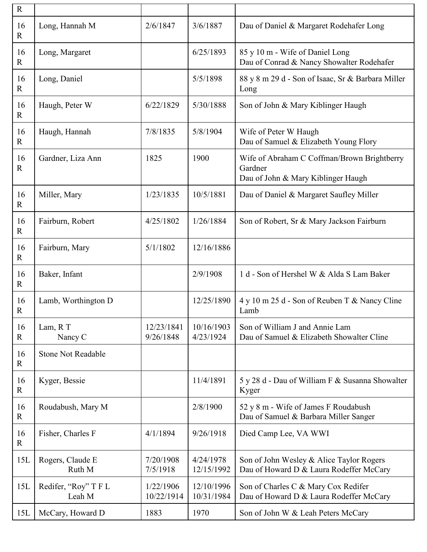| ${\bf R}$         |                                |                         |                          |                                                                                              |
|-------------------|--------------------------------|-------------------------|--------------------------|----------------------------------------------------------------------------------------------|
| 16<br>$\mathbf R$ | Long, Hannah M                 | 2/6/1847                | 3/6/1887                 | Dau of Daniel & Margaret Rodehafer Long                                                      |
| 16<br>$\mathbf R$ | Long, Margaret                 |                         | 6/25/1893                | 85 y 10 m - Wife of Daniel Long<br>Dau of Conrad & Nancy Showalter Rodehafer                 |
| 16<br>$\mathbf R$ | Long, Daniel                   |                         | 5/5/1898                 | 88 y 8 m 29 d - Son of Isaac, Sr & Barbara Miller<br>Long                                    |
| 16<br>$\mathbf R$ | Haugh, Peter W                 | 6/22/1829               | 5/30/1888                | Son of John & Mary Kiblinger Haugh                                                           |
| 16<br>$\mathbf R$ | Haugh, Hannah                  | 7/8/1835                | 5/8/1904                 | Wife of Peter W Haugh<br>Dau of Samuel & Elizabeth Young Flory                               |
| 16<br>$\mathbf R$ | Gardner, Liza Ann              | 1825                    | 1900                     | Wife of Abraham C Coffman/Brown Brightberry<br>Gardner<br>Dau of John & Mary Kiblinger Haugh |
| 16<br>$\mathbf R$ | Miller, Mary                   | 1/23/1835               | 10/5/1881                | Dau of Daniel & Margaret Saufley Miller                                                      |
| 16<br>$\mathbf R$ | Fairburn, Robert               | 4/25/1802               | 1/26/1884                | Son of Robert, Sr & Mary Jackson Fairburn                                                    |
| 16<br>$\mathbf R$ | Fairburn, Mary                 | 5/1/1802                | 12/16/1886               |                                                                                              |
| 16<br>$\mathbf R$ | Baker, Infant                  |                         | 2/9/1908                 | 1 d - Son of Hershel W & Alda S Lam Baker                                                    |
| 16<br>$\mathbf R$ | Lamb, Worthington D            |                         | 12/25/1890               | 4 y 10 m 25 d - Son of Reuben T & Nancy Cline<br>Lamb                                        |
| 16<br>R           | Lam, RT<br>Nancy C             | 12/23/1841<br>9/26/1848 | 10/16/1903<br>4/23/1924  | Son of William J and Annie Lam<br>Dau of Samuel & Elizabeth Showalter Cline                  |
| 16<br>$\mathbf R$ | <b>Stone Not Readable</b>      |                         |                          |                                                                                              |
| 16<br>$\mathbf R$ | Kyger, Bessie                  |                         | 11/4/1891                | 5 y 28 d - Dau of William F & Susanna Showalter<br>Kyger                                     |
| 16<br>$\mathbf R$ | Roudabush, Mary M              |                         | 2/8/1900                 | 52 y 8 m - Wife of James F Roudabush<br>Dau of Samuel & Barbara Miller Sanger                |
| 16<br>$\mathbf R$ | Fisher, Charles F              | 4/1/1894                | 9/26/1918                | Died Camp Lee, VA WWI                                                                        |
| 15L               | Rogers, Claude E<br>Ruth M     | 7/20/1908<br>7/5/1918   | 4/24/1978<br>12/15/1992  | Son of John Wesley & Alice Taylor Rogers<br>Dau of Howard D & Laura Rodeffer McCary          |
| 15L               | Redifer, "Roy" T F L<br>Leah M | 1/22/1906<br>10/22/1914 | 12/10/1996<br>10/31/1984 | Son of Charles C & Mary Cox Redifer<br>Dau of Howard D & Laura Rodeffer McCary               |
| 15L               | McCary, Howard D               | 1883                    | 1970                     | Son of John W & Leah Peters McCary                                                           |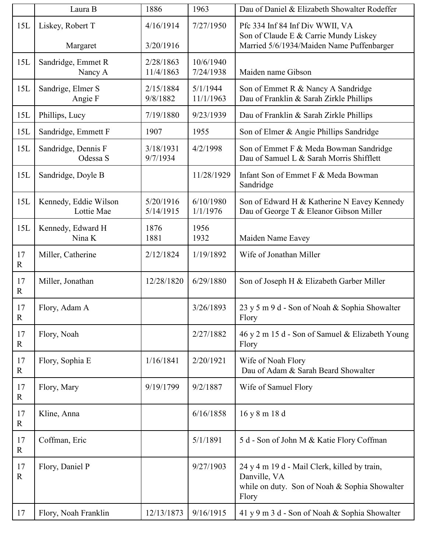|                   | Laura B                             | 1886                   | 1963                   | Dau of Daniel & Elizabeth Showalter Rodeffer                                                                           |
|-------------------|-------------------------------------|------------------------|------------------------|------------------------------------------------------------------------------------------------------------------------|
| 15L               | Liskey, Robert T                    | 4/16/1914<br>3/20/1916 | 7/27/1950              | Pfc 334 Inf 84 Inf Div WWII, VA<br>Son of Claude E & Carrie Mundy Liskey                                               |
|                   | Margaret                            |                        |                        | Married 5/6/1934/Maiden Name Puffenbarger                                                                              |
| 15L               | Sandridge, Emmet R<br>Nancy A       | 2/28/1863<br>11/4/1863 | 10/6/1940<br>7/24/1938 | Maiden name Gibson                                                                                                     |
| 15L               | Sandrige, Elmer S<br>Angie F        | 2/15/1884<br>9/8/1882  | 5/1/1944<br>11/1/1963  | Son of Emmet R & Nancy A Sandridge<br>Dau of Franklin & Sarah Zirkle Phillips                                          |
| 15L               | Phillips, Lucy                      | 7/19/1880              | 9/23/1939              | Dau of Franklin & Sarah Zirkle Phillips                                                                                |
| 15L               | Sandridge, Emmett F                 | 1907                   | 1955                   | Son of Elmer & Angie Phillips Sandridge                                                                                |
| 15L               | Sandridge, Dennis F<br>Odessa S     | 3/18/1931<br>9/7/1934  | 4/2/1998               | Son of Emmet F & Meda Bowman Sandridge<br>Dau of Samuel L & Sarah Morris Shifflett                                     |
| 15L               | Sandridge, Doyle B                  |                        | 11/28/1929             | Infant Son of Emmet F & Meda Bowman<br>Sandridge                                                                       |
| 15L               | Kennedy, Eddie Wilson<br>Lottie Mae | 5/20/1916<br>5/14/1915 | 6/10/1980<br>1/1/1976  | Son of Edward H & Katherine N Eavey Kennedy<br>Dau of George T & Eleanor Gibson Miller                                 |
| 15L               | Kennedy, Edward H<br>Nina K         | 1876<br>1881           | 1956<br>1932           | Maiden Name Eavey                                                                                                      |
| 17<br>$\mathbf R$ | Miller, Catherine                   | 2/12/1824              | 1/19/1892              | Wife of Jonathan Miller                                                                                                |
| 17<br>$\mathbf R$ | Miller, Jonathan                    | 12/28/1820             | 6/29/1880              | Son of Joseph H & Elizabeth Garber Miller                                                                              |
| 17<br>$\mathbf R$ | Flory, Adam A                       |                        | 3/26/1893              | 23 y 5 m 9 d - Son of Noah & Sophia Showalter<br>Flory                                                                 |
| 17<br>$\mathbf R$ | Flory, Noah                         |                        | 2/27/1882              | 46 y 2 m 15 d - Son of Samuel & Elizabeth Young<br>Flory                                                               |
| 17<br>$\mathbf R$ | Flory, Sophia E                     | 1/16/1841              | 2/20/1921              | Wife of Noah Flory<br>Dau of Adam & Sarah Beard Showalter                                                              |
| 17<br>$\mathbf R$ | Flory, Mary                         | 9/19/1799              | 9/2/1887               | Wife of Samuel Flory                                                                                                   |
| 17<br>$\mathbf R$ | Kline, Anna                         |                        | 6/16/1858              | 16 y 8 m 18 d                                                                                                          |
| 17<br>$\mathbf R$ | Coffman, Eric                       |                        | 5/1/1891               | 5 d - Son of John M & Katie Flory Coffman                                                                              |
| 17<br>$\mathbf R$ | Flory, Daniel P                     |                        | 9/27/1903              | 24 y 4 m 19 d - Mail Clerk, killed by train,<br>Danville, VA<br>while on duty. Son of Noah & Sophia Showalter<br>Flory |
| 17                | Flory, Noah Franklin                | 12/13/1873             | 9/16/1915              | 41 y 9 m 3 d - Son of Noah & Sophia Showalter                                                                          |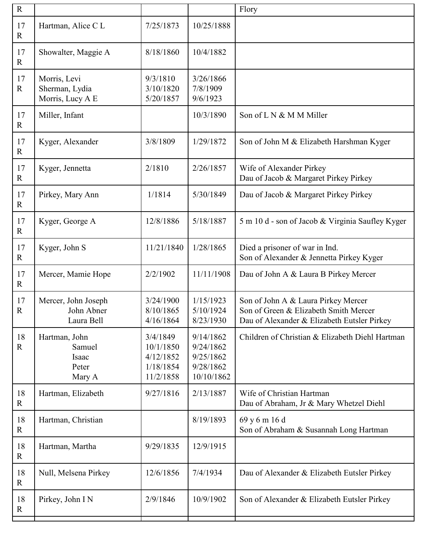| ${\bf R}$           |                                                     |                                                              |                                                                | Flory                                                                                                                       |
|---------------------|-----------------------------------------------------|--------------------------------------------------------------|----------------------------------------------------------------|-----------------------------------------------------------------------------------------------------------------------------|
| 17<br>$\mathbf R$   | Hartman, Alice C L                                  | 7/25/1873                                                    | 10/25/1888                                                     |                                                                                                                             |
| 17<br>$\mathbf R$   | Showalter, Maggie A                                 | 8/18/1860                                                    | 10/4/1882                                                      |                                                                                                                             |
| 17<br>$\mathbf R$   | Morris, Levi<br>Sherman, Lydia<br>Morris, Lucy A E  | 9/3/1810<br>3/10/1820<br>5/20/1857                           | 3/26/1866<br>7/8/1909<br>9/6/1923                              |                                                                                                                             |
| 17<br>$\mathbf R$   | Miller, Infant                                      |                                                              | 10/3/1890                                                      | Son of L N & M M Miller                                                                                                     |
| 17<br>$\mathbf R$   | Kyger, Alexander                                    | 3/8/1809                                                     | 1/29/1872                                                      | Son of John M & Elizabeth Harshman Kyger                                                                                    |
| 17<br>$\mathbf R$   | Kyger, Jennetta                                     | 2/1810                                                       | 2/26/1857                                                      | Wife of Alexander Pirkey<br>Dau of Jacob & Margaret Pirkey Pirkey                                                           |
| $17$<br>$\mathbf R$ | Pirkey, Mary Ann                                    | 1/1814                                                       | 5/30/1849                                                      | Dau of Jacob & Margaret Pirkey Pirkey                                                                                       |
| 17<br>$\mathbf R$   | Kyger, George A                                     | 12/8/1886                                                    | 5/18/1887                                                      | 5 m 10 d - son of Jacob & Virginia Saufley Kyger                                                                            |
| 17<br>$\mathbf R$   | Kyger, John S                                       | 11/21/1840                                                   | 1/28/1865                                                      | Died a prisoner of war in Ind.<br>Son of Alexander & Jennetta Pirkey Kyger                                                  |
| 17<br>$\mathbf R$   | Mercer, Mamie Hope                                  | 2/2/1902                                                     | 11/11/1908                                                     | Dau of John A & Laura B Pirkey Mercer                                                                                       |
| 17<br>$\mathbf R$   | Mercer, John Joseph<br>John Abner<br>Laura Bell     | 3/24/1900<br>8/10/1865<br>4/16/1864                          | 1/15/1923<br>5/10/1924<br>8/23/1930                            | Son of John A & Laura Pirkey Mercer<br>Son of Green & Elizabeth Smith Mercer<br>Dau of Alexander & Elizabeth Eutsler Pirkey |
| 18<br>$\mathbf R$   | Hartman, John<br>Samuel<br>Isaac<br>Peter<br>Mary A | 3/4/1849<br>10/1/1850<br>4/12/1852<br>1/18/1854<br>11/2/1858 | 9/14/1862<br>9/24/1862<br>9/25/1862<br>9/28/1862<br>10/10/1862 | Children of Christian & Elizabeth Diehl Hartman                                                                             |
| 18<br>$\mathbf R$   | Hartman, Elizabeth                                  | 9/27/1816                                                    | 2/13/1887                                                      | Wife of Christian Hartman<br>Dau of Abraham, Jr & Mary Whetzel Diehl                                                        |
| 18<br>$\mathbf R$   | Hartman, Christian                                  |                                                              | 8/19/1893                                                      | 69 y 6 m 16 d<br>Son of Abraham & Susannah Long Hartman                                                                     |
| 18<br>$\mathbf R$   | Hartman, Martha                                     | 9/29/1835                                                    | 12/9/1915                                                      |                                                                                                                             |
| 18<br>$\mathbf R$   | Null, Melsena Pirkey                                | 12/6/1856                                                    | 7/4/1934                                                       | Dau of Alexander & Elizabeth Eutsler Pirkey                                                                                 |
| 18<br>$\mathbf R$   | Pirkey, John I N                                    | 2/9/1846                                                     | 10/9/1902                                                      | Son of Alexander & Elizabeth Eutsler Pirkey                                                                                 |
|                     |                                                     |                                                              |                                                                |                                                                                                                             |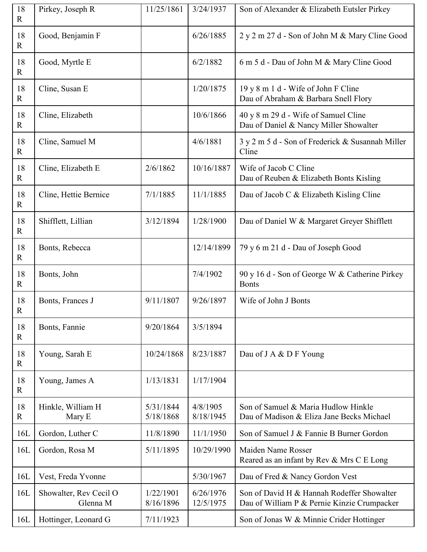| 18<br>$\mathbf R$     | Pirkey, Joseph R                   | 11/25/1861             | 3/24/1937              | Son of Alexander & Elizabeth Eutsler Pirkey                                               |
|-----------------------|------------------------------------|------------------------|------------------------|-------------------------------------------------------------------------------------------|
| 18<br>$\mathbf R$     | Good, Benjamin F                   |                        | 6/26/1885              | 2 y 2 m 27 d - Son of John M & Mary Cline Good                                            |
| 18<br>$\mathbf R$     | Good, Myrtle E                     |                        | 6/2/1882               | 6 m 5 d - Dau of John M & Mary Cline Good                                                 |
| $18\,$<br>$\mathbf R$ | Cline, Susan E                     |                        | 1/20/1875              | 19 y 8 m 1 d - Wife of John F Cline<br>Dau of Abraham & Barbara Snell Flory               |
| $18\,$<br>$\mathbf R$ | Cline, Elizabeth                   |                        | 10/6/1866              | 40 y 8 m 29 d - Wife of Samuel Cline<br>Dau of Daniel & Nancy Miller Showalter            |
| $18\,$<br>$\mathbf R$ | Cline, Samuel M                    |                        | 4/6/1881               | 3 y 2 m 5 d - Son of Frederick & Susannah Miller<br>Cline                                 |
| $18\,$<br>$\mathbf R$ | Cline, Elizabeth E                 | 2/6/1862               | 10/16/1887             | Wife of Jacob C Cline<br>Dau of Reuben & Elizabeth Bonts Kisling                          |
| $18\,$<br>$\mathbf R$ | Cline, Hettie Bernice              | 7/1/1885               | 11/1/1885              | Dau of Jacob C & Elizabeth Kisling Cline                                                  |
| 18<br>$\mathbf R$     | Shifflett, Lillian                 | 3/12/1894              | 1/28/1900              | Dau of Daniel W & Margaret Greyer Shifflett                                               |
| $18\,$<br>$\mathbf R$ | Bonts, Rebecca                     |                        | 12/14/1899             | 79 y 6 m 21 d - Dau of Joseph Good                                                        |
| $18\,$<br>$\mathbf R$ | Bonts, John                        |                        | 7/4/1902               | 90 y 16 d - Son of George W & Catherine Pirkey<br><b>Bonts</b>                            |
| $18\,$<br>$\mathbf R$ | Bonts, Frances J                   | 9/11/1807              | 9/26/1897              | Wife of John J Bonts                                                                      |
| 18<br>$\mathbf R$     | Bonts, Fannie                      | 9/20/1864              | 3/5/1894               |                                                                                           |
| 18<br>$\mathbf R$     | Young, Sarah E                     | 10/24/1868             |                        |                                                                                           |
|                       |                                    |                        | 8/23/1887              | Dau of J A & D F Young                                                                    |
| 18<br>$\mathbf R$     | Young, James A                     | 1/13/1831              | 1/17/1904              |                                                                                           |
| 18<br>$\mathbf R$     | Hinkle, William H<br>Mary E        | 5/31/1844<br>5/18/1868 | 4/8/1905<br>8/18/1945  | Son of Samuel & Maria Hudlow Hinkle<br>Dau of Madison & Eliza Jane Becks Michael          |
| 16L                   | Gordon, Luther C                   | 11/8/1890              | 11/1/1950              | Son of Samuel J & Fannie B Burner Gordon                                                  |
| 16L                   | Gordon, Rosa M                     | 5/11/1895              | 10/29/1990             | Maiden Name Rosser<br>Reared as an infant by Rev & Mrs C E Long                           |
| 16L                   | Vest, Freda Yvonne                 |                        | 5/30/1967              | Dau of Fred & Nancy Gordon Vest                                                           |
| 16L                   | Showalter, Rev Cecil O<br>Glenna M | 1/22/1901<br>8/16/1896 | 6/26/1976<br>12/5/1975 | Son of David H & Hannah Rodeffer Showalter<br>Dau of William P & Pernie Kinzie Crumpacker |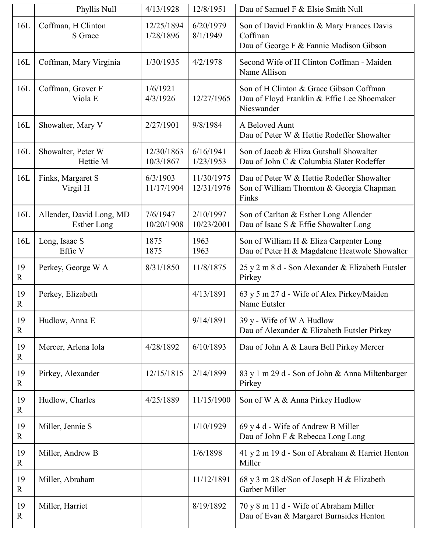|                    | Phyllis Null                                   | 4/13/1928               | 12/8/1951                | Dau of Samuel F & Elsie Smith Null                                                                   |
|--------------------|------------------------------------------------|-------------------------|--------------------------|------------------------------------------------------------------------------------------------------|
| 16L                | Coffman, H Clinton<br>S Grace                  | 12/25/1894<br>1/28/1896 | 6/20/1979<br>8/1/1949    | Son of David Franklin & Mary Frances Davis<br>Coffman<br>Dau of George F & Fannie Madison Gibson     |
| 16L                | Coffman, Mary Virginia                         | 1/30/1935               | 4/2/1978                 | Second Wife of H Clinton Coffman - Maiden<br>Name Allison                                            |
| 16L                | Coffman, Grover F<br>Viola E                   | 1/6/1921<br>4/3/1926    | 12/27/1965               | Son of H Clinton & Grace Gibson Coffman<br>Dau of Floyd Franklin & Effie Lee Shoemaker<br>Nieswander |
| 16L                | Showalter, Mary V                              | 2/27/1901               | 9/8/1984                 | A Beloved Aunt<br>Dau of Peter W & Hettie Rodeffer Showalter                                         |
| 16L                | Showalter, Peter W<br>Hettie M                 | 12/30/1863<br>10/3/1867 | 6/16/1941<br>1/23/1953   | Son of Jacob & Eliza Gutshall Showalter<br>Dau of John C & Columbia Slater Rodeffer                  |
| 16L                | Finks, Margaret S<br>Virgil H                  | 6/3/1903<br>11/17/1904  | 11/30/1975<br>12/31/1976 | Dau of Peter W & Hettie Rodeffer Showalter<br>Son of William Thornton & Georgia Chapman<br>Finks     |
| 16L                | Allender, David Long, MD<br><b>Esther Long</b> | 7/6/1947<br>10/20/1908  | 2/10/1997<br>10/23/2001  | Son of Carlton & Esther Long Allender<br>Dau of Isaac S & Effie Showalter Long                       |
| 16L                | Long, Isaac S<br>Effie V                       | 1875<br>1875            | 1963<br>1963             | Son of William H & Eliza Carpenter Long<br>Dau of Peter H & Magdalene Heatwole Showalter             |
| 19<br>$\mathbb{R}$ | Perkey, George W A                             | 8/31/1850               | 11/8/1875                | 25 y 2 m 8 d - Son Alexander & Elizabeth Eutsler<br>Pirkey                                           |
| 19<br>$\mathbb{R}$ | Perkey, Elizabeth                              |                         | 4/13/1891                | 63 y 5 m 27 d - Wife of Alex Pirkey/Maiden<br>Name Eutsler                                           |
| 19<br>$\mathbf R$  | Hudlow, Anna E                                 |                         | 9/14/1891                | 39 y - Wife of W A Hudlow<br>Dau of Alexander & Elizabeth Eutsler Pirkey                             |
| 19<br>$\mathbf R$  | Mercer, Arlena Iola                            | 4/28/1892               | 6/10/1893                | Dau of John A & Laura Bell Pirkey Mercer                                                             |
| 19<br>R            | Pirkey, Alexander                              | 12/15/1815              | 2/14/1899                | 83 y 1 m 29 d - Son of John & Anna Miltenbarger<br>Pirkey                                            |
| 19<br>$\mathbf R$  | Hudlow, Charles                                | 4/25/1889               | 11/15/1900               | Son of W A & Anna Pirkey Hudlow                                                                      |
| 19<br>$\mathbf R$  | Miller, Jennie S                               |                         | 1/10/1929                | 69 y 4 d - Wife of Andrew B Miller<br>Dau of John F & Rebecca Long Long                              |
| 19<br>R            | Miller, Andrew B                               |                         | 1/6/1898                 | 41 y 2 m 19 d - Son of Abraham & Harriet Henton<br>Miller                                            |
| 19<br>R            | Miller, Abraham                                |                         | 11/12/1891               | 68 y 3 m 28 d/Son of Joseph H & Elizabeth<br>Garber Miller                                           |
| 19<br>$\mathbf R$  | Miller, Harriet                                |                         | 8/19/1892                | 70 y 8 m 11 d - Wife of Abraham Miller<br>Dau of Evan & Margaret Burnsides Henton                    |
|                    |                                                |                         |                          |                                                                                                      |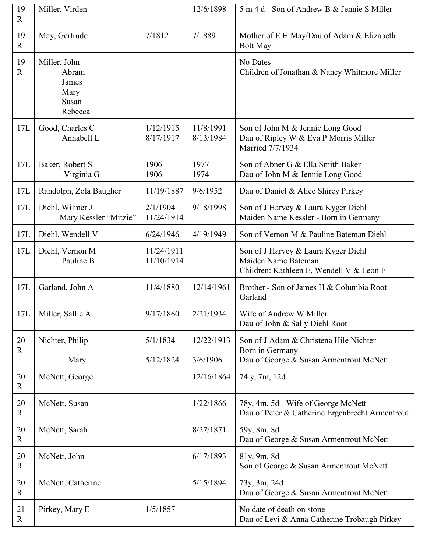| 19<br>$\mathbf{R}$ | Miller, Virden                                             |                          | 12/6/1898              | 5 m 4 d - Son of Andrew B & Jennie S Miller                                                            |
|--------------------|------------------------------------------------------------|--------------------------|------------------------|--------------------------------------------------------------------------------------------------------|
| 19<br>$\mathbf R$  | May, Gertrude                                              | 7/1812                   | 7/1889                 | Mother of E H May/Dau of Adam & Elizabeth<br><b>Bott May</b>                                           |
| 19<br>$\mathbf R$  | Miller, John<br>Abram<br>James<br>Mary<br>Susan<br>Rebecca |                          |                        | No Dates<br>Children of Jonathan & Nancy Whitmore Miller                                               |
| 17L                | Good, Charles C<br>Annabell L                              | 1/12/1915<br>8/17/1917   | 11/8/1991<br>8/13/1984 | Son of John M & Jennie Long Good<br>Dau of Ripley W & Eva P Morris Miller<br>Married 7/7/1934          |
| 17L                | Baker, Robert S<br>Virginia G                              | 1906<br>1906             | 1977<br>1974           | Son of Abner G & Ella Smith Baker<br>Dau of John M & Jennie Long Good                                  |
| 17L                | Randolph, Zola Baugher                                     | 11/19/1887               | 9/6/1952               | Dau of Daniel & Alice Shirey Pirkey                                                                    |
| 17L                | Diehl, Wilmer J<br>Mary Kessler "Mitzie"                   | 2/1/1904<br>11/24/1914   | 9/18/1998              | Son of J Harvey & Laura Kyger Diehl<br>Maiden Name Kessler - Born in Germany                           |
| 17L                | Diehl, Wendell V                                           | 6/24/1946                | 4/19/1949              | Son of Vernon M & Pauline Bateman Diehl                                                                |
| 17L                | Diehl, Vernon M<br>Pauline B                               | 11/24/1911<br>11/10/1914 |                        | Son of J Harvey & Laura Kyger Diehl<br>Maiden Name Bateman<br>Children: Kathleen E, Wendell V & Leon F |
| 17L                | Garland, John A                                            | 11/4/1880                | 12/14/1961             | Brother - Son of James H & Columbia Root<br>Garland                                                    |
|                    | 17L   Miller, Sallie A                                     | 9/17/1860                | 2/21/1934              | Wife of Andrew W Miller<br>Dau of John & Sally Diehl Root                                              |
| 20<br>$\mathbf R$  | Nichter, Philip                                            | 5/1/1834                 | 12/22/1913             | Son of J Adam & Christena Hile Nichter<br>Born in Germany                                              |
|                    | Mary                                                       | 5/12/1824                | 3/6/1906               | Dau of George & Susan Armentrout McNett                                                                |
| 20<br>$\mathbf R$  | McNett, George                                             |                          | 12/16/1864             | 74 y, 7m, 12d                                                                                          |
| 20<br>$\mathbb{R}$ | McNett, Susan                                              |                          | 1/22/1866              | 78y, 4m, 5d - Wife of George McNett<br>Dau of Peter & Catherine Ergenbrecht Armentrout                 |
| 20<br>$\mathbf R$  | McNett, Sarah                                              |                          | 8/27/1871              | 59y, 8m, 8d<br>Dau of George & Susan Armentrout McNett                                                 |
| 20<br>$\mathbf R$  | McNett, John                                               |                          | 6/17/1893              | 81y, 9m, 8d<br>Son of George & Susan Armentrout McNett                                                 |
| 20<br>$\mathbf R$  | McNett, Catherine                                          |                          | 5/15/1894              | 73y, 3m, 24d<br>Dau of George & Susan Armentrout McNett                                                |
| 21<br>$\mathbf R$  | Pirkey, Mary E                                             | 1/5/1857                 |                        | No date of death on stone<br>Dau of Levi & Anna Catherine Trobaugh Pirkey                              |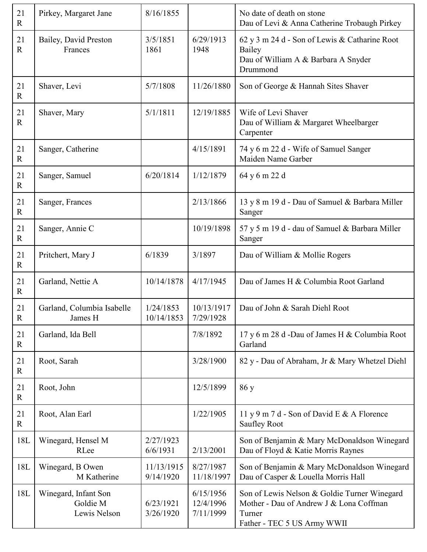| 21<br>$\mathbf R$ | Pirkey, Margaret Jane                            | 8/16/1855               |                                     | No date of death on stone<br>Dau of Levi & Anna Catherine Trobaugh Pirkey                                                        |
|-------------------|--------------------------------------------------|-------------------------|-------------------------------------|----------------------------------------------------------------------------------------------------------------------------------|
| 21<br>$\mathbf R$ | Bailey, David Preston<br>Frances                 | 3/5/1851<br>1861        | 6/29/1913<br>1948                   | 62 y 3 m 24 d - Son of Lewis & Catharine Root<br>Bailey<br>Dau of William A & Barbara A Snyder<br>Drummond                       |
| 21<br>$\mathbf R$ | Shaver, Levi                                     | 5/7/1808                | 11/26/1880                          | Son of George & Hannah Sites Shaver                                                                                              |
| 21<br>$\mathbf R$ | Shaver, Mary                                     | 5/1/1811                | 12/19/1885                          | Wife of Levi Shaver<br>Dau of William & Margaret Wheelbarger<br>Carpenter                                                        |
| 21<br>$\mathbf R$ | Sanger, Catherine                                |                         | 4/15/1891                           | 74 y 6 m 22 d - Wife of Samuel Sanger<br>Maiden Name Garber                                                                      |
| 21<br>$\mathbf R$ | Sanger, Samuel                                   | 6/20/1814               | 1/12/1879                           | 64 y 6 m 22 d                                                                                                                    |
| 21<br>$\mathbf R$ | Sanger, Frances                                  |                         | 2/13/1866                           | 13 y 8 m 19 d - Dau of Samuel & Barbara Miller<br>Sanger                                                                         |
| 21<br>$\mathbf R$ | Sanger, Annie C                                  |                         | 10/19/1898                          | 57 y 5 m 19 d - dau of Samuel & Barbara Miller<br>Sanger                                                                         |
| 21<br>$\mathbf R$ | Pritchert, Mary J                                | 6/1839                  | 3/1897                              | Dau of William & Mollie Rogers                                                                                                   |
| 21<br>$\mathbf R$ | Garland, Nettie A                                | 10/14/1878              | 4/17/1945                           | Dau of James H & Columbia Root Garland                                                                                           |
| 21<br>${\bf R}$   | Garland, Columbia Isabelle<br>James H            | 1/24/1853<br>10/14/1853 | 10/13/1917<br>7/29/1928             | Dau of John & Sarah Diehl Root                                                                                                   |
| 21<br>${\bf R}$   | Garland, Ida Bell                                |                         | 7/8/1892                            | 17 y 6 m 28 d -Dau of James H & Columbia Root<br>Garland                                                                         |
| 21<br>$\mathbf R$ | Root, Sarah                                      |                         | 3/28/1900                           | 82 y - Dau of Abraham, Jr & Mary Whetzel Diehl                                                                                   |
| 21<br>$\mathbf R$ | Root, John                                       |                         | 12/5/1899                           | 86y                                                                                                                              |
| 21<br>$\mathbf R$ | Root, Alan Earl                                  |                         | 1/22/1905                           | 11 y 9 m 7 d - Son of David E & A Florence<br>Saufley Root                                                                       |
| 18L               | Winegard, Hensel M<br>RLee                       | 2/27/1923<br>6/6/1931   | 2/13/2001                           | Son of Benjamin & Mary McDonaldson Winegard<br>Dau of Floyd & Katie Morris Raynes                                                |
| 18L               | Winegard, B Owen<br>M Katherine                  | 11/13/1915<br>9/14/1920 | 8/27/1987<br>11/18/1997             | Son of Benjamin & Mary McDonaldson Winegard<br>Dau of Casper & Louella Morris Hall                                               |
| 18L               | Winegard, Infant Son<br>Goldie M<br>Lewis Nelson | 6/23/1921<br>3/26/1920  | 6/15/1956<br>12/4/1996<br>7/11/1999 | Son of Lewis Nelson & Goldie Turner Winegard<br>Mother - Dau of Andrew J & Lona Coffman<br>Turner<br>Father - TEC 5 US Army WWII |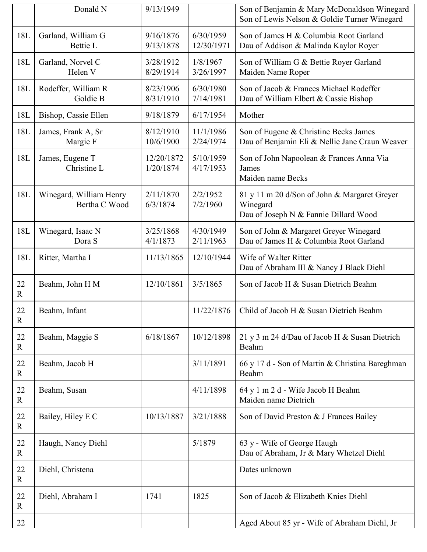|                    | Donald N                                 | 9/13/1949               |                         | Son of Benjamin & Mary McDonaldson Winegard<br>Son of Lewis Nelson & Goldie Turner Winegard       |
|--------------------|------------------------------------------|-------------------------|-------------------------|---------------------------------------------------------------------------------------------------|
| 18L                | Garland, William G<br><b>Bettie L</b>    | 9/16/1876<br>9/13/1878  | 6/30/1959<br>12/30/1971 | Son of James H & Columbia Root Garland<br>Dau of Addison & Malinda Kaylor Royer                   |
| 18L                | Garland, Norvel C<br>Helen V             | 3/28/1912<br>8/29/1914  | 1/8/1967<br>3/26/1997   | Son of William G & Bettie Royer Garland<br>Maiden Name Roper                                      |
| 18L                | Rodeffer, William R<br>Goldie B          | 8/23/1906<br>8/31/1910  | 6/30/1980<br>7/14/1981  | Son of Jacob & Frances Michael Rodeffer<br>Dau of William Elbert & Cassie Bishop                  |
| 18L                | Bishop, Cassie Ellen                     | 9/18/1879               | 6/17/1954               | Mother                                                                                            |
| 18L                | James, Frank A, Sr<br>Margie F           | 8/12/1910<br>10/6/1900  | 11/1/1986<br>2/24/1974  | Son of Eugene & Christine Becks James<br>Dau of Benjamin Eli & Nellie Jane Craun Weaver           |
| 18L                | James, Eugene T<br>Christine L           | 12/20/1872<br>1/20/1874 | 5/10/1959<br>4/17/1953  | Son of John Napoolean & Frances Anna Via<br>James<br>Maiden name Becks                            |
| 18L                | Winegard, William Henry<br>Bertha C Wood | 2/11/1870<br>6/3/1874   | 2/2/1952<br>7/2/1960    | 81 y 11 m 20 d/Son of John & Margaret Greyer<br>Winegard<br>Dau of Joseph N & Fannie Dillard Wood |
| 18L                | Winegard, Isaac N<br>Dora S              | 3/25/1868<br>4/1/1873   | 4/30/1949<br>2/11/1963  | Son of John & Margaret Greyer Winegard<br>Dau of James H & Columbia Root Garland                  |
| 18L                | Ritter, Martha I                         | 11/13/1865              | 12/10/1944              | Wife of Walter Ritter<br>Dau of Abraham III & Nancy J Black Diehl                                 |
| 22<br>$\mathbf R$  | Beahm, John H M                          | 12/10/1861              | 3/5/1865                | Son of Jacob H & Susan Dietrich Beahm                                                             |
| 22<br>${\bf R}$    | Beahm, Infant                            |                         | 11/22/1876              | Child of Jacob H & Susan Dietrich Beahm                                                           |
| 22<br>$\mathbb{R}$ | Beahm, Maggie S                          | 6/18/1867               | 10/12/1898              | 21 y 3 m 24 d/Dau of Jacob H & Susan Dietrich<br>Beahm                                            |
| 22<br>R            | Beahm, Jacob H                           |                         | 3/11/1891               | 66 y 17 d - Son of Martin & Christina Bareghman<br>Beahm                                          |
| 22<br>$\mathbf R$  | Beahm, Susan                             |                         | 4/11/1898               | 64 y 1 m 2 d - Wife Jacob H Beahm<br>Maiden name Dietrich                                         |
| 22<br>$\mathbf R$  | Bailey, Hiley E C                        | 10/13/1887              | 3/21/1888               | Son of David Preston & J Frances Bailey                                                           |
| 22<br>$\mathbf R$  | Haugh, Nancy Diehl                       |                         | 5/1879                  | 63 y - Wife of George Haugh<br>Dau of Abraham, Jr & Mary Whetzel Diehl                            |
| 22<br>$\mathbf R$  | Diehl, Christena                         |                         |                         | Dates unknown                                                                                     |
| 22<br>$\mathbb{R}$ | Diehl, Abraham I                         | 1741                    | 1825                    | Son of Jacob & Elizabeth Knies Diehl                                                              |
| 22                 |                                          |                         |                         | Aged About 85 yr - Wife of Abraham Diehl, Jr                                                      |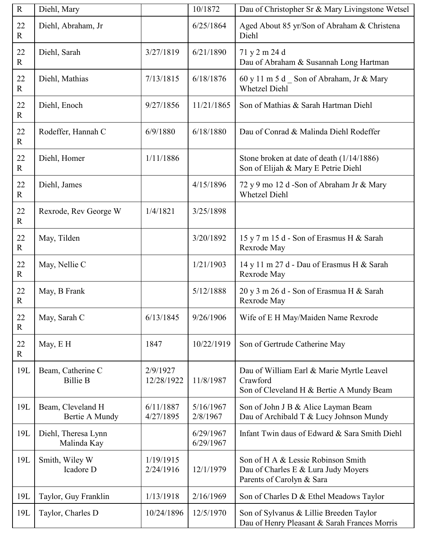| ${\bf R}$             | Diehl, Mary                          |                        | 10/1872                | Dau of Christopher Sr & Mary Livingstone Wetsel                                                        |
|-----------------------|--------------------------------------|------------------------|------------------------|--------------------------------------------------------------------------------------------------------|
| 22<br>$\mathbf{R}$    | Diehl, Abraham, Jr                   |                        | 6/25/1864              | Aged About 85 yr/Son of Abraham & Christena<br>Diehl                                                   |
| 22<br>$\mathbf R$     | Diehl, Sarah                         | 3/27/1819              | 6/21/1890              | 71 y 2 m 24 d<br>Dau of Abraham & Susannah Long Hartman                                                |
| 22<br>$\mathbf R$     | Diehl, Mathias                       | 7/13/1815              | 6/18/1876              | 60 y 11 m 5 d Son of Abraham, Jr & Mary<br><b>Whetzel Diehl</b>                                        |
| 22<br>$\mathbf{R}$    | Diehl, Enoch                         | 9/27/1856              | 11/21/1865             | Son of Mathias & Sarah Hartman Diehl                                                                   |
| $22\,$<br>$\mathbf R$ | Rodeffer, Hannah C                   | 6/9/1880               | 6/18/1880              | Dau of Conrad & Malinda Diehl Rodeffer                                                                 |
| 22<br>$\mathbf R$     | Diehl, Homer                         | 1/11/1886              |                        | Stone broken at date of death (1/14/1886)<br>Son of Elijah & Mary E Petrie Diehl                       |
| 22<br>$\mathbf R$     | Diehl, James                         |                        | 4/15/1896              | 72 y 9 mo 12 d -Son of Abraham Jr & Mary<br><b>Whetzel Diehl</b>                                       |
| 22<br>$\mathbf R$     | Rexrode, Rev George W                | 1/4/1821               | 3/25/1898              |                                                                                                        |
| 22<br>$\mathbf R$     | May, Tilden                          |                        | 3/20/1892              | 15 y 7 m 15 d - Son of Erasmus H & Sarah<br>Rexrode May                                                |
| 22<br>$\mathbf R$     | May, Nellie C                        |                        | 1/21/1903              | 14 y 11 m 27 d - Dau of Erasmus H & Sarah<br>Rexrode May                                               |
| 22<br>$\mathbf R$     | May, B Frank                         |                        | 5/12/1888              | 20 y 3 m 26 d - Son of Erasmua H & Sarah<br>Rexrode May                                                |
| 22<br>$\mathbf R$     | May, Sarah C                         | 6/13/1845              | 9/26/1906              | Wife of E H May/Maiden Name Rexrode                                                                    |
| 22<br>$\mathbf{R}$    | May, E H                             | 1847                   | 10/22/1919             | Son of Gertrude Catherine May                                                                          |
| 19L                   | Beam, Catherine C<br><b>Billie B</b> | 2/9/1927<br>12/28/1922 | 11/8/1987              | Dau of William Earl & Marie Myrtle Leavel<br>Crawford<br>Son of Cleveland H & Bertie A Mundy Beam      |
| 19L                   | Beam, Cleveland H<br>Bertie A Mundy  | 6/11/1887<br>4/27/1895 | 5/16/1967<br>2/8/1967  | Son of John J B & Alice Layman Beam<br>Dau of Archibald T & Lucy Johnson Mundy                         |
| 19L                   | Diehl, Theresa Lynn<br>Malinda Kay   |                        | 6/29/1967<br>6/29/1967 | Infant Twin daus of Edward & Sara Smith Diehl                                                          |
| 19L                   | Smith, Wiley W<br>Icadore D          | 1/19/1915<br>2/24/1916 | 12/1/1979              | Son of H A & Lessie Robinson Smith<br>Dau of Charles E & Lura Judy Moyers<br>Parents of Carolyn & Sara |
| 19L                   | Taylor, Guy Franklin                 | 1/13/1918              | 2/16/1969              | Son of Charles D & Ethel Meadows Taylor                                                                |
| 19L                   | Taylor, Charles D                    | 10/24/1896             | 12/5/1970              | Son of Sylvanus & Lillie Breeden Taylor<br>Dau of Henry Pleasant & Sarah Frances Morris                |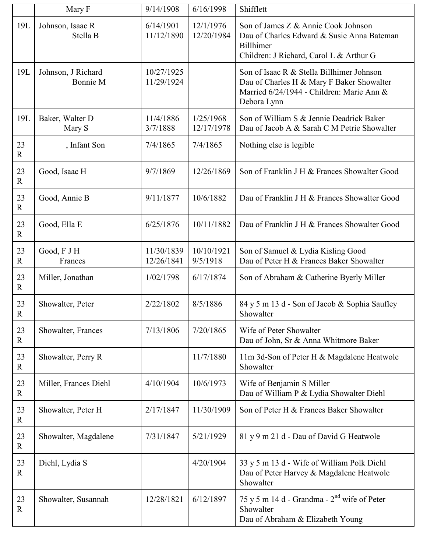|                      | Mary F                         | 9/14/1908                | 6/16/1998               | Shifflett                                                                                                                                          |
|----------------------|--------------------------------|--------------------------|-------------------------|----------------------------------------------------------------------------------------------------------------------------------------------------|
| 19L                  | Johnson, Isaac R<br>Stella B   | 6/14/1901<br>11/12/1890  | 12/1/1976<br>12/20/1984 | Son of James Z & Annie Cook Johnson<br>Dau of Charles Edward & Susie Anna Bateman<br>Billhimer<br>Children: J Richard, Carol L & Arthur G          |
| 19L                  | Johnson, J Richard<br>Bonnie M | 10/27/1925<br>11/29/1924 |                         | Son of Isaac R & Stella Billhimer Johnson<br>Dau of Charles H & Mary F Baker Showalter<br>Married 6/24/1944 - Children: Marie Ann &<br>Debora Lynn |
| 19L                  | Baker, Walter D<br>Mary S      | 11/4/1886<br>3/7/1888    | 1/25/1968<br>12/17/1978 | Son of William S & Jennie Deadrick Baker<br>Dau of Jacob A & Sarah C M Petrie Showalter                                                            |
| 23<br>$\mathbf R$    | , Infant Son                   | 7/4/1865                 | 7/4/1865                | Nothing else is legible                                                                                                                            |
| 23<br>$\mathbf R$    | Good, Isaac H                  | 9/7/1869                 | 12/26/1869              | Son of Franklin J H & Frances Showalter Good                                                                                                       |
| 23<br>$\mathbf R$    | Good, Annie B                  | 9/11/1877                | 10/6/1882               | Dau of Franklin J H & Frances Showalter Good                                                                                                       |
| 23<br>$\mathbf R$    | Good, Ella E                   | 6/25/1876                | 10/11/1882              | Dau of Franklin J H & Frances Showalter Good                                                                                                       |
| 23<br>$\mathbf R$    | Good, F J H<br>Frances         | 11/30/1839<br>12/26/1841 | 10/10/1921<br>9/5/1918  | Son of Samuel & Lydia Kisling Good<br>Dau of Peter H & Frances Baker Showalter                                                                     |
| 23<br>$\mathbf R$    | Miller, Jonathan               | 1/02/1798                | 6/17/1874               | Son of Abraham & Catherine Byerly Miller                                                                                                           |
| 23<br>$\overline{R}$ | Showalter, Peter               | 2/22/1802                | 8/5/1886                | 84 y 5 m 13 d - Son of Jacob & Sophia Saufley<br>Showalter                                                                                         |
| 23<br>$\mathbf{R}$   | Showalter, Frances             | 7/13/1806                | 7/20/1865               | Wife of Peter Showalter<br>Dau of John, Sr & Anna Whitmore Baker                                                                                   |
| 23<br>$\mathbf R$    | Showalter, Perry R             |                          | 11/7/1880               | 11m 3d-Son of Peter H & Magdalene Heatwole<br>Showalter                                                                                            |
| 23<br>$\mathbf R$    | Miller, Frances Diehl          | 4/10/1904                | 10/6/1973               | Wife of Benjamin S Miller<br>Dau of William P & Lydia Showalter Diehl                                                                              |
| 23<br>$\mathbf R$    | Showalter, Peter H             | 2/17/1847                | 11/30/1909              | Son of Peter H & Frances Baker Showalter                                                                                                           |
| 23<br>$\mathbf R$    | Showalter, Magdalene           | 7/31/1847                | 5/21/1929               | 81 y 9 m 21 d - Dau of David G Heatwole                                                                                                            |
| 23<br>$\mathbf R$    | Diehl, Lydia S                 |                          | 4/20/1904               | 33 y 5 m 13 d - Wife of William Polk Diehl<br>Dau of Peter Harvey & Magdalene Heatwole<br>Showalter                                                |
| 23<br>$\mathbb{R}$   | Showalter, Susannah            | 12/28/1821               | 6/12/1897               | 75 y 5 m 14 d - Grandma - $2nd$ wife of Peter<br>Showalter<br>Dau of Abraham & Elizabeth Young                                                     |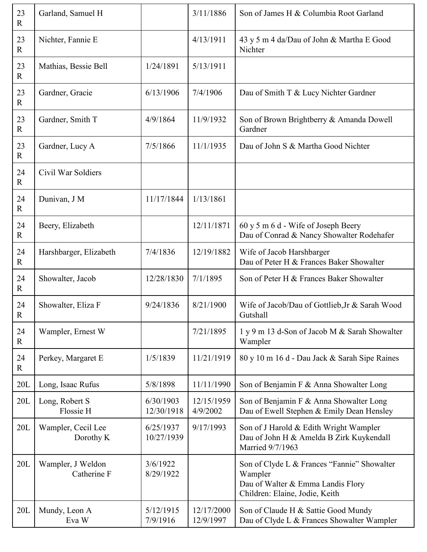| 23<br>$\mathbb{R}$ | Garland, Samuel H                |                         | 3/11/1886               | Son of James H & Columbia Root Garland                                                                                        |
|--------------------|----------------------------------|-------------------------|-------------------------|-------------------------------------------------------------------------------------------------------------------------------|
| 23<br>$\mathbf R$  | Nichter, Fannie E                |                         | 4/13/1911               | 43 y 5 m 4 da/Dau of John & Martha E Good<br>Nichter                                                                          |
| 23<br>$\mathbf R$  | Mathias, Bessie Bell             | 1/24/1891               | 5/13/1911               |                                                                                                                               |
| 23<br>$\mathbb{R}$ | Gardner, Gracie                  | 6/13/1906               | 7/4/1906                | Dau of Smith T & Lucy Nichter Gardner                                                                                         |
| 23<br>$\mathbf R$  | Gardner, Smith T                 | 4/9/1864                | 11/9/1932               | Son of Brown Brightberry & Amanda Dowell<br>Gardner                                                                           |
| 23<br>$\mathbf R$  | Gardner, Lucy A                  | 7/5/1866                | 11/1/1935               | Dau of John S & Martha Good Nichter                                                                                           |
| 24<br>$\mathbb{R}$ | Civil War Soldiers               |                         |                         |                                                                                                                               |
| 24<br>$\mathbf R$  | Dunivan, J M                     | 11/17/1844              | 1/13/1861               |                                                                                                                               |
| 24<br>$\mathbf R$  | Beery, Elizabeth                 |                         | 12/11/1871              | 60 y 5 m 6 d - Wife of Joseph Beery<br>Dau of Conrad & Nancy Showalter Rodehafer                                              |
| 24<br>$\mathbf R$  | Harshbarger, Elizabeth           | 7/4/1836                | 12/19/1882              | Wife of Jacob Harshbarger<br>Dau of Peter H & Frances Baker Showalter                                                         |
| 24<br>$\mathbf R$  | Showalter, Jacob                 | 12/28/1830              | 7/1/1895                | Son of Peter H & Frances Baker Showalter                                                                                      |
| 24<br>$\mathbb{R}$ | Showalter, Eliza F               | 9/24/1836               | 8/21/1900               | Wife of Jacob/Dau of Gottlieb, Jr & Sarah Wood<br>Gutshall                                                                    |
| 24<br>$\mathbf R$  | Wampler, Ernest W                |                         | 7/21/1895               | 1 y 9 m 13 d-Son of Jacob M & Sarah Showalter<br>Wampler                                                                      |
| 24<br>$\mathbf R$  | Perkey, Margaret E               | 1/5/1839                | 11/21/1919              | 80 y 10 m 16 d - Dau Jack & Sarah Sipe Raines                                                                                 |
| 20L                | Long, Isaac Rufus                | 5/8/1898                | 11/11/1990              | Son of Benjamin F & Anna Showalter Long                                                                                       |
| 20L                | Long, Robert S<br>Flossie H      | 6/30/1903<br>12/30/1918 | 12/15/1959<br>4/9/2002  | Son of Benjamin F & Anna Showalter Long<br>Dau of Ewell Stephen & Emily Dean Hensley                                          |
| 20L                | Wampler, Cecil Lee<br>Dorothy K  | 6/25/1937<br>10/27/1939 | 9/17/1993               | Son of J Harold & Edith Wright Wampler<br>Dau of John H & Amelda B Zirk Kuykendall<br>Married 9/7/1963                        |
| 20L                | Wampler, J Weldon<br>Catherine F | 3/6/1922<br>8/29/1922   |                         | Son of Clyde L & Frances "Fannie" Showalter<br>Wampler<br>Dau of Walter & Emma Landis Flory<br>Children: Elaine, Jodie, Keith |
| 20L                | Mundy, Leon A<br>Eva W           | 5/12/1915<br>7/9/1916   | 12/17/2000<br>12/9/1997 | Son of Claude H & Sattie Good Mundy<br>Dau of Clyde L & Frances Showalter Wampler                                             |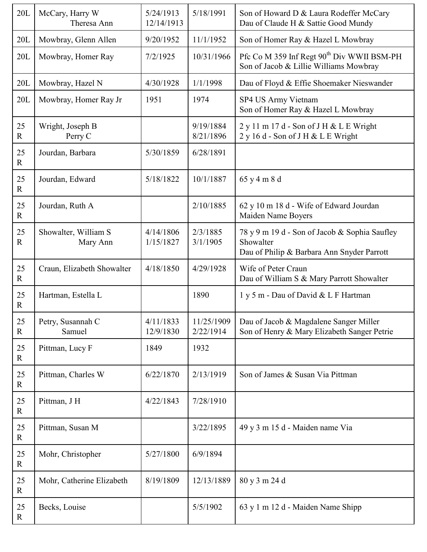| 20L                  | McCary, Harry W<br>Theresa Ann   | 5/24/1913<br>12/14/1913 | 5/18/1991               | Son of Howard D & Laura Rodeffer McCary<br>Dau of Claude H & Sattie Good Mundy                           |
|----------------------|----------------------------------|-------------------------|-------------------------|----------------------------------------------------------------------------------------------------------|
| 20L                  | Mowbray, Glenn Allen             | 9/20/1952               | 11/1/1952               | Son of Homer Ray & Hazel L Mowbray                                                                       |
| 20L                  | Mowbray, Homer Ray               | 7/2/1925                | 10/31/1966              | Pfc Co M 359 Inf Regt 90 <sup>th</sup> Div WWII BSM-PH<br>Son of Jacob & Lillie Williams Mowbray         |
| 20L                  | Mowbray, Hazel N                 | 4/30/1928               | 1/1/1998                | Dau of Floyd & Effie Shoemaker Nieswander                                                                |
| 20L                  | Mowbray, Homer Ray Jr            | 1951                    | 1974                    | SP4 US Army Vietnam<br>Son of Homer Ray & Hazel L Mowbray                                                |
| 25<br>$\overline{R}$ | Wright, Joseph B<br>Perry C      |                         | 9/19/1884<br>8/21/1896  | 2 y 11 m 17 d - Son of J H & L E Wright<br>2 y 16 d - Son of J H & L E Wright                            |
| 25<br>$\mathbf R$    | Jourdan, Barbara                 | 5/30/1859               | 6/28/1891               |                                                                                                          |
| 25<br>$\mathbf R$    | Jourdan, Edward                  | 5/18/1822               | 10/1/1887               | 65 y 4 m 8 d                                                                                             |
| 25<br>$\mathbf R$    | Jourdan, Ruth A                  |                         | 2/10/1885               | 62 y 10 m 18 d - Wife of Edward Jourdan<br>Maiden Name Boyers                                            |
| 25<br>$\overline{R}$ | Showalter, William S<br>Mary Ann | 4/14/1806<br>1/15/1827  | 2/3/1885<br>3/1/1905    | 78 y 9 m 19 d - Son of Jacob & Sophia Saufley<br>Showalter<br>Dau of Philip & Barbara Ann Snyder Parrott |
| 25<br>$\mathbf R$    | Craun, Elizabeth Showalter       | 4/18/1850               | 4/29/1928               | Wife of Peter Craun<br>Dau of William S & Mary Parrott Showalter                                         |
| 25<br>$\mathbf R$    | Hartman, Estella L               |                         | 1890                    | 1 y 5 m - Dau of David & L F Hartman                                                                     |
| 25<br>$\mathbf R$    | Petry, Susannah C<br>Samuel      | 4/11/1833<br>12/9/1830  | 11/25/1909<br>2/22/1914 | Dau of Jacob & Magdalene Sanger Miller<br>Son of Henry & Mary Elizabeth Sanger Petrie                    |
| 25<br>$\mathbf R$    | Pittman, Lucy F                  | 1849                    | 1932                    |                                                                                                          |
| 25<br>$\mathbf R$    | Pittman, Charles W               | 6/22/1870               | 2/13/1919               | Son of James & Susan Via Pittman                                                                         |
| 25<br>$\mathbf R$    | Pittman, J H                     | 4/22/1843               | 7/28/1910               |                                                                                                          |
| 25<br>$\mathbf R$    | Pittman, Susan M                 |                         | 3/22/1895               | 49 y 3 m 15 d - Maiden name Via                                                                          |
| 25<br>$\mathbf R$    | Mohr, Christopher                | 5/27/1800               | 6/9/1894                |                                                                                                          |
| 25<br>$\mathbf R$    | Mohr, Catherine Elizabeth        | 8/19/1809               | 12/13/1889              | 80 y 3 m 24 d                                                                                            |
| 25<br>$\mathbf R$    | Becks, Louise                    |                         | 5/5/1902                | 63 y 1 m 12 d - Maiden Name Shipp                                                                        |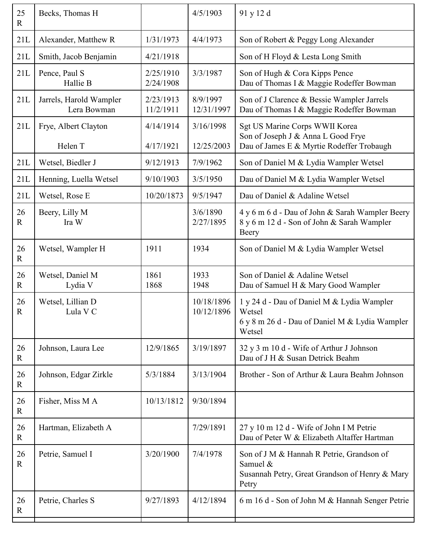| Becks, Thomas H                        |                        | 4/5/1903                 | 91 y 12 d                                                                                                         |
|----------------------------------------|------------------------|--------------------------|-------------------------------------------------------------------------------------------------------------------|
| Alexander, Matthew R                   | 1/31/1973              | 4/4/1973                 | Son of Robert & Peggy Long Alexander                                                                              |
| Smith, Jacob Benjamin                  | 4/21/1918              |                          | Son of H Floyd & Lesta Long Smith                                                                                 |
| Pence, Paul S<br>Hallie B              | 2/25/1910<br>2/24/1908 | 3/3/1987                 | Son of Hugh & Cora Kipps Pence<br>Dau of Thomas I & Maggie Rodeffer Bowman                                        |
| Jarrels, Harold Wampler<br>Lera Bowman | 2/23/1913<br>11/2/1911 | 8/9/1997<br>12/31/1997   | Son of J Clarence & Bessie Wampler Jarrels<br>Dau of Thomas I & Maggie Rodeffer Bowman                            |
| Frye, Albert Clayton<br>Helen T        | 4/14/1914<br>4/17/1921 | 3/16/1998<br>12/25/2003  | Sgt US Marine Corps WWII Korea<br>Son of Joseph J & Anna L Good Frye<br>Dau of James E & Myrtie Rodeffer Trobaugh |
| Wetsel, Biedler J                      | 9/12/1913              | 7/9/1962                 | Son of Daniel M & Lydia Wampler Wetsel                                                                            |
| Henning, Luella Wetsel                 | 9/10/1903              | 3/5/1950                 | Dau of Daniel M & Lydia Wampler Wetsel                                                                            |
| Wetsel, Rose E                         | 10/20/1873             | 9/5/1947                 | Dau of Daniel & Adaline Wetsel                                                                                    |
| Beery, Lilly M<br>Ira W                |                        | 3/6/1890<br>2/27/1895    | 4 y 6 m 6 d - Dau of John & Sarah Wampler Beery<br>8 y 6 m 12 d - Son of John & Sarah Wampler<br>Beery            |
| Wetsel, Wampler H                      | 1911                   | 1934                     | Son of Daniel M & Lydia Wampler Wetsel                                                                            |
| Wetsel, Daniel M<br>Lydia V            | 1861<br>1868           | 1933<br>1948             | Son of Daniel & Adaline Wetsel<br>Dau of Samuel H & Mary Good Wampler                                             |
| Wetsel, Lillian D<br>Lula V C          |                        | 10/18/1896<br>10/12/1896 | 1 y 24 d - Dau of Daniel M & Lydia Wampler<br>Wetsel<br>6 y 8 m 26 d - Dau of Daniel M & Lydia Wampler<br>Wetsel  |
| Johnson, Laura Lee                     | 12/9/1865              | 3/19/1897                | 32 y 3 m 10 d - Wife of Arthur J Johnson<br>Dau of J H & Susan Detrick Beahm                                      |
| Johnson, Edgar Zirkle                  | 5/3/1884               | 3/13/1904                | Brother - Son of Arthur & Laura Beahm Johnson                                                                     |
| Fisher, Miss M A                       | 10/13/1812             | 9/30/1894                |                                                                                                                   |
| Hartman, Elizabeth A                   |                        | 7/29/1891                | 27 y 10 m 12 d - Wife of John I M Petrie<br>Dau of Peter W & Elizabeth Altaffer Hartman                           |
| Petrie, Samuel I                       | 3/20/1900              | 7/4/1978                 | Son of J M & Hannah R Petrie, Grandson of<br>Samuel &<br>Susannah Petry, Great Grandson of Henry & Mary<br>Petry  |
| Petrie, Charles S                      | 9/27/1893              | 4/12/1894                | 6 m 16 d - Son of John M & Hannah Senger Petrie                                                                   |
|                                        |                        |                          |                                                                                                                   |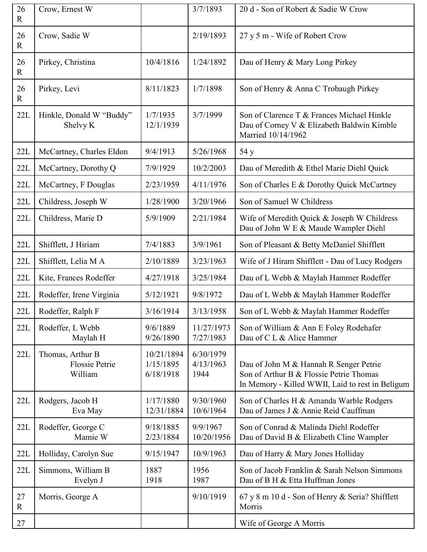| 26<br>$\mathbf R$ | Crow, Ernest W                                       |                                      | 3/7/1893                       | 20 d - Son of Robert & Sadie W Crow                                                                                                   |
|-------------------|------------------------------------------------------|--------------------------------------|--------------------------------|---------------------------------------------------------------------------------------------------------------------------------------|
| 26<br>$\mathbf R$ | Crow, Sadie W                                        |                                      | 2/19/1893                      | 27 y 5 m - Wife of Robert Crow                                                                                                        |
| 26<br>$\mathbf R$ | Pirkey, Christina                                    | 10/4/1816                            | 1/24/1892                      | Dau of Henry & Mary Long Pirkey                                                                                                       |
| 26<br>$\mathbf R$ | Pirkey, Levi                                         | 8/11/1823                            | 1/7/1898                       | Son of Henry & Anna C Trobaugh Pirkey                                                                                                 |
| 22L               | Hinkle, Donald W "Buddy"<br>Shelvy K                 | 1/7/1935<br>12/1/1939                | 3/7/1999                       | Son of Clarence T & Frances Michael Hinkle<br>Dau of Corney V & Elizabeth Baldwin Kimble<br>Married 10/14/1962                        |
| 22L               | McCartney, Charles Eldon                             | 9/4/1913                             | 5/26/1968                      | 54 y                                                                                                                                  |
| 22L               | McCartney, Dorothy Q                                 | 7/9/1929                             | 10/2/2003                      | Dau of Meredith & Ethel Marie Diehl Quick                                                                                             |
| 22L               | McCartney, F Douglas                                 | 2/23/1959                            | 4/11/1976                      | Son of Charles E & Dorothy Quick McCartney                                                                                            |
| 22L               | Childress, Joseph W                                  | 1/28/1900                            | 3/20/1966                      | Son of Samuel W Childress                                                                                                             |
| 22L               | Childress, Marie D                                   | 5/9/1909                             | 2/21/1984                      | Wife of Meredith Quick & Joseph W Childress<br>Dau of John W E & Maude Wampler Diehl                                                  |
| 22L               | Shifflett, J Hiriam                                  | 7/4/1883                             | 3/9/1961                       | Son of Pleasant & Betty McDaniel Shifflett                                                                                            |
| 22L               | Shifflett, Lelia M A                                 | 2/10/1889                            | 3/23/1963                      | Wife of J Hiram Shifflett - Dau of Lucy Rodgers                                                                                       |
| 22L               | Kite, Frances Rodeffer                               | 4/27/1918                            | 3/25/1984                      | Dau of L Webb & Maylah Hammer Rodeffer                                                                                                |
| 22L               | Rodeffer, Irene Virginia                             | 5/12/1921                            | 9/8/1972                       | Dau of L Webb & Maylah Hammer Rodeffer                                                                                                |
| 22L               | Rodeffer, Ralph F                                    | 3/16/1914                            | 3/13/1958                      | Son of L Webb & Maylah Hammer Rodeffer                                                                                                |
| 22L               | Rodeffer, L Webb<br>Maylah H                         | 9/6/1889<br>9/26/1890                | 11/27/1973<br>7/27/1983        | Son of William & Ann E Foley Rodehafer<br>Dau of C L & Alice Hammer                                                                   |
| 22L               | Thomas, Arthur B<br><b>Flossie Petrie</b><br>William | 10/21/1894<br>1/15/1895<br>6/18/1918 | 6/30/1979<br>4/13/1963<br>1944 | Dau of John M & Hannah R Senger Petrie<br>Son of Arthur B & Flossie Petrie Thomas<br>In Memory - Killed WWII, Laid to rest in Beligum |
| 22L               | Rodgers, Jacob H<br>Eva May                          | 1/17/1880<br>12/31/1884              | 9/30/1960<br>10/6/1964         | Son of Charles H & Amanda Warble Rodgers<br>Dau of James J & Annie Reid Cauffman                                                      |
| 22L               | Rodeffer, George C<br>Mamie W                        | 9/18/1885<br>2/23/1884               | 9/9/1967<br>10/20/1956         | Son of Conrad & Malinda Diehl Rodeffer<br>Dau of David B & Elizabeth Cline Wampler                                                    |
| 22L               | Holliday, Carolyn Sue                                | 9/15/1947                            | 10/9/1963                      | Dau of Harry & Mary Jones Holliday                                                                                                    |
| 22L               | Simmons, William B<br>Evelyn J                       | 1887<br>1918                         | 1956<br>1987                   | Son of Jacob Franklin & Sarah Nelson Simmons<br>Dau of B H & Etta Huffman Jones                                                       |
| 27<br>$\mathbf R$ | Morris, George A                                     |                                      | 9/10/1919                      | 67 y 8 m 10 d - Son of Henry & Seria? Shifflett<br>Morris                                                                             |
| 27                |                                                      |                                      |                                | Wife of George A Morris                                                                                                               |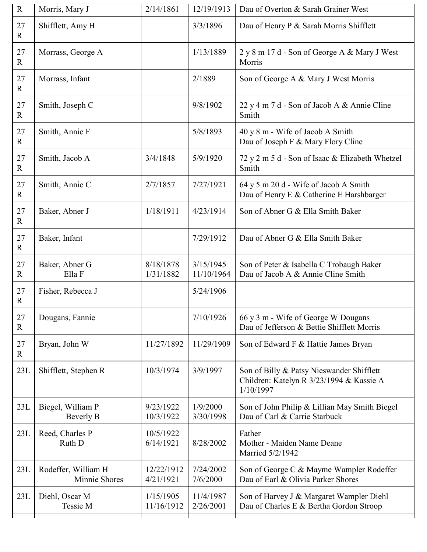| R                    | Morris, Mary J                       | 2/14/1861               | 12/19/1913              | Dau of Overton & Sarah Grainer West                                                                |
|----------------------|--------------------------------------|-------------------------|-------------------------|----------------------------------------------------------------------------------------------------|
| 27<br>$\mathbf R$    | Shifflett, Amy H                     |                         | 3/3/1896                | Dau of Henry P & Sarah Morris Shifflett                                                            |
| 27<br>$\mathbf R$    | Morrass, George A                    |                         | 1/13/1889               | 2 y 8 m 17 d - Son of George A & Mary J West<br>Morris                                             |
| 27<br>$\mathbf R$    | Morrass, Infant                      |                         | 2/1889                  | Son of George A & Mary J West Morris                                                               |
| 27<br>$\overline{R}$ | Smith, Joseph C                      |                         | 9/8/1902                | 22 y 4 m 7 d - Son of Jacob A & Annie Cline<br>Smith                                               |
| 27<br>$\mathbf R$    | Smith, Annie F                       |                         | 5/8/1893                | 40 y 8 m - Wife of Jacob A Smith<br>Dau of Joseph F & Mary Flory Cline                             |
| 27<br>$\mathbf R$    | Smith, Jacob A                       | 3/4/1848                | 5/9/1920                | 72 y 2 m 5 d - Son of Isaac & Elizabeth Whetzel<br>Smith                                           |
| 27<br>$\mathbf R$    | Smith, Annie C                       | 2/7/1857                | 7/27/1921               | 64 y 5 m 20 d - Wife of Jacob A Smith<br>Dau of Henry E & Catherine E Harshbarger                  |
| 27<br>$\mathbf R$    | Baker, Abner J                       | 1/18/1911               | 4/23/1914               | Son of Abner G & Ella Smith Baker                                                                  |
| 27<br>$\mathbf R$    | Baker, Infant                        |                         | 7/29/1912               | Dau of Abner G & Ella Smith Baker                                                                  |
| 27<br>$\mathbf R$    | Baker, Abner G<br>Ella F             | 8/18/1878<br>1/31/1882  | 3/15/1945<br>11/10/1964 | Son of Peter & Isabella C Trobaugh Baker<br>Dau of Jacob A & Annie Cline Smith                     |
| 27<br>$\mathbf{R}$   | Fisher, Rebecca J                    |                         | 5/24/1906               |                                                                                                    |
| 27<br>$\mathbf R$    | Dougans, Fannie                      |                         | 7/10/1926               | 66 y 3 m - Wife of George W Dougans<br>Dau of Jefferson & Bettie Shifflett Morris                  |
| 27<br>$\mathbf{R}$   | Bryan, John W                        | 11/27/1892              | 11/29/1909              | Son of Edward F & Hattie James Bryan                                                               |
| 23L                  | Shifflett, Stephen R                 | 10/3/1974               | 3/9/1997                | Son of Billy & Patsy Nieswander Shifflett<br>Children: Katelyn R 3/23/1994 & Kassie A<br>1/10/1997 |
| 23L                  | Biegel, William P<br>Beverly B       | 9/23/1922<br>10/3/1922  | 1/9/2000<br>3/30/1998   | Son of John Philip & Lillian May Smith Biegel<br>Dau of Carl & Carrie Starbuck                     |
| 23L                  | Reed, Charles P<br>Ruth D            | 10/5/1922<br>6/14/1921  | 8/28/2002               | Father<br>Mother - Maiden Name Deane<br>Married 5/2/1942                                           |
| 23L                  | Rodeffer, William H<br>Minnie Shores | 12/22/1912<br>4/21/1921 | 7/24/2002<br>7/6/2000   | Son of George C & Mayme Wampler Rodeffer<br>Dau of Earl & Olivia Parker Shores                     |
| 23L                  | Diehl, Oscar M<br>Tessie M           | 1/15/1905<br>11/16/1912 | 11/4/1987<br>2/26/2001  | Son of Harvey J & Margaret Wampler Diehl<br>Dau of Charles E & Bertha Gordon Stroop                |
|                      |                                      |                         |                         |                                                                                                    |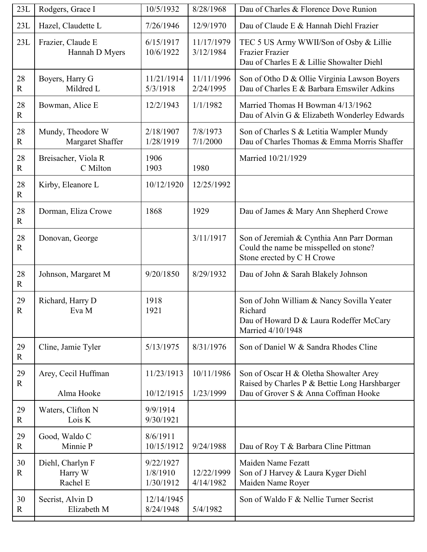| 23L                           | Rodgers, Grace I                      | 10/5/1932                | 8/28/1968               | Dau of Charles & Florence Dove Runion                                                                                           |
|-------------------------------|---------------------------------------|--------------------------|-------------------------|---------------------------------------------------------------------------------------------------------------------------------|
| 23L                           | Hazel, Claudette L                    | 7/26/1946                | 12/9/1970               | Dau of Claude E & Hannah Diehl Frazier                                                                                          |
| 23L                           | Frazier, Claude E<br>Hannah D Myers   | 6/15/1917<br>10/6/1922   | 11/17/1979<br>3/12/1984 | TEC 5 US Army WWII/Son of Osby & Lillie<br>Frazier Frazier<br>Dau of Charles E & Lillie Showalter Diehl                         |
| 28<br>$\mathbf R$             | Boyers, Harry G<br>Mildred L          | 11/21/1914<br>5/3/1918   | 11/11/1996<br>2/24/1995 | Son of Otho D & Ollie Virginia Lawson Boyers<br>Dau of Charles E & Barbara Emswiler Adkins                                      |
| 28<br>$\mathbf R$             | Bowman, Alice E                       | 12/2/1943                | 1/1/1982                | Married Thomas H Bowman 4/13/1962<br>Dau of Alvin G & Elizabeth Wonderley Edwards                                               |
| 28<br>$\mathbf R$             | Mundy, Theodore W<br>Margaret Shaffer | 2/18/1907<br>1/28/1919   | 7/8/1973<br>7/1/2000    | Son of Charles S & Letitia Wampler Mundy<br>Dau of Charles Thomas & Emma Morris Shaffer                                         |
| 28<br>$\overline{\mathrm{R}}$ | Breisacher, Viola R<br>C Milton       | 1906<br>1903             | 1980                    | Married 10/21/1929                                                                                                              |
| 28<br>$\mathbf R$             | Kirby, Eleanore L                     | 10/12/1920               | 12/25/1992              |                                                                                                                                 |
| 28<br>$\mathbf R$             | Dorman, Eliza Crowe                   | 1868                     | 1929                    | Dau of James & Mary Ann Shepherd Crowe                                                                                          |
| 28<br>$\mathbf R$             | Donovan, George                       |                          | 3/11/1917               | Son of Jeremiah & Cynthia Ann Parr Dorman<br>Could the name be misspelled on stone?<br>Stone erected by C H Crowe               |
| 28<br>$\mathbf R$             | Johnson, Margaret M                   | 9/20/1850                | 8/29/1932               | Dau of John & Sarah Blakely Johnson                                                                                             |
| 29<br>${\bf R}$               | Richard, Harry D<br>Eva M             | 1918<br>1921             |                         | Son of John William & Nancy Sovilla Yeater<br>Richard<br>Dau of Howard D & Laura Rodeffer McCary<br>Married 4/10/1948           |
| 29<br>$\mathbf R$             | Cline, Jamie Tyler                    | 5/13/1975                | 8/31/1976               | Son of Daniel W & Sandra Rhodes Cline                                                                                           |
| 29<br>R                       | Arey, Cecil Huffman<br>Alma Hooke     | 11/23/1913<br>10/12/1915 | 10/11/1986<br>1/23/1999 | Son of Oscar H & Oletha Showalter Arey<br>Raised by Charles P & Bettie Long Harshbarger<br>Dau of Grover S & Anna Coffman Hooke |
| 29<br>$\mathbf R$             | Waters, Clifton N<br>Lois K           | 9/9/1914<br>9/30/1921    |                         |                                                                                                                                 |
| 29<br>R                       | Good, Waldo C<br>Minnie P             | 8/6/1911<br>10/15/1912   | 9/24/1988               | Dau of Roy T & Barbara Cline Pittman                                                                                            |
| 30<br>$\mathbf R$             | Diehl, Charlyn F                      | 9/22/1927<br>1/8/1910    | 12/22/1999              | Maiden Name Fezatt<br>Son of J Harvey & Laura Kyger Diehl                                                                       |
|                               | Harry W<br>Rachel E                   | 1/30/1912                | 4/14/1982               | Maiden Name Royer                                                                                                               |
| 30<br>$\mathbf R$             | Secrist, Alvin D<br>Elizabeth M       | 12/14/1945<br>8/24/1948  | 5/4/1982                | Son of Waldo F & Nellie Turner Secrist                                                                                          |